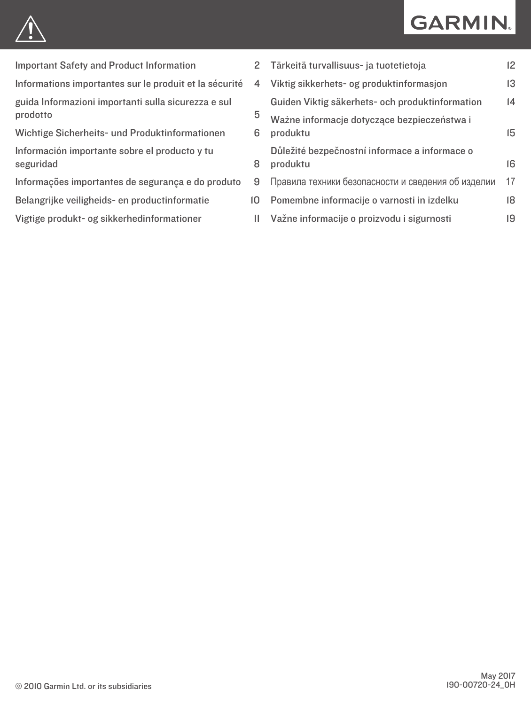# **GARMIN.**



[Important Safety and Product Information](#page-1-0) 2

[Informations importantes sur le produit et la sécurité](#page-3-0) 4

[guida Informazioni importanti sulla sicurezza e sul](#page-4-0)  [prodotto](#page-4-0) 5

[Wichtige Sicherheits- und Produktinformationen](#page-5-0) 6 [Información importante sobre el producto y tu](#page-7-0) [seguridad](#page-7-0)

[Informações importantes de segurança e do produto](#page-8-0) 9

[Belangrijke veiligheids- en productinformatie](#page-9-0) 10

[Vigtige produkt- og sikkerhedinformationer](#page-10-0) 11

| $\overline{2}$ | Tärkeitä turvallisuus- ja tuotetietoja                    | 12 |
|----------------|-----------------------------------------------------------|----|
| 4              | Viktig sikkerhets- og produktinformasjon                  | 13 |
|                | Guiden Viktig säkerhets- och produktinformation           | 4  |
| 5<br>6         | Ważne informacje dotyczące bezpieczeństwa i<br>produktu   | 15 |
| 8              | Důležité bezpečnostní informace a informace o<br>produktu | 16 |
| 9              | Правила техники безопасности и сведения об изделии        | 17 |
| 0              | Pomembne informacije o varnosti in izdelku                | 18 |
| $\mathbf{H}$   | Važne informacije o proizvodu i sigurnosti                | 19 |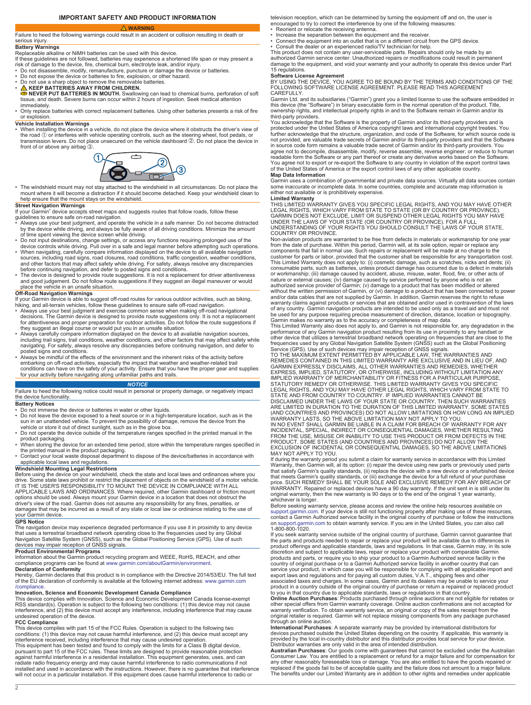### **IMPORTANT SAFETY AND PRODUCT INFORMATION WARNING**

- Reorient or relocate the receiving antenna. Increase the separation between the equipment and the receiver.
- 

#### serious injury. **Battery Warnings**

Replaceable alkaline or NiMH batteries can be used with this device. If these guidelines are not followed, batteries may experience a shortened life span or may present a risk of damage to the device, fire, chemical burn, electrolyte leak, and/or injury. • Do not disassemble, modify, remanufacture, puncture or damage the device or batteries.

<span id="page-1-0"></span>Failure to heed the following warnings could result in an accident or collision resulting in death or

- 
- 
- 
- Do not expose the device or batteries to fire, explosion, or other hazard.<br>• Do not use a sharp object to remove the removable batteries.<br>• **A KEEP BATTERIES AWAY FROM CHILDREN.**<br>**EXECT BATTERIES IN MOUTH.** Swallowing ca
- immediately. Only replace batteries with correct replacement batteries. Using other batteries presents a risk of fire or explosion.

**Vehicle Installation Warnings** • When installing the device in a vehicle, do not place the device where it obstructs the driver's view of the road ① or interferes with vehicle operating controls, such as the steering wheel, foot pedals, or<br>transmission levers. Do not place unsecured on the vehicle dashboard ②. Do not place the device in front of or above any airbag 3.



• The windshield mount may not stay attached to the windshield in all circumstances. Do not place the mount where it will become a distraction if it should become detached. Keep your windshield clean to help ensure that the mount stays on the windshield.

- Street Navigation Warnings<br>
If your Garmin<sup>®</sup> device accepts street maps and suggests routes that follow roads, follow these<br>
If your Garmin<sup>®</sup> device accepts street maps and suggests routes that follow roads, follow these
- Do not input destinations, change settings, or access any functions requiring prolonged use of the<br>device controls while driving. Pull over in a safe and legal manner before attempting such operations.<br>• When navigating
- sources, including road signs, road closures, road conditions, traffic congestion, weather conditions,<br>and other factors that may affect safety while driving. For safety, always resolve any discrepancies
- before continuing navigation, and defer to posted signs and conditions.<br>• The device is designed to provide route suggestions. It is not a replacement for driver attentiveness<br>and good judgement. Do not follow route sugges

### **Off-Road Navigation Warnings**

- 
- If your Garmin device is able to suggest off-road routes for various outdoor activities, such as biking,<br>hiking, and all-terrain vehicles, follow these guidelines to ensure safe off-road navigation.<br>• Always use your best
- they suggest an illegal course or would put you in an unsafe situation.<br>• Always carefully compare information displayed on the device to all available navigation sources,<br>including trail signs, trail conditions, weather c
- posted signs and conditions. Always be mindful of the effects of the environment and the inherent risks of the activity before embarking on off-road activities, especially the impact that weather and weather-related trail<br>conditions can have on the safety of your activity. Ensure that you have the proper gear and supplies<br>for your activity before

### *NOTICE*

Failure to heed the following notice could result in personal or property damage, or negatively impact the device functionality.

### **Battery Notices**

- Do not immerse the device or batteries in water or other liquids.
- Do not leave the device exposed to a heat source or in a high-temperature location, such as in the sun in an unattended vehicle. To prevent the possibility of damage, remove the device from the<br>vehicle or store it out of direct sunlight, such as in the glove box.<br>• Do not operate the device outside of the temperature r
- 
- product packaging. When storing the device for an extended time period, store within the temperature ranges specified in
- the printed manual in the product packaging.<br>• Contact your local waste disposal department to dispose of the device/batteries in accordance with<br>• applicable local laws and regulations.

### **Windshield Mounting Legal Restrictions**

Before using the device on your windshield, check the state and local laws and ordinances where you drive. Some state laws prohibit or restrict the placement of objects on the windshield of a motor vehicle.<br>IT IS THE USER'S RESPONSIBILITY TO MOUNT THE DEVICE IN COMPLIANCE WITH ALL<br>APPLICABLE LAWS AND ORDINANCES. Where re options should be used. Always mount your Garmin device in a location that does not obstruct the driver's view of the road. Garmin does not assume any responsibility for any fines, penalties, or damages that may be incurred as a result of any state or local law or ordinance relating to the use of your Garmin device.

### **GPS Notice**

The navigation device may experience degraded performance if you use it in proximity to any device that uses a terrestrial broadband network operating close to the frequencies used by any Global Navigation Satellite System (GNSS), such as the Global Positioning Service (GPS). Use of such devices may impair reception of GNSS signals.

### **Product Environmental Programs**

Information about the Garmin product recycling program and WEEE, RoHS, REACH, and other<br>compliance programs can be found at [www.garmin.com/aboutGarmin/environment](http://www.garmin.com/aboutGarmin/environment).<br>**Declaration of Conformity** 

Hereby, Garmin declares that this product is in compliance with the Directive 2014/53/EU. The full text of the EU declaration of conformity is available at the following internet address: [www.garmin.com](http://www.garmin.com/compliance) [/compliance](http://www.garmin.com/compliance).

#### **Innovation, Science and Economic Development Canada Compliance**

This device complies with Innovation, Science and Economic Development Canada license-exempt<br>RSS standard(s). Operation is subject to the following two conditions: (1) this device may not cause<br>interference, and (2) this d undesired operation of the device.

#### **FCC Compliance**

This device complies with part 15 of the FCC Rules. Operation is subject to the following two conditions: (1) this device may not cause harmful interference, and (2) this device must accept any interference received, including interference that may cause undesired operation. This equipment has been tested and found to comply with the limits for a Class B digital device,<br>pursuant to part 15 of the FCC rules. These limits are designed to provide reasonable protection<br>against harmful interference installed and used in accordance with the instructions. However, there is no guarantee that interference will not occur in a particular installation. If this equipment does cause harmful interference to radio or television reception, which can be determined by turning the equipment off and on, the user is encouraged to try to correct the interference by one of the following measures:

- 
- Connect the equipment into an outlet that is on a different circuit from the GPS device.

• Consult the dealer or an experienced radio/TV technician for help. This product does not contain any user-serviceable parts. Repairs should only be made by an

authorized Garmin service center. Unauthorized repairs or modifications could result in permanent damage to the equipment, and void your warranty and your authority to operate this device under Part 15 regulations.

**Software License Agreement**<br>BY USING THE DEVICE, YOU AGREE TO BE BOUND BY THE TERMS AND CONDITIONS OF THE<br>FOLLOWING SOFTWARE LICENSE AGREEMENT. PLEASE READ THIS AGREEMENT **CAREFULLY** 

Garmin Ltd. and its subsidiaries ("Garmin") grant you a limited license to use the software embedded in this device (the "Software") in binary executable form in the normal operation of the product. Title, ownership rights, and intellectual property rights in and to the Software remain in Garmin and/or its

third-party providers. You acknowledge that the Software is the property of Garmin and/or its third-party providers and is protected under the United States of America copyright laws and international copyright treaties. You further acknowledge that the structure, organization, and code of the Software, for which source code is not provided, are valuable trade secrets of Garmin and/or its third-party providers and that the Software in source code form remains a valuable trade secret of Garmin and/or its third-party providers. You agree not to decompile, disassemble, modify, reverse assemble, reverse engineer, or reduce to human readable form the Software or any part thereof or create any derivative works based on the Software. You agree not to export or re-export the Software to any country in violation of the export control laws of the United States of America or the export control laws of any other applicable country.

**Map Data Information**<br>Garmin uses a combination of governmental and private data sources. Virtually all data sources contain<br>some inaccurate or incomplete data. In some countries, complete and accurate map information is either not available or is prohibitively expensive.

**Limited Warranty**<br>THIS LIMITED WARRANTY GIVES YOU SPECIFIC LEGAL RIGHTS, AND YOU MAY HAVE OTHER<br>LEGAL RIGHTS, WHICH VARY FROM STATE TO STATE (OR BY COUNTRY OR PROVINCE). GARMIN DOES NOT EXCLUDE, LIMIT OR SUSPEND OTHER LEGAL RIGHTS YOU MAY HAVE<br>UNDER THE LAWS OF YOUR STATE (OR COUNTRY OR PROVINCE). FOR A FULL<br>UNDERSTANDING OF YOUR RIGHTS YOU SHOULD CONSULT THE LAWS OF YOUR STATE, COUNTRY OR PROVINCE.

Non-aviation products are warranted to be free from defects in materials or workmanship for one year from the date of purchase. Within this period, Garmin will, at its sole option, repair or replace any components that fail in normal use. Such repairs or replacement will be made at no charge to the customer for parts or labor, provided that the customer shall be responsible for any transportation cost. This Limited Warranty does not apply to: (i) cosmetic damage, such as scratches, nicks and dents; (ii) consumable parts, such as batteries, unless product damage has occurred due to a defect in materials or workmanship; (iii) damage caused by accident, abuse, misuse, water, flood, fire, or other acts of<br>nature or external causes; (iv) damage caused by service performed by anyone who is not an<br>authorized service provider of and/or data cables that are not supplied by Garmin. In addition, Garmin reserves the right to refuse warranty claims against products or services that are obtained and/or used in contravention of the laws of any country. Garmin navigation products are intended to be used only as a travel aid and must not

be used for any purpose requiring precise measurement of direction, distance, location or topography.<br>Garmin makes no warranty as to the accuracy or completeness of map data.<br>This Limited Warranty also does not apply to, a Service (GPS). Use of such devices may impair reception of GNSS signals. TO THE MAXIMUM EXTENT PERMITTED BY APPLICABLE LAW, THE WARRANTIES AND

REMEDIES CONTAINED IN THIS LIMITED WARRANTY ARE EXCLUSIVE AND IN LIEU OF, AND<br>GARMIN EXPRESSLY DISCLAIMS, ALL OTHER WARRANTIES AND REMEDIES, WHETHER<br>EXPRESS, IMPLIED, STATUTORY, OR OTHERWISE, INCLUDING WITHOUT LIMITATION A IMPLIED WARRANTY OF MERCHANTABILITY OR FITNESS FOR A PARTICULAR PURPOSE, STATUTORY REMEDY OR OTHERWISE. THIS LIMITED WARRANTY GIVES YOU SPECIFIC<br>LEGAL RIGHTS, AND YOU MAY HAVE OTHER LEGAL RIGHTS, WHICH VARY FROM STATE TO<br>STATE AND FROM COUNTRY TO COUNTRY. IF IMPLIED WARRANTIES CANNOT BE DISCLAIMED UNDER THE LAWS OF YOUR STATE OR COUNTRY, THEN SUCH WARRANTIES ARE LIMITED IN DURATION TO THE DURATION OF THIS LIMITED WARRANTY. SOME STATES

(AND COUNTRIES AND PROVINCES) DO NOT ALLOW LIMITATIONS ON HOW LONG AN IMPLIED<br>WARRANTY LASTS, SO THE ABOVE LIMITATION MAY NOT APPLY TO YOU.<br>IN NO EVENT SHALL GARMIN BE LIABLE IN A CLAIM FOR BREACH OF WARRANTY FOR ANY<br>INCID EXCLUSION OF INCIDENTAL OR CONSEQUENTIAL DAMAGES, SO THE ABOVE LIMITATIONS MAY NOT APPLY TO YOU.

If during the warranty period you submit a claim for warranty service in accordance with this Limited Warranty, then Garmin will, at its option: (i) repair the device using new parts or previously used parts that satisfy Garmin's quality standards, (ii) replace the device with a new device or a refurbished device<br>that meets Garmin's quality standards, or (iii) exchange the device for a full refund of your purchase<br>price. SUCH WARRANTY. Repaired or replaced devices have a 90 day warranty. If the unit sent in is still under its original warranty, then the new warranty is 90 days or to the end of the original 1 year warranty, whichever is longer.

Before seeking warranty service, please access and review the online help resources available on<br>[support.garmin.com.](http://www.support.garmin.com) If your device is still not functioning properly after making use of these resources,<br>contact a Garmin Au on [support.garmin.com](http://www.support.garmin.com) to obtain warranty service. If you are in the United States, you can also call 1-800-800-1020.

If you seek warranty service outside of the original country of purchase, Garmin cannot guarantee that<br>the parts and products needed to repair or replace your product will be available due to differences in<br>product offerin products and parts, or require you to ship your product to a Garmin Authorized service facility in the country of original purchase or to a Garmin Authorized service facility in another country that can<br>service your produc

product in a country outside of the original country of purchase or return a repaired or replaced product<br>to you in that country due to applicable standards, laws or regulations in that country.<br>**Online Auction Purchases**:

warranty verification. To obtain warranty service, an original or copy of the sales receipt from the original retailer is required. Garmin will not replace missing components from any package purchased through an online auction.

I**nternational Purchases**: A separate warranty may be provided by international distributors for<br>devices purchased outside the United States depending on the country. If applicable, this warranty is<br>provided by the local i

Distributor warranties are only valid in the area of intended distribution.<br>**Australian Purchase**s: Our goods come with guarantees that cannot be excluded under the Australian<br>Consumer Law. You are entitled to a replacemen any other reasonably foreseeable loss or damage. You are also entitled to have the goods repaired or replaced if the goods fail to be of acceptable quality and the failure does not amount to a major failure. The benefits under our Limited Warranty are in addition to other rights and remedies under applicable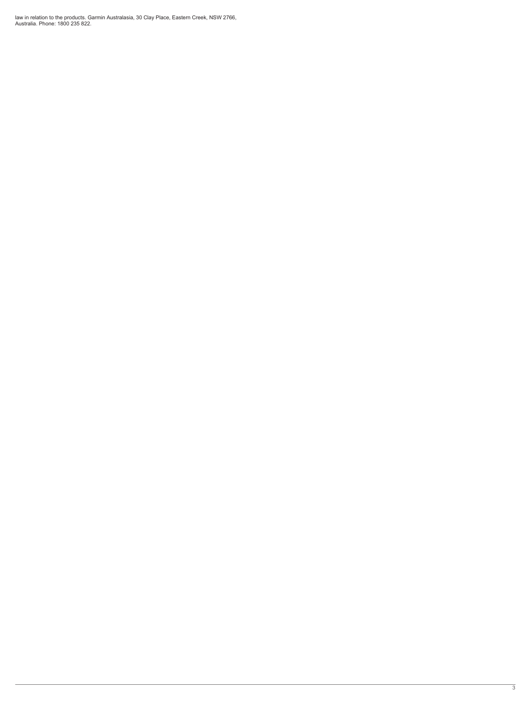law in relation to the products. Garmin Australasia, 30 Clay Place, Eastern Creek, NSW 2766, Australia. Phone: 1800 235 822.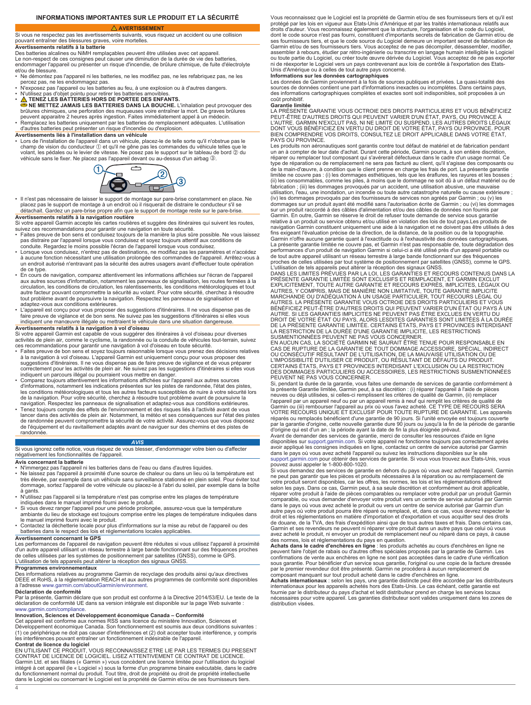### **INFORMATIONS IMPORTANTES SUR LE PRODUIT ET LA SÉCURITÉ**

 **AVERTISSEMENT**

### <span id="page-3-0"></span>Si vous ne respectez pas les avertissements suivants, vous risquez un accident ou une collision pouvant entraîner des blessures graves, voire mortelles.

#### **Avertissements relatifs à la batterie**

Des batteries alcalines ou NiMH remplaçables peuvent être utilisées avec cet appareil. Le non-respect de ces consignes peut causer une diminution de la durée de vie des batteries,

endommager l'appareil ou présenter un risque d'incendie, de brûlure chimique, de fuite d'électrolyte et/ou de blessure. • Ne démontez pas l'appareil ni les batteries, ne les modifiez pas, ne les refabriquez pas, ne les

- percez pas, ne les endommagez pas. N'exposez pas l'appareil ou les batteries au feu, à une explosion ou à d'autres dangers.
- 
- 
- N'utilisez pas d'objet pointu pour retirer les batteries amovibles.<br>● NENEZ LES BATTERIES HORS DE PORTEE DES ENFANTS.<br>● NE METTEZ JAMAIS LES BATTERIES DANS LA BOUCHE. L'inhalation peut provoquer des<br>brûlures chimiques,
- peuvent apparaitre 2 heures après ingestion. Faites immédiatement appel à un médecin. Remplacez les batteries uniquement par les batteries de remplacement adéquates. L'utilisation d'autres batteries peut présenter un risque d'incendie ou d'explosion.

### **Avertissements liés à l'installation dans un véhicule**

• Lors de l'installation de l'appareil dans un véhicule, placez-le de telle sorte qu'il n'obstrue pas le champ de vision du conducteur ① et qu'il ne gêne pas les commandes du véhicule telles que le<br>volant, les pédales ou le levier de vitesse. Ne posez pas le support sur le tableau de bord ② du véhicule sans le fixer. Ne placez pas l'appareil devant ou au-dessus d'un airbag 3.



• Il n'est pas nécessaire de laisser le support de montage sur pare-brise constamment en place. Ne placez pas le support de montage à un endroit où il risquerait de distraire le conducteur s'il se détachait. Gardez un pare-brise propre afin que le support de montage reste sur le pare-brise.

**Avertissements relatifs à la navigation routière**<br>Si votre appareil Garmin accepte les cartes routières et suggère des itinéraires qui suivent les routes,<br>suivez ces recommandations pour garantir une navigation en toute s

- Faites preuve de bon sens et conduisez toujours de la manière la plus sûre possible. Ne vous laissez pas distraire par l'appareil lorsque vous conduisez et soyez toujours attentif aux conditions de<br>conduite. Regardez le moins possible l'écran de l'appareil lorsque vous conduisez.<br>• Lorsque vous conduisez, n'entrez pas de
- à aucune fonction nécessitant une utilisation prolongée des commandes de l'appareil. Arrêtez-vous à un endroit autorisé n'entravant pas la sécurité des autres usagers avant d'effectuer toute opération de ce type.
- ∙ En cours de navigation, comparez attentivement les informations affichées sur l'écran de l'appareil<br>aux autres sources d'information, notamment les panneaux de signalisation, les routes fermées à la<br>circulation, les con autre facteur pouvant compromettre la sécurité au volant. Pour votre sécurité, cherchez à résoudre tout problème avant de poursuivre la navigation. Respectez les panneaux de signalisation et adaptez-vous aux conditions extérieures.
- L'appareil est conçu pour vous proposer des suggestions d'itinéraires. Il ne vous dispense pas de<br>faire preuve de vigilance et de bon sens. Ne suivez pas les suggestions d'itinéraires si elles vous<br>indiquent une manœuvre

**Avertissements relatifs à la navigation à vol d'oiseau**<br>Si votre appareil Garmin est capable de vous suggérer des itinéraires à vol d'oiseau pour diverses<br>activités de plein air, comme le cyclisme, la randonnée ou la cond

- Faites preuve de bon sens et soyez toujours raisonnable lorsque vous prenez des décisions relatives à la navigation à vol d'oiseau. L'appareil Garmin est uniquement conçu pour vous proposer des suggestions d'itinéraires. Il ne vous dispense pas de faire preuve de vigilance et de vous préparer<br>correctement pour les activités de plein air. Ne suivez pas les suggestions d'itinéraires si elles vous<br>indiquent un parco
- Comparez toujours attentivement les informations affichées sur l'appareil aux autres sources d'informations, notamment les indications présentes sur les pistes de randonnée, l'état des pistes,<br>les conditions météorologiques et tous les autres facteurs susceptibles de nuire à votre sécurité lors<br>de la navigation. P navigation. Respectez les panneaux de signalisation et adaptez-vous aux conditions extérieures.
- Tenez toujours compte des effets de l'environnement et des risques liés à l'activité avant de vous lancer dans des activités de plein air. Notamment, la météo et ses conséquences sur l'état des pistes<br>de randonnée peuvent compromettre la sécurité de votre activité. Assurez-vous que vous disposez de l'équipement et du ravitaillement adaptés avant de naviguer sur des chemins et des pistes de randonnée.

#### *AVIS*

Si vous ignorez cette notice, vous risquez de vous blesser, d'endommager votre bien ou d'affecter négativement les fonctionnalités de l'appareil.

### **Avis concernant la batterie**

- N'immergez pas l'appareil ni les batteries dans de l'eau ou dans d'autres liquides.
- Ne laissez pas l'appareil à proximité d'une source de chaleur ou dans un lieu où la température est très élevée, par exemple dans un véhicule sans surveillance stationné en plein soleil. Pour éviter tout dommage, sortez l'appareil de votre véhicule ou placez-le à l'abri du soleil, par exemple dans la boîte
- à gants. N'utilisez pas l'appareil si la température n'est pas comprise entre les plages de température indiquées dans le manuel imprimé fourni avec le produit.
- Si vous devez ranger l'appareil pour une période prolongée, assurez-vous que la température<br>ambiante du lieu de stockage est toujours comprise entre les plages de température indiquées dans<br>le manuel imprimé fourni avec
- 
- Contactez la déchetterie locale pour plus d'informations sur la mise au rebut de l'appareil ou des batteries dans le respect des lois et réglementations locales applicables. **Avertissement concernant le GPS**

Les performances de l'appareil de navigation peuvent être réduites si vous utilisez l'appareil à proximité<br>d'un autre appareil utilisant un réseau terrestre à large bande fonctionnant sur des fréquences proches<br>de celles u L'utilisation de tels appareils peut altérer la réception des signaux GNSS.

### **Programmes environnementaux**

Des informations relatives au programme Garmin de recyclage des produits ainsi qu'aux directives<br>DEEE et RoHS, à la réglementation REACH et aux autres programmes de conformité sont disponibles<br>à l'adresse www.garmin.com/a

### **Déclaration de conformité**

Par la présente, Garmin déclare que son produit est conforme à la Directive 2014/53/EU. Le texte de la déclaration de conformité UE dans sa version intégrale est disponible sur la page Web suivante : [www.garmin.com/compliance](http://www.garmin.com/compliance).

**Innovation, Sciences et Développement économique Canada – Conformité**<br>Cet appareil est conforme aux normes RSS sans licence du ministère Innovation, Sciences et Développement économique Canada. Son fonctionnement est soumis aux deux conditions suivantes :<br>(1) ce périphérique ne doit pas causer d'interférences et (2) doit accepter toute interférence, y compris<br>les interférences pou

4

**Contrat de licence du logiciel**<br>EN UTILISANT CE PRODUIT, VOUS RECONNAISSEZ ETRE LIE PAR LES TERMES DU PRESENT<br>CONTRAT DE LICENCE DE LOGICIEL. LISEZ ATTENTIVEMENT CE CONTRAT DE LICENCE. Garmin Ltd. et ses filiales (« Garmin ») vous concèdent une licence limitée pour l'utilisation du logiciel intégré à cet appareil (le « Logiciel ») sous la forme d'un programme binaire exécutable, dans le cadre du fonctionnement normal du produit. Tout titre, droit de propriété ou droit de propriété intellectuelle dans le Logiciel ou concernant le Logiciel est la propriété de Garmin et/ou de ses fournisseurs tiers.

Vous reconnaissez que le Logiciel est la propriété de Garmin et/ou de ses fournisseurs tiers et qu'il est<br>protégé par les lois en vigueur aux Etats-Unis d'Amérique et par les traités internationaux relatifs aux droits d'auteur. Vous reconnaissez également que la structure, l'organisation et le code du Logiciel,<br>dont le code source n'est pas fourni, constituent d'importants secrets de fabrication de Garmin et/ou de ses fournisseurs tiers, et que le code source du Logiciel demeure un important secret de fabrication de Garmin et/ou de ses fournisseurs tiers. Vous acceptez de ne pas décompiler, désassembler, modifier,<br>assembler à rebours, étudier par rétro-ingénierie ou transcrire en langage humain intelligible le Logiciel<br>ou toute partie ni de réexporter le Logiciel vers un pays contrevenant aux lois de contrôle à l'exportation des Etats-Unis d'Amérique ou à celles de tout autre pays concerné.

**Informations sur les données cartographiques**<br>Les données de Garmin proviennent à la fois de sources publiques et privées. La quasi-totalité des<br>sources de données contient une part d'informations inexactes ou incomplètes des informations cartographiques complètes et exactes sont soit indisponibles, soit proposées à un coût prohibitif.

**Garantie limitée** LA PRÉSENTE GARANTIE VOUS OCTROIE DES DROITS PARTICULIERS ET VOUS BÉNÉFICIEZ PEUT-ÉTRE D'AUTRES DROITS QUI PEUVENT VARIER D'UN ÉTAT, PAYS, OU PROVINCE À<br>L'AUTRE. GARMIN N'EXCLUT PAS, NI NE LIMITE OU SUSPEND, LES AUTRES DROITS LÉGAUX<br>DONT VOUS BÉNÉFICIEZ EN VERTU DU DROIT DE VOTRE ÉTAT, PAYS OU PROV

PAYS OU PROVINCE. Les produits non aéronautiques sont garantis contre tout défaut de matériel et de fabrication pendant un an à compter de leur date d'achat. Durant cette période, Garmin pourra, à son entière discrétion,<br>réparer ou remplacer tout composant qui s'avérerait défectueux dans le cadre d'un usage normal. Ce type de réparation ou de remplacement ne sera pas facturé au client, qu'il s'agisse des composants ou de la main-d'œuvre, à condition que le client prenne en charge les frais de port. La présente garantie limitée ne couvre pas : (i) les dommages esthétiques, tels que les éraflures, les rayures et les bosses ; (ii) les consommables, comme les piles, à moins que le dommage ne soit dû à un défaut matériel ou de fabrication ; (iii) les dommages provoqués par un accident, une utilisation abusive, une mauvaise utilisation, l'eau, une inondation, un incendie ou toute autre catastrophe naturelle ou cause extérieure ; (iv) les dommages provoqués par des fournisseurs de services non agréés par Garmin ; ou (v) les dommages sur un produit ayant été modifié sans l'autorisation écrite de Garmin ; ou (vi) les dommages sur un produit raccordé à des câbles d'alimentation et/ou des câbles de données non fournis par

Garmin. En outre, Garmin se réserve le droit de refuser toute demande de service sous garantie relative à un produit ou service obtenu et/ou utilisé en violation des lois de tout pays.Les produits de navigation Garmin constituent uniquement une aide à la navigation et ne doivent pas être utilisés à des fins exigeant l'évaluation précise de la direction, de la distance, de la position ou de la topographie. Garmin n'offre aucune garantie quant à l'exactitude ou à l'exhaustivité des données cartographiques.<br>La présente garantie limitée ne couvre pas, et Garmin n'est pas responsable de, toute dégradation des<br>performances d'un p proches de celles utilisées par tout système de positionnement par satellites (GNSS), comme le GPS.<br>L'utilisation de tels appareils peut altérer la réception des signaux GNSS.<br>DANS LES LIMITES PRÉVUES PAR LA LOI, LES GARAN

PRESENTE GARANTIE LIMITÉE SONT EXCLUSIFS ET REMPLACENT, ET GARMIN EXCLUT<br>EXPLICITEMENT, TOUTE AUTRE GARANTIE ET RECOURS EXPRÈS, IMPLICITES, LÉGAUX OU<br>AUTRES, Y COMPRIS, MAIS DE MANIÈRE NON LIMITATIVE, TOUTE GARANTIE IMPLIC AUTRES. LA PRÉSENTE GARANTIE VOUS OCTROIE DES DROITS PARTICULIERS ET VOUS BÉNÉFICIEZ PEUT-ÊTRE D'AUTRES DROITS QUI PEUVENT VARIER D'UN ÉTAT OU PAYS À UN AUTRE. SI LES GARANTIES IMPLICITES NE PEUVENT PAS ÉTRE EXCLUES EN VERTU DU<br>DROIT DE VOTRE ÉTAT OU PAYS, ALORS LESDITES GARANTIES SONT LIMITÉES À LA DURÉE<br>DE LA PRÉSENTE GARANTIE LIMITÉE. CERTAINS ÉTATS, PAYS ET PROVINCES I

SUSMENTIONNÉES PEUVENT NE PAS VOUS CONCERNER.<br>EN AUCUN CAS, LA SOCIÉTÉ GARMIN NE SAURAIT ÊTRE TENUE POUR RESPONSABLE EN<br>CAS DE RUPTURE DE LA GARANTIE DE TOUT DOMMAGE ACCESSOIRE, SPÉCIAL, INDIRECT OU CONSÉCUTIF RÉSULTANT DE L'UTILISATION, DE LA MAUVAISE UTILISATION OU DE L'IMPOSSIBILITÉ D'UTILISER CE PRODUIT, OU RÉSULTANT DE DÉFAUTS DU PRODUIT. CERTAINS ÉTATS, PAYS ET PROVINCES INTERDISANT L'EXCLUSION OU LA RESTRICTION DES DOMMAGES PARTICULIERS OU ACCESSOIRES, LES RESTRICTIONS SUSMENTIONNÉES

PEUVENT NE PAS VOUS CONCERNER. Si, pendant la durée de la garantie, vous faites une demande de services de garantie conformément à la présente Garantie limitée, Garmin peut, à sa discrétion : (i) réparer l'appareil à l'aide de pièces neuves ou déjà utilisées, si celles-ci remplissent les critères de qualité de Garmin, (ii) remplacer l'appareil par un appareil neuf ou par un appareil remis à neuf qui remplit les critères de qualité de<br>Garmin ou (iii) rembourser l'appareil au prix où vous l'avez acheté. CE TYPE DE RECOURS SERA<br>VOTRE RECOURS UNIQUE ET EX réparés ou remplacés bénéficient d'une garantie de 90 jours. Si l'unité envoyée est toujours couverte par la garantie d'origine, cette nouvelle garantie dure 90 jours ou jusqu'à la fin de la période de garantie d'origine qui est d'un an ; la période ayant la date de fin la plus éloignée prévaut.

Avant de demander des services de garantie, merci de consulter les ressources d'aide en ligne<br>disponibles sur support garmin.com. Si votre appareil ne fonctionne toujours pas correctement après<br>avoir appliqué les consignes dans le pays où vous avez acheté l'appareil ou suivez les instructions disponibles sur le site [support.garmin.com](http://www.support.garmin.com) pour obtenir des services de garantie. Si vous vous trouvez aux États-Unis, vous

pouvez aussi appeler le 1-800-800-1020. Si vous demandez des services de garantie en dehors du pays où vous avez acheté l'appareil, Garmin ne peut pas garantir que les pièces et produits nécessaires à la réparation ou au remplacement de votre produit seront disponibles, car les offres, les normes, les lois et les réglementations diffèrent selon les pays. Dans ce cas, Garmin peut, à sa seule discrétion et conformément au droit applicable,<br>réparer votre produit à l'aide de pièces comparables ou remplacer votre produit par un produit Garmin comparable, ou vous demander d'envoyer votre produit vers un centre de service autorisé par Garmin dans le pays où vous avez acheté le produit ou vers un centre de service autorisé par Garmin d'un autre pays où votre produit pourra être réparé ou remplacé, et, dans ce cas, vous devrez respecter le droit et les réglementations en matière d'importation et d'exportation et vous acquitter seul des droits de douane, de la TVA, des frais d'expédition ainsi que de tous autres taxes et frais. Dans certains cas, Garmin et ses revendeurs ne peuvent ni réparer votre produit dans un autre pays que celui où vous avez acheté le produit, ni envoyer un produit de remplacement neuf ou réparé dans ce pays, à cause des normes, lois et réglementations du pays en question.

**Achats dans le cadre d'enchères en ligne** : les produits achetés au cours d'enchères en ligne ne<br>peuvent faire l'objet de rabais ou d'autres offres spéciales proposés par la garantie de Garmin. Les<br>confirmations de vente sous garantie. Pour bénéficier d'un service sous garantie, l'original ou une copie de la facture dressée par le premier revendeur doit être présenté. Garmin ne procédera à aucun remplacement de

composant manquant sur tout produit acheté dans le cadre d'enchères en ligne.<br>**Achats internationau**x : selon les pays, une garantie distincte peut être accordée par les distributeurs<br>internationaux pour les appareils ache fournie par le distributeur du pays d'achat et ledit distributeur prend en charge les services locaux nécessaires pour votre appareil. Les garanties distributeur sont valides uniquement dans les zones de distribution visées.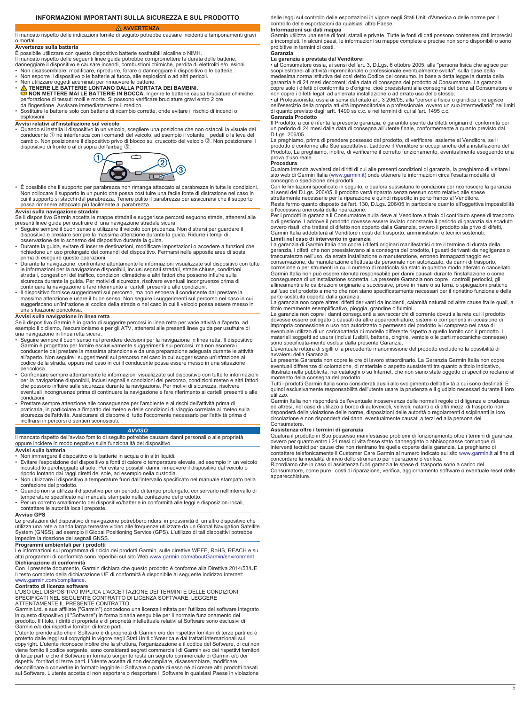### **INFORMAZIONI IMPORTANTI SULLA SICUREZZA E SUL PRODOTTO**

### **AVVERTENZA**

### <span id="page-4-0"></span>Il mancato rispetto delle indicazioni fornite di seguito potrebbe causare incidenti e tamponamenti gravi o mortali.

### **Avvertenze sulla batteria**

È possibile utilizzare con questo dispositivo batterie sostituibili alcaline o NiMH. Il mancato rispetto delle seguenti linee guida potrebbe compromettere la durata delle batterie,

danneggiare il dispositivo e causare incendi, combustioni chimiche, perdita di elettroliti e/o lesioni. • Non disassemblare, modificare, riprodurre, forare o danneggiare il dispositivo o le batterie.

- Non esporre il dispositivo o le batterie al fuoco, alle esplosioni o ad altri pericoli.
- 
- Non utilizzare oggetti acuminati per rimuovere le batterie. **TENERE LE BATTERIE LONTANO DALLA PORTATA DEI BAMBINI. NON METTERE MAI LE BATTERIE IN BOCCA.** Ingerire le batterie causa bruciature chimiche,
- perforazione di tessuti molli e morte. Si possono verificare bruciature gravi entro 2 ore<br>dall'ingestione. Avvisare immediatamente il medico.<br>• Sostituire le batterie solo con batterie di ricambio corrette, onde evitare i
- esplosioni

**Avvisi relativi all'installazione sul veicolo** • Quando si installa il dispositivo in un veicolo, scegliere una posizione che non ostacoli la visuale del conducente (1) né interferisca con i comandi del veicolo, ad esempio il volante, i pedali o la leva del cambio. Non posizionare il dispositivo privo di blocco sul cruscotto del veicolo ©. Non posizionare il dispositivo di fronte o al di sopra dell'airbag 3.



• É possibile che il supporto per parabrezza non rimanga attaccato al parabrezza in tutte le condizioni.<br>Non collocare il supporto in un punto che possa costituire una facile fonte di distrazione nel caso in<br>cui il support

#### **Avvisi sulla navigazione stradale**

Se il dispositivo Garmin accetta le mappe stradali e suggerisce percorsi seguono strade, attenersi alle<br>presenti linee guida per usufruire di una navigazione stradale sicura.<br>• Seguire sempre il buon senso e utilizzare i

- dispositivo e prestare sempre la massima attenzione durante la guida. Ridurre i temp
- \_ osservazione dello schermo del dispositivo durante la guida.<br>▪ Durante la guida, evitare di inserire destinazioni, modificare impostazioni o accedere a funzioni che<br>▪ richiedono un uso prolungato dei comandi del disposi
- prima di eseguire queste operazioni. Durante la navigazione, confrontare attentamente le informazioni visualizzate sul dispositivo con tutte
- le informazioni per la navigazione disponibili, inclusi segnali stradali, strade chiuse, condizioni<br>stradali, congestioni del traffico, condizioni climatiche e altri fattori che possono influire sulla<br>sicurezza durante la continuare la navigazione e fare riferimento ai cartelli presenti e alle condizioni.
- Il dispositivo fornisce suggerimenti sul percorso, ma non esonera il conducente dal prestare la massima attenzione e usare il buon senso. Non seguire i suggerimenti sul percorso nel caso in cui suggeriscano un'infrazione al codice della strada o nel caso in cui il veicolo possa essere messo in una situazione pericolosa.

**Avvisi sulla navigazione in linea retta**<br>Se il dispositivo Garmin è in grado di suggerire percorsi in linea retta per varie attività all'aperto, ad esempio il ciclismo, l'escursionismo e per gli ATV, attenersi alle presenti linee guida per usufruire di una navigazione in linea retta sicura.

- Seguire sempre il buon senso nel prendere decisioni per la navigazione in linea retta. Il dispositivo Garmin è progettato per fornire esclusivamente suggerimenti sui percorsi, ma non esonera il conducente dal prestare la massima attenzione e da una preparazione adeguata durante le attività all'aperto. Non seguire i suggerimenti sul percorso nel caso in cui suggeriscano un'infrazione al codice della strada, oppure nel caso in cui il conducente possa essere messo in una situazione
- pericolosa. Confrontare sempre attentamente le informazioni visualizzate sul dispositivo con tutte le informazioni per la navigazione disponibili, inclusi segnali e condizioni del percorso, condizioni meteo e altri fattori<br>che possono influire sulla sicurezza durante la navigazione. Per motivi di sicurezza, risolvere eventuali incongruenze prima di continuare la navigazione e fare riferimento ai cartelli presenti e alle condizioni.
- Prestare sempre attenzione alle conseguenze per l'ambiente e ai rischi dell'attività prima di praticarla, in particolare all'impatto del meteo e delle condizioni di viaggio correlate al meteo sulla<br>sicurezza dell'attività. Assicurarsi di disporre di tutto l'occorrente necessario per l'attività prima di<br>inoltrarsi i

#### *AVVISO*

Il mancato rispetto dell'avviso fornito di seguito potrebbe causare danni personali o alle proprietà oppure incidere in modo negativo sulla funzionalità del dispositivo. **Avvisi sulla batteria**

• Non immergere il dispositivo o le batterie in acqua o in altri liquidi.

- Evitare l'esposizione del dispositivo a fonti di calore o temperature elevate, ad esempio in un veicolo incustodito parcheggiato al sole. Per evitare possibili danni, rimuovere il dispositivo dal veicolo o
- riporlo lontano dai raggi diretti del sole, ad esempio nella custodia. Non utilizzare il dispositivo a temperature fuori dall'intervallo specificato nel manuale stampato nella confezione del prodotto.
- Quando non si utilizza il dispositivo per un periodo di tempo prolungato, conservarlo nell'intervallo di temperature specificato nel manuale stampato nella confezione del prodotto.
- Per un corretto smaltimento del dispositivo/batterie in conformità alle leggi e disposizioni locali, contattare le autorità locali preposte.

### **Avviso GPS**

Le prestazioni del dispositivo di navigazione potrebbero ridursi in prossimità di un altro dispositivo che utilizza una rete a banda larga terrestre vicino alle frequenze utilizzate da un Global Navigation Satellite System (GNSS), ad esempio il Global Positioning Service (GPS). L'utilizzo di tali dispositivi potrebbe impedire la ricezione dei segnali GNSS.

### **Programmi ambientali per i prodotti**

Le informazioni sul programma di riciclo dei prodotti Garmin, sulle direttive WEEE, RoHS, REACH e su altri programmi di conformità sono reperibili sul sito Web [www.garmin.com/aboutGarmin/environment](http://www.garmin.com/aboutGarmin/environment). **Dichiarazione di conformità**

Con il presente documento, Garmin dichiara che questo prodotto è conforme alla Direttiva 2014/53/UE. Il testo completo della dichiarazione UE di conformità è disponibile al seguente indirizzo Internet: [www.garmin.com/compliance](http://www.garmin.com/compliance).

### **Contratto di licenza software**

L'USO DEL DISPOSITIVO IMPLICA L'ACCETTAZIONE DEI TERMINI E DELLE CONDIZIONI SPECIFICATI NEL SEGUENTE CONTRATTO DI LICENZA SOFTWARE. LEGGERE<br>ATTENTAMENTE IL PRESENTE CONTRATTO.<br>Garmin Ltd. e sue affiliate ("Garmin") concedono una licenza limitata per l'utilizzo del software integrato

in questo dispositivo (il "Software") in forma binaria eseguibile per il normale funzionamento del prodotto. Il titolo, i diritti di proprietà e di proprietà intellettuale relativi al Software sono esclusivi di

Garmin e/o dei rispettivi fornitori di terze parti.<br>L'utente prende atto che il Software è di proprietà di Garmin e/o dei rispettivi fornitori di terze parti ed è<br>protetto dalle leggi sul copyright in vigore negli Stati Un viene fornito il codice sorgente, sono considerati segreti commerciali di Garmin e/o dei rispettivi fornitori<br>di terze parti e che il Software in formato sorgente resta un segreto commerciale di Garmin e/o dei rispettivi fornitori di terze parti. L'utente accetta di non decompilare, disassemblare, modificare, decodificare o convertire in formato leggibile il Software o parte di esso né di creare altri prodotti basati

sul Software. L'utente accetta di non esportare o riesportare il Software in qualsiasi Paese in violazione

delle leggi sul controllo delle esportazioni in vigore negli Stati Uniti d'America o delle norme per il controllo delle esportazioni da qualsiasi altro Paese.

**Informazioni sui dati mappa**<br>Garmin utilizza una serie di fonti statali e private. Tutte le fonti di dati possono contenere dati imprecisi e incompleti. In alcuni paesi, le informazioni su mappe complete e precise non sono disponibili o sono proibitive in termini di costi.

#### **Garanzia La garanzia è prestata dal Venditore:**

• al Consumatore ossia, ai sensi dell'art. 3, D.Lgs. 6 ottobre 2005, alla "persona fisica che agisce per<br>scopi estranei all'attività imprenditoriale o professionale eventualmente svolta", sulla base della<br>medesima norma is copre solo i difetti di conformità o d'origine, cioè preesistenti alla consegna del bene al Consumatore e non copre i difetti legati ad un'errata installazione o ad errato uso dello stesso;

• al Professionista, ossia ai sensi del citato art. 3 206/05, alla "persona fisica o giuridica che agisce<br>nell'esercizio della propria attività imprenditoriale o professionale, ovvero un suo intermediario" nei limiti<br>di qu **Garanzia Prodotto**

Il Prodotto, a cui è riferita la presente garanzia, è garantito esente da difetti originari di conformità per un periodo di 24 mesi dalla data di consegna all'utente finale, conformemente a quanto previsto dal D.Lgs. 206/05.

La preghiamo, prima di prendere possesso del prodotto, di verificare, assieme al Venditore, se il prodotto è conforme alle Sue aspettative. Laddove il Venditore si occupi anche della installazione del Prodotto, La preghiamo, inoltre, di verificarne il corretto funzionamento, eventualmente eseguendo una prova d'uso reale. **Procedura**

Qualora intenda avvalersi dei diritti di cui alle presenti condizioni di garanzia, la preghiamo di visitare il sito web di Garmin Italia [\(www.garmin.it](http://www.garmin.it)) onde ottenere le informazioni circa l'esatta modalità di consegna o spedizione dei prodotti.

Con le limitazioni specificate in seguito, e qualora sussistano le condizioni per riconoscere la garanzia ai sensi del D.Lgs. 206/05, il prodotto verrà riparato senza nessun costo relativo alle spese strettamente necessarie per la riparazione e quindi rispedito in porto franco al Venditore.

Resta fermo quanto disposto dall'art. 130, D.Lgs. 206/05 in particolare quanto all'oggettiva impossibilità o l'eccessiva onerosità della riparazione.

Per i prodotti in garanzia il Consumatore nulla deve al Venditore a titolo di contributo spese di trasporto o di gestione. Laddove il prodotto dovesse essere inviato nonostante il periodo di garanzia sia scaduto ovvero risulti che trattasi di difetto non coperto dalla Garanzia, ovvero il prodotto sia privo di difetti, Garmin Italia addebiterà al Venditore i costi del trasporto, amministrativi e tecnici sostenuti. **Limiti nel caso di intervento in garanzia**

La garanzia di Garmin Italia non copre i difetti originari manifestatisi oltre il termine di durata della garanzia, i difetti che non preesistevano alla consegna del prodotto, i guasti derivanti da negligenza o trascuratezza nell'uso, da errata installazione o manutenzione, erroneo immagazzinaggio e/o conservazione, da manutenzione effettuata da personale non autorizzato, da danni di trasporto,<br>corrosione o per strumenti in cui il numero di matricola sia stato in qualche modo alterato o cancellato.<br>Garmin Italia non può conseguenza di un'installazione scorretta. La presente Garanzia non copre i controlli periodici, gli allineamenti e le calibrazioni originarie e successive, prove in mare o su terra, o spiegazioni pratiche sull'uso del prodotto a meno che non siano specificatamente necessari per il ripristino funzionale della parte sostituita coperta dalla garanzia.

La garanzia non copre altresì difetti derivanti da incidenti, calamità naturali od altre cause fra le quali, a titolo meramente esemplificativo, pioggia, grandine o fulmini.

La garanzia non copre i danni conseguenti a sovraccarichi di corrente dovuti alla rete cui il prodotto dovesse essere collegato o causati da altre apparecchiature, sistemi o componenti in occasione di<br>impropria connessione o uso non autorizzato o permesso del prodotto ivi compreso nel caso di<br>eventuale utilizzo di un carica materiali soggetti ad usura (inclusi fusibili, batterie, cinghie, ventole o le parti meccaniche connesse) sono specificata-mente esclusi dalla presente Garanzia.

L'eventuale rottura di sigilli o la precedente manomissione del prodotto escludono la possibilità di avvalersi della Garanzia.

La presente Garanzia non copre le ore di lavoro straordinario. La Garanzia Garmin Italia non copre eventuali differenze di colorazione, di materiale o aspetto sussistenti tra quanto a titolo indicativo, illustrato nella pubblicità, nei cataloghi o su Internet, che non siano state oggetto di specifico reclamo al<br>momento della consegna del prodotto.<br>Tutti i prodotti Garmin Italia sono considerati ausili allo svolgimento del

quindi esclusivamente responsabilità dell'utente usare la prudenza e il giudizio necessari durante il loro utilizzo.

Garmin Italia non risponderà dell'eventuale inosservanza delle normali regole di diligenza e prudenza ed altresì, nel caso di utilizzo a bordo di autoveicoli, velivoli, natanti o di altri mezzi di trasporto non risponderà della violazione delle norme, disposizioni delle autorità o regolamenti disciplinanti la loro circolazione e non risponderà dei danni eventualmente causati a terzi ed alla persona del Consumatore.

#### **Assistenza oltre i termini di garanzia**

Qualora il prodotto in Suo possesso manifestasse problemi di funzionamento oltre i termini di garanzia, ovvero per quanto entro i 24 mesi di vita fosse stato danneggiato o abbisognasse comunque di interventi tecnici per cause che non rientrano fra quelle coperte dalla garanzia, La preghiamo di contattare telefonicamente il Customer Care Garmin al numero indicato sul sito [www.garmin.it](http://www.garmin.it) al fine di

concordare la modalità di invio dello strumento per riparazione o verifica.<br>Ricordiamo che in caso di assistenza fuori garanzia le spese di trasporto sono a carico del<br>Consumatore, come pure i costi di riparazione, verific

apparecchiature.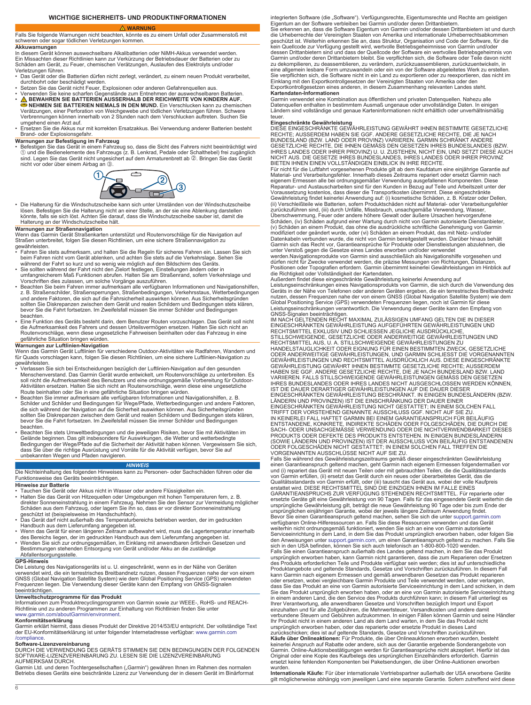### **WICHTIGE SICHERHEITS- UND PRODUKTINFORMATIONEN**

### **WARNUNG**

### <span id="page-5-0"></span>Falls Sie folgende Warnungen nicht beachten, könnte es zu einem Unfall oder Zusammenstoß mit schweren oder sogar tödlichen Verletzungen kommen.

**Akkuwarnungen**

In diesem Gerät können auswechselbare Alkalibatterien oder NiMH-Akkus verwendet werden. Ein Missachten dieser Richtlinien kann zur Verkürzung der Betriebsdauer der Batterien oder zu Schäden am Gerät, zu Feuer, chemischen Verätzungen, Auslaufen des Elektrolyts und/oder Verletzungen führen.

- Das Gerät oder die Batterien dürfen nicht zerlegt, verändert, zu einem neuen Produkt verarbeitet, durchbohrt oder beschädigt werden. • Setzen Sie das Gerät nicht Feuer, Explosionen oder anderen Gefahrenquellen aus.
- 
- Verwenden Sie keine scharfen Gegenstände zum Entnehmen der auswechselbaren Batterien.<br>● NEWAHREN SIE BATTERIEN AUSSERHALB DER REICHWEITE VON KINDERN AUF.<br>● NEHMEN SIE BATTERIEN NIEMALS IN DEN MUND. Ein Verschlucken kann Verbrennungen können innerhalb von 2 Stunden nach dem Verschlucken auftreten. Suchen Sie umgehend einen Arzt auf.
- Ersetzen Sie die Akkus nur mit korrekten Ersatzakkus. Bei Verwendung anderer Batterien besteht Brand- oder Explosionsgefahr.

### **Warnungen zur Befestigung im Fahrzeug**

• Befestigen Sie das Gerät in einem Fahrzeug so, dass die Sicht des Fahrers nicht beeinträchtigt wird À und die Bedienelemente des Fahrzeugs (z. B. Lenkrad, Pedale oder Schalthebel) frei zugänglich sind. Legen Sie das Gerät nicht ungesichert auf dem Armaturenbrett ab 2. Bringen Sie das Gerät nicht vor oder über einem Airbag an Â.



• Die Halterung für die Windschutzscheibe kann sich unter Umständen von der Windschutzscheibe lösen. Befestigen Sie die Halterung nicht an einer Stelle, an der sie eine Ablenkung darstellen könnte, falls sie sich löst. Achten Sie darauf, dass die Windschutzscheibe sauber ist, damit die Halterung an der Windschutzscheibe hält.

#### **Warnungen zur Straßennavigation**

Wenn das Garmin Gerät Straßenkarten unterstützt und Routenvorschläge für die Navigation auf Straßen unterbreitet, folgen Sie diesen Richtlinien, um eine sichere Straßennavigation zu gewährleisten.

- Fahren Sie stets aufmerksam, und halten Sie die Regeln für sicheres Fahren ein. Lassen Sie sich
- beim Fahren nicht vom Gerät ablenken, und achten Sie stets auf die Verkehrslage. Sehen Sie<br>während der Fahrt so kurz und so wenig wie möglich auf den Bildschirm des Geräts.<br>• Sie sollten während der Fahrt nicht den Zielort
- Vorschriften dies zulassen, um solche Vorgänge auszuführen. Beachten Sie beim Fahren immer aufmerksam alle verfügbaren Informationen und Navigationshilfen, z. B. Straßenschilder, Straßensperrungen, Straßenbedingungen, Verkehrsstaus, Wetterbedingungen<br>und andere Faktoren, die sich auf die Fahrsicherheit auswirken können. Aus Sicherheitsgründen<br>sollten Sie Diskrepanzen zwischen bevor Sie die Fahrt fortsetzen. Im Zweifelsfall müssen Sie immer Schilder und Bedingungen beachten.
- Eine Funktion des Geräts besteht darin, dem Benutzer Routen vorzuschlagen. Das Gerät soll nicht die Aufmerksamkeit des Fahrers und dessen Urteilsvermögen ersetzen. Halten Sie sich nicht an Routenvorschläge, wenn diese ungesetzliche Fahrweisen beinhalten oder das Fahrzeug in eine gefährliche Situation bringen würden.

### **Warnungen zur Luftlinien-Navigation**

Wenn das Garmin Gerät Luftlinien für verschiedene Outdoor-Aktivitäten wie Radfahren, Wandern und für Quads vorschlagen kann, folgen Sie diesen Richtlinien, um eine sichere Luftlinien-Navigation zu gewährleisten.

- Verlassen Sie sich bei Entscheidungen bezüglich der Luftlinien-Navigation auf den gesunden Menschenverstand. Das Garmin Gerät wurde entwickelt, um Routenvorschläge zu unterbreiten. Es soll nicht die Aufmerksamkeit des Benutzers und eine ordnungsgemäße Vorbereitung für Outdoor-Aktivitäten ersetzen. Halten Sie sich nicht an Routenvorschläge, wenn diese eine ungesetzliche<br>Route beinhalten oder Sie in eine gefährliche Situation bringen würden.<br>• Beachten Sie immer aufmerksam alle verfügbaren Infor
- Schilder und Schilder und Bedingungen für Wege/Pfade, Wetterbedingungen und andere Faktoren,<br>die sich während der Navigation auf die Sicherheit auswirken können. Aus Sicherheitsgründen<br>sollten Sie Diskrepanzen zwischen de beachten
- Beachten Sie stets Umweltbedingungen und die jeweiligen Risiken, bevor Sie mit Aktivitäten im Gelände beginnen. Das gilt insbesondere für Auswirkungen, die Wetter und wetterbedingte<br>Bedingungen der Wege/Pfade auf die Sicherheit der Aktivität haben können. Vergewissern Sie sich,<br>dass Sie über die richtige Ausrüstung unbekannten Wegen und Pfaden navigieren.

#### *HINWEIS*

Die Nichteinhaltung des folgenden Hinweises kann zu Personen- oder Sachschäden führen oder die Funktionsweise des Geräts beeinträchtigen.

#### **Hinweise zur Batterie**

- 
- Tauchen Sie Gerät oder Akkus nicht in Wasser oder andere Flüssigkeiten ein.<br>• Halten Sie das Gerät von Hitzequellen oder Umgebungen mit hohen Temperaturen fern, z. B.<br>• direkter Sonneneinstrahlung in einem Fahrzeug. Schäden aus dem Fahrzeug, oder lagern Sie ihn so, dass er vor direkter Sonneneinstrahlung<br>oeschützt ist (beispielsweise im Handschuhfach).<br>• Das Gerät darf nicht außerhalb des Temperaturbereichs betrieben werden, der im g
- Handbuch aus dem Lieferumfang angegeben ist. Wenn das Gerät für einen längeren Zeitraum aufbewahrt wird, muss die Lagertemperatur innerhalb
- 
- des Bereichs liegen, der im gedruckten Handbuch aus dem Lieferumfang angegeben ist.<br>• Wenden Sie sich zur ordnungsgemäßen, im Einklang mit anwendbaren örtlichen Gesetzen und<br>• Bestimmungen stehenden Entsorgung von Gerät un Abfallentsorgungsstelle.

#### **GPS-Hinweis**

Die Leistung des Navigationsgeräts ist u. U. eingeschränkt, wenn es in der Nähe von Geräten<br>verwendet wird, die ein terrestrisches Breitbandnetz nutzen, dessen Frequenzen nahe der von einem<br>GNSS (Global Navigation Satellit Frequenzen liegen. Die Verwendung dieser Geräte kann den Empfang von GNSS-Signalen beeinträchtigen.

#### **Umweltschutzprogramme für das Produkt**

Informationen zum Produktrecyclingprogramm von Garmin sowie zur WEEE-, RoHS- und REACH-Richtlinie und zu anderen Programmen zur Einhaltung von Richtlinien finden Sie unter [www.garmin.com/aboutGarmin/environment](http://www.garmin.com/aboutGarmin/environment).

**Konformitätserklärung**<br>Garmin erklärt hiermit, dass dieses Produkt der Direktive 2014/53/EU entspricht. Der vollständige Text der EU-Konformitätserklärung ist unter folgender Internetadresse verfügbar: [www.garmin.com](http://www.garmin.com/compliance) [/compliance](http://www.garmin.com/compliance).

**Software-Lizenzvereinbarung**<br>DURCH DIE VERWENDUNG DES GERÄTS STIMMEN SIE DEN BEDINGUNGEN DER FOLGENDEN<br>SOFTWARE-LIZENZVEREINBARUNG ZU. LESEN SIE DIE LIZENZVEREINBARUNG AUFMERKSAM DURCH.

Garmin Ltd. und deren Tochtergesellschaften ("Garmin") gewähren Ihnen im Rahmen des normalen<br>Betriebs dieses Geräts eine beschränkte Lizenz zur Verwendung der in diesem Gerät im Binärformat

integrierten Software (die "Software"). Verfügungsrechte, Eigentumsrechte und Rechte am geistigen<br>Eigentum an der Software verbleiben bei Garmin und/oder deren Drittanbietern.

Sie erkennen an, dass die Software Eigentum von Garmin und/oder dessen Drittanbietern ist und durch die Urheberrechte der Vereinigten Staaten von Amerika und internationale Urheberrechtsabkommen geschützt ist. Weiterhin erkennen Sie an, dass Struktur, Organisation und Code der Software, für die<br>kein Quellcode zur Verfügung gestellt wird, wertvolle Betriebsgeheimnisse von Garmin und/oder<br>dessen Drittanbietern sind Garmin und/oder deren Drittanbietern bleibt. Sie verpflichten sich, die Software oder Teile davon nicht zu dekompilieren, zu deassemblieren, zu verändern, zurückzuassemblieren, zurückzuentwickeln, in eine allgemein lesbare Form umzuwandeln oder ein von der Software abgeleitetes Werk zu erstellen. Sie verpflichten sich, die Software nicht in ein Land zu exportieren oder zu reexportieren, das nicht im Einklang mit den Exportkontrollgesetzen der Vereinigten Staaten von Amerika oder den Exportkontrollgesetzen eines anderen, in diesem Zusammenhang relevanten Landes steht.

**Kartendaten-Informationen** Garmin verwendet eine Kombination aus öffentlichen und privaten Datenquellen. Nahezu alle Datenquellen enthalten in bestimmtem Ausmaß ungenaue oder unvollständige Daten. In einigen Ländern sind vollständige und genaue Karteninformationen nicht erhältlich oder unverhältnismäßig teuer.

**Eingeschränkte Gewährleistung**<br>DIESE EINGESCHRÄNKTE GEWÄHRLEISTUNG GEWÄHRT IHNEN BESTIMMTE GESETZLICHE<br>RECHTE; AUSSERDEM HABEN SIE GGF. ANDERE GESETZLICHE RECHTE, DIE JE NACH BUNDESLAND (BZW. LAND ODER PROVINZ) VARIIEREN. GARMIN SCHRÄNKT ANDERE<br>GESETZLICHE RECHTE, DIE IHNEN GEMÄSS DEN GESETZEN IHRES BUNDESLANDES (BZW. IHRES LANDES ODER IHRER PROVINZ) U. U. ZUSTEHEN, NICHT EIN, UND SETZT DIESE AUCH<br>NICHT AUS. DIE GESETZE IHRES BUNDESLANDES, IHRES LANDES ODER IHRER PROVINZ<br>BIETEN IHNEN EINEN VOLLSTÄNDIGEN EINBLICK IN IHRE RECHTE.

Für nicht für die Luftfahrt vorgesehenen Produkte gilt ab dem Kaufdatum eine einjährige Garantie auf Material- und Verarbeitungsfehler. Innerhalb dieses Zeitraums repariert oder ersetzt Garmin nach<br>eigenem Ermessen alle bei ordnungsgemäßer Verwendung ausgefallenen Komponenten. Diese<br>Reparatur- und Austauscharbeiten sind f (ii) Verschleißteile wie Batterien, sofern Produktschäden nicht auf Material- oder Verarbeitungsfehler<br>zurückzuführen sind, (iii) durch Unfälle, Missbrauch, unsachgemäße Verwendung, Wasser,<br>Überschwemmung, Feuer oder ander

(v) Schäden an einem Produkt, das ohne die ausdrückliche schriftliche Genehmigung von Garmin modifiziert oder geändert wurde, oder (vi) Schäden an einem Produkt, das mit Netz- und/oder Datenkabeln verbunden wurde, die nicht von Garmin bereitgestellt wurden. Darüber hinaus behält<br>Garmin sich das Recht vor, Garantieansprüche für Produkte oder Dienstleistungen abzulehnen, die<br>unter Verstoß gegen die Gesetze

dürfen nicht für Zwecke verwendet werden, die präzise Messungen von Richtungen, Distanzen,<br>Positionen oder Topografien erfordern. Garmin übernimmt keinerlei Gewährleistungen im Hinblick auf<br>die Richtigkeit oder Vollständig

Außerdem findet diese eingeschränkte Gewährleistung keinerlei Anwendung auf Leistungseinschränkungen eines Navigationsprodukts von Garmin, die sich durch die Verwendung des<br>Geräts in der Nähe von Telefonen oder anderen Geräten ergeben, die ein terrestrisches Breitbandnetz<br>nutzen, dessen Frequenzen Global Positioning Service (GPS) verwendeten Frequenzen liegen, noch ist Garmin für diese Leistungseinschränkungen verantwortlich. Die Verwendung dieser Geräte kann den Empfang von

GNSS-Signalen beeinträchtigen.<br>IM NACH GELTENDEN RECHT MAXIMAL ZULÄSSIGEN UMFANG GELTEN DIE IN DIESER<br>EINGESCHRÄNKTEN GEWÄHRLEISTUNG AUFGEFÜHRTEN GEWÄHRLEISTUNGEN UND<br>RECHTSMITTEL EXKLUSIV UND SCHLIESSEN JEGLICHE AUSDRÜCKL STILLSCHWEIGENDE, GESETZLICHE ODER ANDERWEITIGE GEWÄHRLEISTUNGEN UND<br>RECHTSMITTEL AUS, U. A. STILLSCHWEIGENDE GEWÄHRLEISTUNGEN ZU<br>HANDELSTAUGLICHKEIT ODER EIGNUNG FÜR EINEN BESTIMMTEN ZWECK, GESETZLICHE ODER ANDERWEITIGE GEWÄHRLEISTUNGEN, UND GARMIN SCHLIESST DIE VORGENANNTEN<br>GEWÄHRLEISTUNGEN UND RECHTSMITTEL AUSDRÜCKLICH AUS. DIESE EINGESCHRÄNKTE GEWÄHRLEISTUNG GEWÄHRT IHNEN BESTIMMTE GESETZLICHE RECHTE; AUSSERDEM<br>HABEN SIE GGF. ANDERE GESETZLICHE RECHTE, DIE JE NACH BUNDESLAND BZW. LAND<br>VARIIEREN. FALLS STILLSCHWEIGENDE GEWÄHRLEISTUNGEN GEMÄSS DEN GESETZEN<br>IHRES B IST DIE DAUER DERARTIGER GEWÄHRLEISTUNGEN AUF DIE DAUER DIESER<br>EINGESCHRÄNKTEN GEWÄHRLEISTUNG BESCHRÄNKT. IN EINIGEN BUNDESLÄNDERN (BZW.<br>LÄNDERN UND PROVINZEN) IST DIE EINSCHRÄNKUNG DER DAUER EINER<br>EINGESCHRÄNKTEN GEWÄHRLE IN KEINERLEI FALL HAFTET GARMIN BEI EINEM GARANTIEANSPRUCH FÜR BEILÄUFIG ENTSTANDENE, KONKRETE, INDIREKTE SCHÄDEN ODER FOLGESCHÄDEN, DIE DURCH DIE<br>SACH- ODER UNSACHGEMÄSSE VERWENDUNG ODER DIE NICHTVERWENDBARKEIT DIESES<br>PRODUKTS ODER DEFEKTE DES PRODUKTS ENTSTEHEN. IN EINIGEN BUNDESLÄNDERN (SOWIE LÄNDERN UND PROVINZEN) IST DER AUSSCHLUSS VON BEILÄUFIG ENTSTANDENEN ODER FOLGESCHÄDEN NICHT GESTATTET; IN EINEM SOLCHEN FALL TREFFEN DIE

VORGENANNTEN AUSSCHLÜSSE NICHT AUF SIE ZU. Falls Sie während des Gewährleistungszeitraums gemäß dieser eingeschränkten Gewährleistung<br>einen Garantieanspruch geltend machen, geht Garmin nach eigenem Ermessen folgendermaßen vor<br>und (i) repariert das Gerät mit neuen T von Garmin erfüllen, (ii) ersetzt das Gerät durch ein neues oder überarbeitetes Gerät, das die Qualitätsstandards von Garmin erfüllt, oder (iii) tauscht das Gerät aus, wobei der volle Kaufpreis erstattet wird. DIESE RECHTSMITTEL SIND DIE EINZIGEN IHNEN IM FALLE EINES<br>GARANTIEANSPRUCHS ZUR VERFÜGUNG STEHENDEN RECHTSMITTEL. Für reparierte oder<br>ersetzte Geräte gilt eine Gewährleistung von 90 Tagen. Falls für das ein ursprünglichen einjährigen Garantie, wobei der jeweils längere Zeitraum Anwendung findet.<br>Bevor Sie einen Garantieanspruch geltend machen, sehen Sie sich die unter support.garmin.com<br>verfügbaren Online-Hilferessourcen an. weiterhin nicht ordnungsgemäß funktioniert, wenden Sie sich an eine von Garmin autorisierte Serviceeinrichtung in dem Land, in dem Sie das Produkt ursprünglich erworben haben, oder folgen Sie den Anweisungen unter [support.garmin.com](http://www.support.garmin.com), um einen Garantieanspruch geltend zu machen. Falls Sie<br>sich in den USA befinden, können Sie sich auch telefonisch an 1-800-800-1020 wenden. Falls Sie einen Garantieanspruch außerhalb des Landes geltend machen, in dem Sie das Produkt ursprünglich erworben haben, kann Garmin nicht garantieren, dass die zum Reparieren oder Ersetzen des Produkts erforderlichen Teile und Produkte verfügbar sein werden; dies ist auf unterschiedliche Produktangebote und geltende Standards, Gesetze und Vorschriften zurückzuführen. In diesem Fall kann Garmin nach eigenem Ermessen und gemäß anwendbaren Gesetzen das Produkt reparieren<br>oder ersetzen, wobei vergleichbare Garmin Produkte und Teile verwendet werden, oder verlangen,<br>dass Sie das Produkt an eine von Garmin verbundene Steuern und Gebühren aufzukommen. In einigen Fällen können Garmin und seine Händler<br>Ihr Produkt nicht in einem anderen Land als dem Land warten, in dem Sie das Produkt nicht ursprünglich erworben haben, oder das reparierte oder ersetzte Produkt in dieses Land<br>zurückschicken; dies ist auf geltende Standards, Gesetze und Vorschriften zurückzuführen.<br>**Käufe über Onlineaktionen:** Für Produkte, die

Garmin. Online-Auktionsbestätigungen werden für Garantieansprüche nicht akzeptiert. Hierfür ist das Original oder eine Kopie des Kaufbelegs des ursprünglichen Einzelhändlers erforderlich. Garmin ersetzt keine fehlenden Komponenten bei Paketsendungen, die über Online-Auktionen erworben wurden.

**Internationale Käufe:** Für über internationale Vertriebspartner außerhalb der USA erworbene Geräte gilt möglicherweise abhängig vom jeweiligen Land eine separate Garantie. Sofern zutreffend wird diese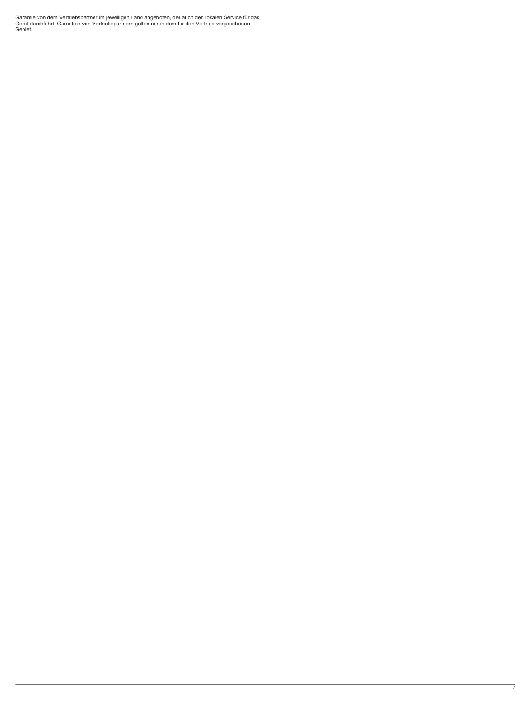Garantie von dem Vertriebspartner im jeweiligen Land angeboten, der auch den lokalen Service für das Gerät durchführt. Garantien von Vertriebspartnern gelten nur in dem für den Vertrieb vorgesehenen Gebiet.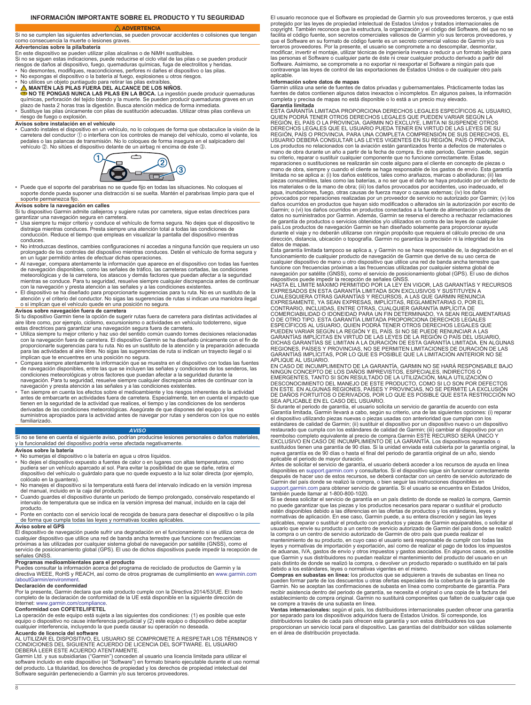### <span id="page-7-0"></span>**INFORMACIÓN IMPORTANTE SOBRE EL PRODUCTO Y TU SEGURIDAD**

### **ADVERTENCIA**

Si no se cumplen las siguientes advertencias, se pueden provocar accidentes o colisiones que tengan como consecuencia la muerte o lesiones graves. **Advertencias sobre la pila/batería**

En este dispositivo se pueden utilizar pilas alcalinas o de NiMH sustituibles. Si no se siguen estas indicaciones, puede reducirse el ciclo vital de las pilas o se pueden producir riesgos de daños al dispositivo, fuego, quemaduras químicas, fuga de electrolitos y heridas. • No desmontes, modifiques, reacondiciones, perfores ni dañes el dispositivo o las pilas.

- 
- No expongas el dispositivo o la batería al fuego, explosiones u otros riesgos.<br>• No utilices un objeto puntiagudo para retirar las pilas extraíbles.<br>• <u> A </u> MANTÉN LAS PILAS FUERA DEL ALCANCE DE LOS NIÑOS.
- **NO TE PONGAS NUNCA LAS PILAS EN LA BOCA.** La ingestión puede producir quemaduras químicas, perforación del tejido blando y la muerte. Se pueden producir quemaduras graves en un plazo de hasta 2 horas tras la digestión. Busca atención médica de forma inmediata.
- Sustituye las pilas únicamente con pilas de sustitución adecuadas. Utilizar otras pilas conlleva un

## riesgo de fuego o explosión.

**Avisos sobre instalación en el vehículo** • Cuando instales el dispositivo en un vehículo, no lo coloques de forma que obstaculice la visión de la carretera del conductor  $\overline{D}$  o interfiera con los controles de manejo del vehículo, como el volante, los pedales o las palancas de transmisión. No lo coloques de forma insegura en el salpicadero del vehículo 2. No sitúes el dispositivo delante de un airbag ni encima de éste 3.



• Puede que el soporte del parabrisas no se quede fijo en todas las situaciones. No coloques el soporte donde pueda suponer una distracción si se suelta. Mantén el parabrisas limpio para que el soporte permanezca fijo.

**Avisos sobre la navegación en calles** Si tu dispositivo Garmin admite callejeros y sugiere rutas por carretera, sigue estas directrices para garantizar una navegación segura en carretera.

- Usa siempre tu mejor criterio y conduce el vehículo de forma segura. No dejes que el dispositivo te distraiga mientras conduces. Presta siempre una atención total a todas las condiciones de conducción. Reduce el tiempo que empleas en visualizar la pantalla del dispositivo mientras conduces.
- No introduzcas destinos, cambies configuraciones ni accedas a ninguna función que requiera un uso prolongado de los controles del dispositivo mientras conduces. Detén el vehículo de forma segura y
- en un lugar permitido antes de efectuar dichas operaciones. Al navegar, compara atentamente la información que aparece en el dispositivo con todas las fuentes de navegación disponibles, como las señales de tráfico, las carreteras cortadas, las condiciones<br>meteorológicas y de la carretera, los atascos y demás factores que puedan afectar a la seguridad<br>mientras se conduce. Para tu
- El dispositivo se ha diseñado para proporcionarte sugerencias para tu ruta. No es un sustituto de la atención y el criterio del conductor. No sigas las sugerencias de rutas si indican una maniobra ilegal
- o si implican que el vehículo quede en una posición no segura. **Avisos sobre navegación fuera de carretera**

Si tu dispositivo Garmin tiene la opción de sugerir rutas fuera de carretera para distintas actividades al aire libre como, por ejemplo, ciclismo, excursionismo o actividades en vehículo todoterreno, sigue

- estas directrices para garantizar una navegación segura fuera de carretera.<br>• Utiliza siempre tu mejor criterio y haz uso del sentido común cuando tomes decisiones relacionadas<br>• Con la navegación fuera de carretera. El di para las actividades al aire libre. No sigas las sugerencias de ruta si indican un trayecto ilegal o si implican que te encuentres en una posición no segura.
- Compara siempre atentamente la información que se muestra en el dispositivo con todas las fuentes de navegación disponibles, entre las que se incluyen las señales y condiciones de los senderos, las condiciones meteorológicas y otros factores que puedan afectar a la seguridad durante la navegación. Para tu seguridad, resuelve siempre cualquier discrepancia antes de continuar con la
- navegación y presta atención a las señales y a las condiciones existentes.<br>• Ten siempre en cuenta los efectos sobre el medioambiente y los riesgos inherentes de la actividad<br>• antes de embarcarte en actividades fuera de c tienen en la seguridad de la actividad que realices, el tiempo y las condiciones de los senderos derivadas de las condiciones meteorológicas. Asegúrate de que dispones del equipo y los suministros apropiados para la actividad antes de navegar por rutas y senderos con los que no estés familiarizado.

### *AVISO*

Si no se tiene en cuenta el siguiente aviso, podrían producirse lesiones personales o daños materiales,<br>y la funcionalidad del dispositivo podría verse afectada negativamente. **Avisos sobre la batería**

- ∙ No sumerjas el dispositivo o la batería en agua u otros líquidos.<br>∙ No dejes el dispositivo expuesto a fuentes de calor o en lugares con altas temperaturas, como<br>− pudiera ser un vehículo aparcado al sol. Para evi dispositivo del vehículo o guárdalo para que no quede expuesto a la luz solar directa (por ejemplo, colócalo en la guantera).
- No manejes el dispositivo si la temperatura está fuera del intervalo indicado en la versión impresa del manual, incluido en la caja del producto.
- Cuando guardes el dispositivo durante un período de tiempo prolongado, consérvalo respetando el intervalo de temperatura que se indica en la versión impresa del manual, incluido en la caja del
- producto. Ponte en contacto con el servicio local de recogida de basura para desechar el dispositivo o la pila de forma que cumpla todas las leyes y normativas locales aplicables.

#### **Aviso sobre el GPS**

El dispositivo de navegación puede sufrir una degradación en el funcionamiento si se utiliza cerca de cualquier dispositivo que utilice una red de banda ancha terrestre que funcione con frecuencias próximas a las utilizadas por cualquier sistema global de navegación por satélite (GNSS), como el<br>servicio de posicionamiento global (GPS). El uso de dichos dispositivos puede impedir la recepción de señales GNSS.

### **Programas medioambientales para el producto**

Puedes consultar la información acerca del programa de reciclado de productos de Garmin y la directiva WEEE, RoHS y REACH, así como de otros programas de cumplimiento en [www.garmin.com](http://www.garmin.com/aboutGarmin/environment) [/aboutGarmin/environment](http://www.garmin.com/aboutGarmin/environment).

**Declaración de conformidad**<br>Por la presente, Garmin declara que este producto cumple con la Directiva 2014/53/UE. El texto<br>completo de la declaración de conformidad de la UE está disponible en la siguiente dirección de Internet: [www.garmin.com/compliance.](http://www.garmin.com/compliance)

#### **Conformidad con COFETEL/IFETEL**

La operación de este equipo está sujeta a las siguientes dos condiciones: (1) es posible que este equipo o dispositivo no cause interferencia perjudicial y (2) este equipo o dispositivo debe aceptar cualquier interferencia, incluyendo la que pueda causar su operación no deseada.

#### **Acuerdo de licencia del software**

AL UTILIZAR EL DISPOSITIVO, EL USUARIO SE COMPROMETE A RESPETAR LOS TÉRMINOS Y<br>CONDICIONES DEL SIGUIENTE ACUERDO DE LICENCIA DEL SOFTWARE. EL USUARIO<br>DEBERÁ LEER ESTE ACUERDO ATENTAMENTE.<br>Garmin Ltd. y sus subsidiarias ("G Software seguirán perteneciendo a Garmin y/o sus terceros proveedores

El usuario reconoce que el Software es propiedad de Garmin y/o sus proveedores terceros, y que está protegido por las leyes de propiedad intelectual de Estados Unidos y tratados internacionales de copyright. También reconoce que la estructura, la organización y el código del Software, del que no se facilita el código fuente, son secretos comerciales valiosos de Garmin y/o sus terceros proveedores, y que el Software en su formato de código fuente es un secreto comercial valioso de Garmin y/o sus<br>terceros proveedores. Por la presente, el usuario se compromete a no descompilar, desmontar,<br>modificar, invertir el montaje, las personas el Software o cualquier parte de éste ni crear cualquier producto derivado a partir del Software. Asimismo, se compromete a no exportar ni reexportar el Software a ningún país que contravenga las leyes de control de las exportaciones de Estados Unidos o de cualquier otro país aplicable.

#### **Información sobre datos de mapas**

Garmin utiliza una serie de fuentes de datos privadas y gubernamentales. Prácticamente todas las<br>fuentes de datos contienen algunos datos inexactos o incompletos. En algunos países, la información<br>completa y precisa de map

**Garantía limitada** ESTA GARANTÍA LIMITADA PROPORCIONA DERECHOS LEGALES ESPECÍFICOS AL USUARIO, QUIEN PODRA TENER OTROS DERECHOS LEGALES QUE PUEDEN VARIAR SEGUN LA<br>REGIÓN, EL PÁÍS O LA PROVINCIA. GARMIN NO EXCLUYE, LIMITA NI SUSPENDE OTROS<br>DERECHOS LEGALES QUE EL USUARIO PUEDA TENER EN VIRTUD DE LAS LEYES DE SU<br>REGIÓ USUARIO DEBERÁ CONSULTAR LAS LEYES VIGENTES EN SU REGIÓN, PAÍS O PROVINCIA. Los productos no relacionados con la aviación están garantizados frente a defectos de materiales o mano de obra durante un año a partir de la fecha de compra. En este periodo, Garmin puede, según su criterio, reparar o sustituir cualquier componente que no funcione correctamente. Estas reparaciones o sustituciones se realizarán sin coste alguno para el cliente en concepto de piezas o mano de obra, siempre y cuando el cliente se haga responsable de los gastos de envío. Esta garantía limitada no se aplica a: (i) los daños estéticos, tales como arañazos, marcas o abolladuras; (ii) las piezas consumibles, tales como las baterías, a no ser que el daño se haya producido por un defecto de los materiales o de la mano de obra; (iii) los daños provocados por accidentes, uso inadecuado, el<br>agua, inundaciones, fuego, otras causas de fuerza mayor o causas externas; (iv) los daños<br>provocados por reparaciones reali daños ocurridos en productos que hayan sido modificados o alterados sin la autorización por escrito de Garmin; o (vi) los daños ocurridos en productos conectados a la fuente de alimentación y/o cables de datos no suministrados por Garmin. Además, Garmin se reserva el derecho a rechazar reclamaciones de garantía de productos o servicios obtenidos y/o utilizados en contra de las leyes de cualquier país.Los productos de navegación Garmin se han diseñado solamente para proporcionar ayuda durante el viaje y no deberán utilizarse con ningún propósito que requiera el cálculo preciso de una dirección, distancia, ubicación o topografía. Garmin no garantiza la precisión ni la integridad de los

datos de mapas. Esta garantía limitada tampoco se aplica a, y Garmin no se hace responsable de, la degradación en el funcionamiento de cualquier producto de navegación de Garmin que derive de su uso cerca de cualquier dispositivo de mano u otro dispositivo que utilice una red de banda ancha terrestre que<br>funcione con frecuencias próximas a las frecuencias utilizadas por cualquier sistema global de<br>navegación por satélite (GNSS

dispositivos puede impedir la recepción de señales GNSS.<br>HASTA EL LÍMITE MÁXIMO PERMITIDO POR LA LEY EN VIGOR, LAS GARANTÍAS Y RECURSOS<br>EXPRESADOS EN ESTA GARANTÍA LIMITADA SON EXCLUSIVOS Y SUSTITUYEN A<br>CUALESQUIERA OTRAS COMERCIABILIDAD O IDONEIDAD PARA UN FIN DETERMINADO, YA SEAN REGLAMENTARIAS<br>O DE OTRO TIPO. ESTA GARANTÍA LIMITADA PROPORCIONA DERECHOS LEGALES<br>ESPECÍFICOS AL USUARIO, QUIEN PODRÁ TENER OTROS DERECHOS LEGALES QUE<br>PUEDEN VA GARANTÍAS IMPLÍCITAS EN VIRTUD DE LAS LEYES DE LA REGIÓN O PAÍS DEL USUARIO,<br>DICHAS GARANTÍAS SE LIMITAN A LA DURACIÓN DE ESTA GARANTÍA LIMITADA. EN ALGUNAS<br>REGIONES, PAÍSES Y PROVINCIAS, NO SE PERMITEN LIMITACIONES DE DUR GARANTÍAS IMPLÍCITAS, POR LO QUE ES POSIBLE QUE LA LIMITACIÓN ANTERIOR NO SE APLIQUE AL USUARIO.

EN CASO DE INCUMPLIMIENTO DE LA GARANTIA, GARMIN NO SE HARA RESPONSABLE BAJO<br>NINGÚN CONCEPTO DE LOS DAÑOS IMPREVISTOS, ESPECIALES, INDIRECTOS O<br>EMERGENTES, TANTO SI SON RESULTADO DE LA UTILIZACIÓN, MALA UTILIZACIÓN O<br>DESCO

SEA APLICABLE EN EL CASO DEL USUARIO.<br>Si durante el periodo de garantía, el usuario solicita un servicio de garantía de acuerdo con esta<br>Garantía limitada, Garmin llevará a cabo, según su criterio, una de las siguientes op estándares de calidad de Garmin; (ii) sustituir el dispositivo por un dispositivo nuevo o un dispositivo<br>restaurado que cumpla con los estándares de calidad de Garmin; (iii) cambiar el dispositivo por un<br>reembolso completo EXCLUSIVO EN CASO DE INCUMPLIMIENTO DE LA GARANTÍA. Los dispositivos reparados o<br>sustituidos tienen una garantía de 90 días. Si la unidad enviada está cubierta por la garantía original, la<br>nueva garantía es de 90 días o ha aplicable el periodo de mayor duración.

Antes de solicitar el servicio de garantía, el usuario deberá acceder a los recursos de ayuda en línea disponibles en [support.garmin.com](http://www.support.garmin.com) y consultarlos. Si el dispositivo sigue sin funcionar correctamente después de hacer uso de estos recursos, se deberá contactar con un centro de servicio autorizado de<br>Garmin del país donde se realizó la compra, o bien seguir las instrucciones disponibles en<br>[support.garmin.com](http://www.support.garmin.com) para obtener

Si se desea solicitar el servicio de garantía en un país distinto de donde se realizó la compra, Garmin no puede garantizar que las piezas y los productos necesarios para reparar o sustituir el producto estén disponibles debido a las diferencias en las ofertas de productos y los estándares, leyes y normativas de aplicación. En ese caso, Garmin puede, a su entera discreción y según las leyes

aplicables, reparar o sustituir el producto con productos y piezas de Garmin equiparables, o solicitar al<br>usuario que envíe su producto a un centro de servicio autorizado de Garmin del país donde se realizó<br>la compra o un mantenimiento de su producto, en cuyo caso el usuario será responsable de cumplir con todas las leyes y normativas de importación y exportación, así como de realizar el pago de todos los impuestos<br>de aduanas, IVA, gastos de envío y otros impuestos y gastos asociados. En algunos casos, es posible<br>que Garmin y sus dist país distinto de donde se realizó la compra, o devolver un producto reparado o sustituido en tal país debido a los estándares, leyes o normativas vigentes en el mismo.

Compras en subastas en línea: los productos que se adquieren a través de subastas en línea no<br>pueden formar parte de los descuentos u otras ofertas especiales de la cobertura de la garantía de<br>Garmin. No se aceptan las con establecimiento de compra original. Garmin no sustituirá componentes que falten de cualquier caja que se compre a través de una subasta en línea.

**Ventas internacionales:** según el país, los distribuidores internacionales pueden ofrecer una garantía por separado para los dispositivos adquiridos fuera de Estados Unidos. Si corresponde, los distribuidores locales de cada país ofrecen esta garantía y son estos distribuidores los que proporcionan un servicio local para el dispositivo. Las garantías del distribuidor son válidas solamente en el área de distribución proyectada.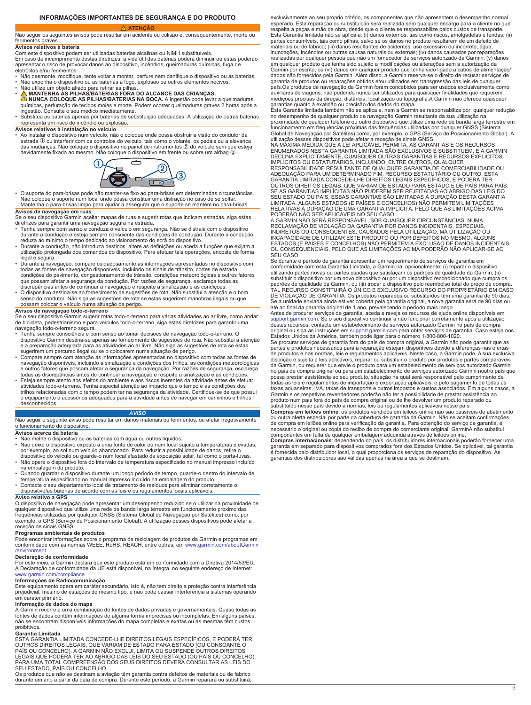### **INFORMAÇÕES IMPORTANTES DE SEGURANÇA E DO PRODUTO ATENÇÃO**

### <span id="page-8-0"></span>Não seguir os seguintes avisos pode resultar em acidente ou colisão e, consequentemente, morte ou

#### ferimentos graves **Avisos relativos à bateria**

Com este dispositivo podem ser utilizadas baterias alcalinas ou NiMH substituíveis. Em caso de incumprimento destas diretrizes, a vida útil das baterias poderá diminuir ou estas poderão apresentar o risco de provocar danos ao dispositivo, incêndios, queimaduras químicas, fuga de eletrólitos e/ou ferimentos.

- 
- Não desmonte, modifique, tente voltar a montar, perfure nem danifique o dispositivo ou as baterias.<br>• Não exponha o dispositivo ou as baterias a fogo, explosão ou outros elementos nocivos.<br>• Não utilize um objeto afia
- **A MANTENHA AS PILHAS/BATERIAS FORA DO ALCANCE DAS CRIANÇAS.**<br>● NUNCA COLOQUE AS PILHAS/BATERIAS NA BOCA. A ingestão pode levar a queimaduras<br>químicas, perfuração de tecidos moles e morte. Podem ocorrer queimaduras grav
- Substitua as baterias apenas por baterias de substituição adequadas. A utilização de outras baterias representa um risco de incêndio ou explosão.

### **Avisos relativos à instalação no veículo**

• Ao instalar o dispositivo num veículo, não o coloque onde possa obstruir a visão do condutor da estrada À ou interferir com os controlos do veículo, tais como o volante, os pedais ou a alavanca das mudanças. Não coloque o dispositivo no painel de instrumentos ② do veículo sem que esteja<br>devidamente fixado ao mesmo. Não coloque o dispositivo em frente ou sobre um airbag ③.



• O suporte do para-brisas pode não manter-se fixo ao para-brisas em determinadas circunstâncias. Não coloque o suporte num local onde possa constituir uma distração no caso de se soltar. Mantenha o para-brisas limpo para ajudar a assegurar que o suporte se mantém no para-brisas.

#### **Avisos de navegação em ruas**

Se o seu dispositivo Garmin aceitar mapas de ruas e sugerir rotas que indicam estradas, siga estas<br>diretrizes para garantir uma navegação segura na estrada.<br>• Tenha sempre bom senso e conduza o veículo em segurança. Não se

- reduza ao mínimo o tempo dedicado ao visionamento do ecrã do dispositivo.
- Durante a condução, não introduza destinos, altere as definições ou aceda a funções que exijam a utilização prolongada dos comandos do dispositivo. Para efetuar tais operações, encoste de forma
- legal e segura. Durante a navegação, compare cuidadosamente as informações apresentadas no dispositivo com todas as fontes de navegação disponíveis, incluindo os sinais de trânsito, cortes de estrada, condições do pavimento, congestionamento de trânsito, condições meteorológicas e outros fatores que possam afetar a segurança da condução. Por razões de segurança, esclareça todas as discrepâncias antes de continuar a navegação e respeite a sinalização e as condições.
- O dispositivo destina-se ao fornecimento de sugestões de rota. Não substitui a atenção e o bom senso do condutor. Não siga as sugestões de rota se estas sugerirem manobras ilegais ou que possam colocar o veículo numa situação de perigo.

#### **Avisos de navegação todo-o-terreno**

Se o seu dispositivo Garmin sugerir rotas todo-o-terreno para várias atividades ao ar livre, como andar de bicicleta, pedestrianismo e para veículos todo-o-terreno, siga estas diretrizes para garantir uma navegação todo-o-terreno segura.

- Tenha sempre consciência e bom senso ao tomar decisões de navegação todo-o-terreno. O<br> dispositivo Garmin destina-se apenas ao fornecimento de sugestões de rota. Não substitui a atenção<br>e a preparação adequada para as
- sugerirem um percurso ilegal ou se o colocarem numa situação de perigo. Compare sempre com atenção as informações apresentadas no dispositivo com todas as fontes de navegação disponíveis, incluindo a sinalização e condições dos trilhos, as condições meteorológicas<br>e outros fatores que possam afetar a segurança da navegação. Por razões de segurança, esclareça<br>todas as discrepâncias ant
- atividades todo-o-terreno. Tenha especial atenção ao impacto que o tempo e as condições dos<br>trilhos relacionadas com o tempo podem ter na segurança da atividade. Certifique-se de que possui<br>o equipamento e acessórios adequ desconhecidos.

#### *AVISO*

Não seguir o seguinte aviso pode resultar em danos materiais ou ferimentos, ou afetar negativamente o funcionamento do dispositivo.

#### **Avisos acerca da bateria**

- 
- Não molhe o dispositivo ou as baterias com água ou outros líquidos. Não deixe o dispositivo exposto a uma fonte de calor ou num local sujeito a temperaturas elevadas, por exemplo, ao sol num veículo abandonado. Para reduzir a possibilidade de danos, retire o dispositivo do veículo ou guarde-o num local afastado da exposição solar, tal como o porta-luvas.
- Não opere o dispositivo fora do intervalo de temperatura especificado no manual impresso incluído na embalagem do produto.
- Quando guardar o dispositivo durante um longo período de tempo, guarde-o dentro do intervalo de temperatura especificado no manual impresso incluído na embalagem do produto.
- Contacte o seu departamento local de tratamento de resíduos para eliminar corretamente o dispositivo/as baterias de acordo com as leis e os regulamentos locais aplicáveis.

**Aviso relativo a GPS** O dispositivo de navegação pode apresentar um desempenho reduzido se o utilizar na proximidade de qualquer dispositivo que utilize uma rede de banda larga terrestre em funcionamento próximo das<br>frequências utilizadas por qualquer GNSS (Sistema Global de Navegação por Satélites) como, por<br>exemplo, o GPS (Serviço de Posi

#### **Programas ambientais de produtos**

Pode encontrar informações sobre o programa de reciclagem de produtos da Garmin e programas em conformidade com as normas WEEE, RoHS, REACH, entre outras, em [www.garmin.com/aboutGarmin](http://www.garmin.com/aboutGarmin/environment) [/environment.](http://www.garmin.com/aboutGarmin/environment)

#### **Declaração de conformidade**

Por este meio, a Garmin declara que este produto está em conformidade com a Diretiva 2014/53/EU. A Declaração de conformidade da UE está disponível, na íntegra, no seguinte endereço de Internet: [www.garmin.com/compliance](http://www.garmin.com/compliance).

#### **Informações de Radiocomunicação**

Este equipamento opera em caráter secundário, isto é, não tem direito a proteção contra interferência prejudicial, mesmo de estações do mesmo tipo, e não pode causar interferência a sistemas operando em caráter primário.

### **Informação de dados do mapa**

A Garmin recorre a uma combinação de fontes de dados privadas e governamentais. Quase todas as fontes de dados contêm informações de alguma forma imprecisas ou incompletas. Em alguns países, não se encontram disponíveis informações do mapa completas e exatas ou as mesmas têm custos proibitivos.

#### **Garantia Limitada**

ESTA GARANTIA LIMITADA CONCEDE-LHE DIREITOS LEGAIS ESPECÍFICOS, E PODERÁ TER OUTROS DIREITOS LEGAIS, QUE VARIAM DE ESTADO PARA ESTADO (OU CONSOANTE O<br>PAÍS OU CONCELHO). A GARMIN NÃO EXCLUI, LIMITA OU SUSPENDE OUTROS DIREITOS<br>LEGAIS QUE PODERÃ TER AO ABRIGO DAS LEIS DO SEU ESTADO (OU PAÍS OU CONCELH

Os produtos que não se destinam a aviação têm garantia contra defeitos de materiais ou de fabrico durante um ano a partir da data de compra. Durante este período, a Garmin reparará ou substituirá,

exclusivamente ao seu próprio critério, os componentes que não apresentem o desempenho normal esperado. Esta reparação ou substituição será realizada sem qualquer encargo para o cliente no que respeita a peças e mão de obra, desde que o cliente se responsabilize pelos custos de transporte. Esta Garantia limitada não se aplica a: (i) danos externos, tais como riscos, amolgadelas e fendas; (ii) partes consumíveis, tais como pilhas, salvo se os danos no produto resultarem de um defeito de materiais ou de fabrico; (iii) danos resultantes de acidentes, uso excessivo ou incorreto, água, inundações, incêndios ou outras causas naturais ou externas; (iv) danos causados por reparações realizadas por qualquer pessoa que não um fornecedor de serviços autorizado da Garmin; (v) danos em qualquer produto que tenha sido sujeito a modificações ou alterações sem a autorização da Garmin por escrito; ou (vi) danos em qualquer produto que tenha sido ligado a cabos de alimentação.<br>dados não fornecidos pela Garmin. Além disso, a Garmin reserva-se o direito de recusar serviços de garantia de produtos ou reparações obtidos e/ou utilizados em transgressão das leis de qualquer país.Os produtos de navegação da Garmin foram concebidos para ser usados exclusivamente como auxiliares de viagens, não podendo nunca ser utilizados para quaisquer finalidades que requerem medições precisas da direção, distância, localização ou topografia.A Garmin não oferece quaisquer garantias quanto à exatidão ou precisão dos dados do mapa. Esta Garantia limitada também não se aplica a, nem a Garmin se responsabiliza por, qualquer redução

no desempenho de qualquer produto de navegação Garmin resultante da sua utilização na proximidade de qualquer telefone ou outro dispositivo que utilize uma rede de banda larga terrestre em funcionamento em frequências próximas das frequências utilizadas por qualquer GNSS (Sistema Global de Navegação por Satélites) como, por exemplo, o GPS (Serviço de Posicionamento Global). A utilização desses dispositivos pode afetar a receção de sinais GNSS.

NA MÀXIMA MEDIDA QUE A LEI APLICÀVEL PERMITA, AS GARANTIAS E OS RECURSOS<br>ENUMERADOS NESTA GARANTIA LIMITADA SÃO EXCLUSIVOS E SUBSTITUEM, E A GARMIN<br>DECLINA EXPLICITAMENTE, QUAISQUER OUTRAS GARANTIAS E RECURSOS EXPLÍCITOS,<br> RESPONSABILIDADE RESULTANTE DE QUALQUER GARANTIA DE COMERCIABILIDADE OU<br>ADEQUAÇÃO PARA UM DETERMINADO FIM, RECURSO ESTATUTÁRIO OU OUTRO. ESTA<br>GARANTIA LIMITADA CONCEDE-LHE DIREITOS LEGAIS ESPECÍFICOS, E PODERÁ TER OUTROS DIREITOS LEGAIS, QUE VARIAM DE ESTADO PARA ESTADO E DE PAÍS PARA PAÍS. SE AS GARANTIAS IMPLÍCITAS NÃO PUDEREM SER REJEITADAS AO ABRIGO DAS LEIS DO SEU ESTADO OU PAÍS, ESSAS GARANTIAS SÃO LIMITADAS A DURAÇÃO DESTA GARANTIA<br>LIMITADA. ALGUNS ESTADOS (E PAÍSES E CONCELHOS) NÃO PERMITEM LIMITAÇÕES<br>RELATIVAS À DURAÇÃO DE UMA GARANTIA IMPLÍCITA, PELO QUE AS LIMITAÇÕES ACIMA

A GARMIN NÃO SERÁ RESPONSÁVEL, SOB QUAISQUER CIRCUNSTÂNCIAS, NUMA RECLAMAÇÃO DE VIOLAÇÃO DA GARANTIA POR DANOS INCIDENTAIS, ESPECIAIS, INDIRETOS OU CONSEQUENTES, CAUSADOS PELA UTILIZAÇÃO, MÁ UTILIZAÇÃO OU<br>INCAPACIDADE DE UTILIZAR ESTE PRODUTO OU POR DEFEITOS NO MESMO. ALGUNS<br>ESTADOS (E PAÍSES E CONCELHOS) NÃO PERMITEM A EXCLUSÃO DE DANOS INCIDENTAIS OU CONSEQUENCIAIS, PELO QUE AS LIMITAÇÕES ACIMA PODERÃO NÃO APLICAR-SE AO SEU CASO.

Se durante o período de garantia apresentar um requerimento de serviços de garantia em<br>conformidade com esta Garantia Limitada, a Garmin irá, opcionalmente: (i) reparar o dispositivo<br>utilizando partes novas ou partes usada substituir o dispositivo por um novo dispositivo ou por um dispositivo recondicionado que cumpra os<br>padrões de qualidade da Garmin, ou (iii) trocar o dispositivo pelo reembolso total do preço de compra.<br>TAL RECURSO CONSTIT DE VIOLAÇÃO DE GARANTIA. Os produtos reparados ou substituídos têm uma garantia de 90 dias. Se a unidade enviada ainda estiver coberta pela garantia original, a nova garantia será de 90 dias ou até ao final da garantia original de 1 ano, prevalecendo o período mais longo.

Antes de procurar serviços de garantia, aceda e reveja os recursos de ajuda online disponíveis em<br>[support.garmin.com.](http://www.support.garmin.com) Se o seu dispositivo continuar a não funcionar corretamente após a utilização<br>destes recursos, contacte original ou siga as instruções em [support.garmin.com](http://www.support.garmin.com) para obter serviços de garantia. Caso esteja nos Estados Unidos da América, também pode ligar para o número 1-800-800-1020.

Se procurar serviços de garantia fora do país de compra original, a Garmin não pode garantir que as<br>partes e produtos necessários para a reparação estejam disponíveis devido a diferenças nas ofertas<br>de produtos e nas norma da Garmin, ou requerer que envie o produto para um estabelecimento de serviços autorizado Garmin<br>no país de compra original ou para um estabelecimento de serviços autorizado Garmin noutro país que<br>possa prestar assistência todas as leis e regulamentos de importação e exportação aplicáveis, e pelo pagamento de todas as taxas aduaneiras, IVA, taxas de transporte e outros impostos e custos associados. Em alguns casos, a Garmin e os respetivos revendedores poderão não ter a possibilidade de prestar assistência ao

produto num país fora do país de compra original ou de lhe devolver um produto reparado ou<br>substituído nesse país devido a normas, leis ou regulamentos aplicáveis nesse país.<br>**Compras em leilões online**: os produtos vendid

ou outra oferta especial por parte da cobertura de garantia da Garmin. Não se aceitam confirmações de compra em leilões online para verificação da garantia. Para obtenção do serviço de garantia, é

necessário o original ou cópia do recibo de compra do comerciante original. GarminA não substitui<br>componentes em falta de qualquer embalagem adquirida através de leilões online.<br>**Compras internacionais**: dependendo do país é fornecida pelo distribuidor local, o qual proporciona os serviços de reparação do dispositivo. As garantias dos distribuidores são válidas apenas na área a que se destinam.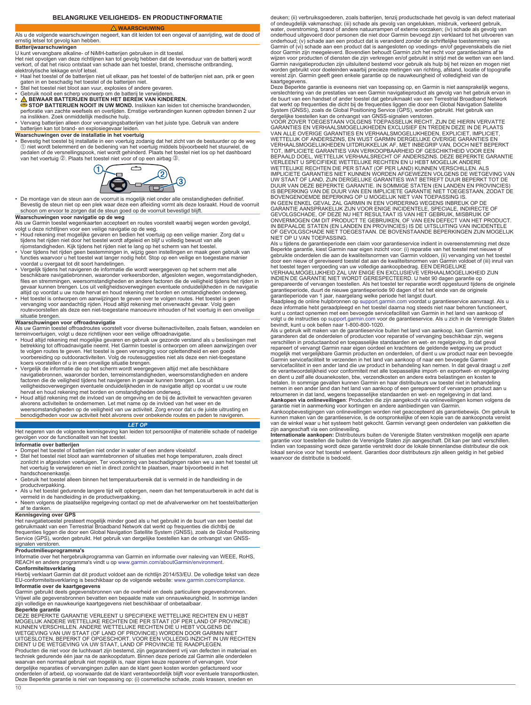### **BELANGRIJKE VEILIGHEIDS- EN PRODUCTINFORMATIE**

 **WAARSCHUWING**

### <span id="page-9-0"></span>Als u de volgende waarschuwingen negeert, kan dit leiden tot een ongeval of aanrijding, wat de dood of ernstig letsel tot gevolg kan hebben.

**Batterijwaarschuwingen**<br>U kunt vervangbare alkaline- of NiMH-batterijen gebruiken in dit toestel.<br>Het niet opvolgen van deze richtlijnen kan tot gevolg hebben dat de levensduur van de batterij wordt verkort, of dat het risico ontstaat van schade aan het toestel, brand, chemische ontbranding, elektrolytische lekkage en/of letsel.

- Haal het toestel of de batterijen niet uit elkaar, pas het toestel of de batterijen niet aan, prik er geen<br> gaten in en beschadig het toestel of de batterijen niet.<br>• Stel het toestel niet bloot aan vuur, explosies
- 
- 
- Gebruik nooit een scherp voorwerp om de batterij te verwijderen.<br>● SEWAAR BATTERIJEN BUITEN HET BEREIK VAN KINDEREN.<br>● STOP BATTERIJEN NOOIT IN UW MOND. Inslikken kan leiden tot chemische brandwonden,<br>perforatie van zac
- na inslikken. Zoek onmiddellijk medische hulp. Vervang batterijen alleen door vervangingsbatterijen van het juiste type. Gebruik van andere batterijen kan tot brand- en explosiegevaar leiden.

**Waarschuwingen over de installatie in het voertuig** • Bevestig het toestel bij installatie in een voertuig zodanig dat het zicht van de bestuurder op de weg  $\overline{0}$  niet wordt belemmerd en de bediening van het voertuig middels bijvoorbeeld het stuurwiel, de<br>pedalen of de versnellingspook, niet wordt gehinderd. Plaats het toestel niet los op het dashboard van het voertuig ②. Plaats het toestel niet voor of op een airbag ③.



• De montage van de steun aan de voorruit is mogelijk niet onder alle omstandigheden definitief. Bevestig de steun niet op een plek waar deze een afleiding vormt als deze losraakt. Houd de voorruit schoon om ervoor te zorgen dat de steun goed op de voorruit bevestigd blijft.

**Waarschuwingen voor navigatie op de weg**<br>Als uw Garmin toestel wegenkaarten accepteert en routes voorstelt waarbij wegen worden gevolgd,

- volgt u deze richtlijnen voor een veilige navigatie op de weg. Houd rekening met mogelijke gevaren en bedien het voertuig op een veilige manier. Zorg dat u
- tijdens het rijden niet door het toestel wordt afgeleid en blijf u volledig bewust van alle<br>rijomstandigheden. Kijk tijdens het rijden niet te lang op het scherm van het toestel.<br>• Voer tijdens het rijden geen bestemmingen
- Vergelijk tijdens het navigeren de informatie die wordt weergegeven op het scherm met alle<br>beschikbare navigatiebronnen, waaronder verkeersborden, afgesloten wegen, wegomstandigheden,<br>files en stremmingen, weersomstandig
- altijd op voordat u uw route hervat en houd rekening met borden en omstandigheden onderweg.<br>• Het toestel is ontworpen om aanwijzingen te geven over te volgen routes. Het toestel is geen<br>vervanging voor aandachtig rijden. situatie brengen.

### **Waarschuwingen voor offroadnavigatie**

- Als uw Garmin toestel offroadroutes voorstelt voor diverse buitenactiviteiten, zoals fietsen, wandelen en<br>terreinvoertuigen, volgt u deze richtlijnen voor een veilige offroadnavigatie.<br>• Houd altijd rekening met mogelijke te volgen routes te geven. Het toestel is geen vervanging voor oplettendheid en een goede voorbereiding op outdooractiviteiten. Volg de routesuggesties niet als deze een niet-toegestane
- koers voorstellen of u in een onveilige situatie brengen.<br>• Vergelijk de informatie die op het scherm wordt weergegeven altijd met alle beschikbare<br>navigatiebronnen, waaronder borden, terreinomstandigheden, weersomstandigh
- veiligheidsoverwegingen eventuele onduidelijkheden in de navigatie altijd op voordat u uw route<br>hervat en houd rekening met borden en omstandigheden onderweg.<br>• Houd altijd rekening met de invloed van de omgeving en de bij weersomstandigheden op de veiligheid van uw activiteit. Zorg ervoor dat u de juiste uitrusting en benodigdheden voor uw activiteit hebt alvorens over onbekende routes en paden te navigeren.

### *LET OP*

Het negeren van de volgende kennisgeving kan leiden tot persoonlijke of materiële schade of nadelige gevolgen voor de functionaliteit van het toestel.

### **Informatie over batterijen**

- 
- Dompel het toestel of batterijen niet onder in water of een andere vloeistof.<br>• Stel het toestel niet bloot aan warmtebronnen of situaties met hoge temperaturen, zoals direct<br>zonlicht in afgesloten voertuigen. Ter voorko
- handschoenenkastje. Gebruik het toestel alleen binnen het temperatuurbereik dat is vermeld in de handleiding in de
- productverpakking. Als u het toestel gedurende langere tijd wilt opbergen, neem dan het temperatuurbereik in acht dat is vermeld in de handleiding in de productverpakking.
- Neem volgens de plaatselijke regelgeving contact op met de afvalverwerker om het toestel/batterijen af te danken.

**Kennisgeving over GPS**<br>Het navigatietoestel presteert mogelijk minder goed als u het gebruikt in de buurt van een toestel dat<br>gebruikmaakt van een Terrestrial Broadband Network dat werkt op frequenties die dichtbij de frequenties liggen die door een Global Navigation Satellite System (GNSS), zoals de Global Positioning Service (GPS), worden gebruikt. Het gebruik van dergelijke toestellen kan de ontvangst van GNSSsignalen verstoren.

### **Productmilieuprogramma's**

Informatie over het hergebruikprogramma van Garmin en informatie over naleving van WEEE, RoHS,<br>REACH en andere programma's vindt u op [www.garmin.com/aboutGarmin/environment.](http://www.garmin.com/aboutGarmin/environment)

**Conformiteitsverklaring**<br>Hierbij verklaart Garmin dat dit product voldoet aan de richtlijn 2014/53/EU. De volledige tekst van deze EU-conformiteitsverklaring is beschikbaar op de volgende website: [www.garmin.com/compliance](http://www.garmin.com/compliance). **Informatie over de kaartgegevens**

Garmin gebruikt deels gegevensbronnen van de overheid en deels particuliere gegevensbronnen. Vrijwel alle gegevensbronnen bevatten een bepaalde mate van onnauwkeurigheid. In sommige landen zijn volledige en nauwkeurige kaartgegevens niet beschikbaar of onbetaalbaar.

**Beperkte garantie**<br>DEZE BEPERKTE GARANTIE VERLEENT U SPECIFIEKE WETTELIJKE RECHTEN EN U HEBT<br>DIOGELIJK ANDERE WETTELIJKE RECHTEN DIE PER STAAT (OF PER LAND OF PROVINCIE)<br>KUNNEN VERSCHILLEN. ANDERE WETTELIJKE RECHTEN DIE U Producten die niet voor de luchtvaart zijn bestemd, zijn gegarandeerd vrij van defecten in materiaal en techniek gedurende één jaar na de aankoopdatum. Binnen deze periode zal Garmin alle onderdelen waarvan een normaal gebruik niet mogelijk is, naar eigen keuze repareren of vervangen. Voor dergelijke reparaties of vervangingen zullen aan de klant geen kosten worden gefactureerd voor onderdelen of arbeid, op voorwaarde dat de klant verantwoordelijk blijft voor eventuele transportkosten. Deze Beperkte garantie is niet van toepassing op: (i) cosmetische schade, zoals krassen, sneden en  $10$ 

deuken; (ii) verbruiksgoederen, zoals batterijen, tenzij productschade het gevolg is van defect materiaal of ondeugdelijk vakmanschap; (iii) schade als gevolg van ongelukken, misbruik, verkeerd gebruik, water, overstroming, brand of andere natuurrampen of externe oorzaken; (iv) schade als gevolg van onderhoud uitgevoerd door personen die niet door Garmin bevoegd zijn verklaard tot het uitvoeren van onderhoud; (v) schade aan een product dat is veranderd zonder de schriftelijke toestemming van Garmin of (vi) schade aan een product dat is aangesloten op voedings- en/of gegevenskabels die niet door Garmin zijn meegeleverd. Bovendien behoudt Garmin zich het recht voor garantieclaims af te wijzen voor producten of diensten die zijn verkregen en/of gebruikt in strijd met de wetten van een land. Garmin navigatieproducten zijn uitsluitend bestemd voor gebruik als hulp bij het reizen en mogen niet<br>worden gebruikt voor doeleinden waarbij precieze metingen van richting, afstand, locatie of topografie<br>vereist zijn. Gar

kaartgegevens. Deze Beperkte garantie is eveneens niet van toepassing op, en Garmin is niet aansprakelijk wegens, verslechtering van de prestaties van een Garmin navigatieproduct als gevolg van het gebruik ervan in<br>de buurt van een handset of ander toestel dat gebruikmaakt van een Terrestrial Broadband Network<br>dat werkt op frequenties

VAN ALLE OVERIGE GARANTIES EN VERHAALSMOGELIJKHEDEN, EXPLICIET, IMPLICIET, WETTELIJK OF ANDERSZINS, EN WIJST GARMIN DERGELIJKE OVERIGE GARANTIES EN VERHAALSMOGELIJKHEDEN UITDRUKKELIJK AF, MET INBEGRIP VAN, DOCH NIET BEPERKT<br>TOT, IMPLICIETE GARANTIES VAN VERKOOPBAARHEID OF GESCHIKTHEID VOOR EEN<br>BEPAALD DOEL, WETTELIJK VERHAALSRECHT OF ANDERSZINS. DEZE BEPERKTE GARANTIE WETTELIJKE RECHTEN DIE PER STAAT (OF PER LAND) KUNNEN VERSCHILLEN. ALS<br>IMPLICIETE GARANTIES NIET KUNNEN WORDEN AFGEWEZEN VOLGENS DE WETGEVING VAN<br>UW STAAT OF LAND, ZIJN DERGELIJKE GARANTIES WAT BETREFT DUUR BEPERKT TOT DE<br> BOVENGENOEMDE BEPERKING OP U MOGELIJK NIET VAN TOEPASSING IS.<br>IN GEEN ENKEL GEVAL ZAL GARMIN IN EEN VORDERING WEGENS INBREUK OP DE<br>GARANTIE AANSPRAKELIJK ZIJN VOOR ENIGE INCIDENTELE, SPECIALE, INDIRECTE OF<br>GEVOLGSCHADE, OF

ONVERMOGEN OM DIT PRODUCT TE GEBRUIKEN, OF VAN EEN DEFECT VAN HET PRODUCT. IN BEPAALDE STATEN (EN LANDEN EN PROVINCIES) IS DE UITSLUITING VAN INCIDENTELE OF GEVOLGSCHADE NIET TOEGESTAAN. DE BOVENSTAANDE BEPERKINGEN ZIJN MOGELIJK NIET OP U VAN TOEPASSING.

Als u tijdens de garantieperiode een claim voor garantieservice indient in overeenstemming met deze Beperkte garantie, kiest Garmin naar eigen inzicht voor: (i) reparatie van het toestel met nieuwe of gebruikte onderdelen die aan de kwaliteitsnormen van Garmin voldoen, (ii) vervanging van het toestel<br>door een nieuw of gereviseerd toestel dat aan de kwaliteitsnormen van Garmin voldoet of (iii) inruil van<br>het toestel tege

INDIEN DE GARANTIE NIET WORDT GERESPECTEERD. U hebt 90 dagen garantie op<br>gerepareerde of verwangen toestellen. Als het toestel ter reparatie wordt opgestuurd tijdens de originele<br>garantieperiode, duurt de nieuwe garantiepe

Als u gebruik wilt maken van de garantieservice buiten het land van aankoop, kan Garmin niet garanderen dat de onderdelen of producten voor reparatie of vervanging beschikbaar zijn, wegens verschillen in productaanbod en toepasselijke standaarden en wet- en regelgeving. In dat geval<br>repareert of vervangt Garmin naar eigen oordeel en krachtens de geldende wetgeving uw product<br>mogelijk met vergelijkbare Garmin servicefaciliteit in een ander land die uw product in behandeling kan nemen. In dat geval draagt u zelf de verantwoordelijkheid voor conformiteit met alle toepasselijke import- en exportwet- en regelgeving en dient u zelf alle douanekosten, btw, verzendkosten en andere extra belastingen en kosten te betalen. In sommige gevallen kunnen Garmin en haar distributeurs uw toestel niet in behandeling<br>nemen in een ander land dan het land van aankoop of een gerepareerd of vervangen product aan u<br>retourneren in dat land, wegens

Aankopen via onlineveilingen: Producten die zijn aangekocht via onlineveilingen komen volgens de<br>garantie niet in aanmerking voor kortingen en andere aanbiedingen van Garmin.<br>Aankoopbevestigingen van onlineveilingen worden

zijn aangeschaft via een onlineveiling.<br>**Internationale aankopen:** Distributeurs buiten de Verenigde Staten verstrekken mogelijk een aparte<br>garantie voor toestellen die buiten de Verenigde Staten zijn aangeschaft. Dit kan lokaal service voor het toestel verleent. Garanties door distributeurs zijn alleen geldig in het gebied waarvoor de distributie is bedoeld.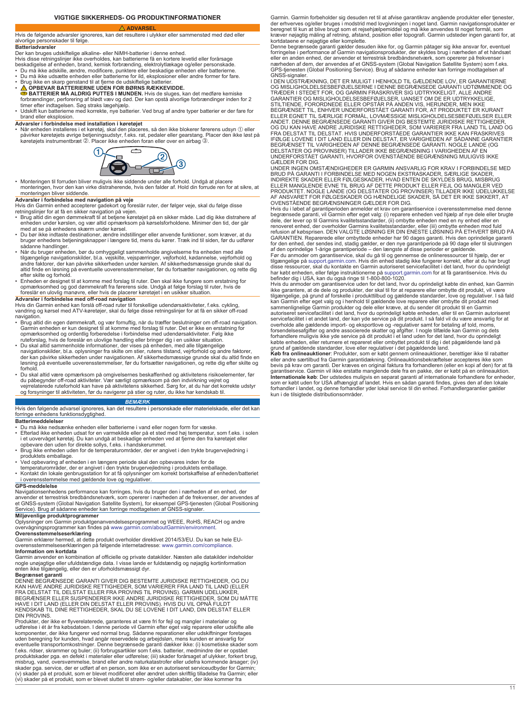#### **VIGTIGE SIKKERHEDS- OG PRODUKTINFORMATIONER**

#### <span id="page-10-0"></span> **ADVARSEL** Hvis de følgende advarsler ignoreres, kan det resultere i ulykker eller sammenstød med død eller alvorlige personskader til følge.

#### **Batteriadvarsler**

- Der kan bruges udskiftelige alkaline- eller NiMH-batterier i denne enhed. Hvis disse retningslinjer ikke overholdes, kan batterierne få en kortere levetid eller forårsage
- beskadigelse af enheden, brand, kemisk forbrænding, elektrolytlækage og/eller personskade.<br>• Du må ikke adskille, ændre, modificere, punktere eller beskadige enheden eller batterierne.<br>• Du må ikke udsætte enheden eller
- 
- Brug ikke en skarp genstand til at fjerne de udskiftelige batterier. **OPBEVAR BATTERIERNE UDEN FOR BØRNS RÆKKEVIDDE. BATTERIER MÅ ALDRIG PUTTES I MUNDEN.** Hvis de sluges, kan det medføre kemiske
- forbrændinger, perforering af blødt væv og død. Der kan opstå alvorlige forbrændinger inden for 2<br>timer efter indtagelsen. Søg straks lægehjælp.<br>• Udskift kun batterierne med korrekte, nye batterier. Ved brug af andre typ brand eller eksplosion.

**Advarsler i forbindelse med installation i køretøjet**<br>• Når enheden installeres i et køretøj, skal den placeres, så den ikke blokerer førerens udsyn ① eller påvirker køretøjets øvrige betjeningsudstyr, f.eks. rat, pedaler eller gearstang. Placer den ikke løst på<br>køretøjets instrumentbræt ②. Placer ikke enheden foran eller over en airbag ③.



• Monteringen til forruden bliver muligvis ikke siddende under alle forhold. Undgå at placere monteringen, hvor den kan virke distraherende, hvis den falder af. Hold din forrude ren for at sikre, at monteringen, mort den kan

### **Advarsler i forbindelse med navigation på veje**

- Hvis din Garmin enhed accepterer gadekort og foreslår ruter, der følger veje, skal du følge disse retningslinjer for at få en sikker navigation på vejen.
- Brug altid din egen dømmekraft til at betjene køretøjet på en sikker måde. Lad dig ikke distrahere af<br>enheden under kørslen, og vær altid opmærksom på kørselsforholdene. Minimer den tid, der går<br>med at se på enhedens skæ
- Du bør ikke indtaste destinationer, ændre indstillinger eller anvende funktioner, som kræver, at du bruger enhedens betjeningsknapper i længere tid, mens du kører. Træk ind til siden, før du udfører
- sådanne handlinger. Når du bruger enheden, bør du omhyggeligt sammenholde angivelserne fra enheden med alle tilgængelige navigationskilder, bl.a. vejskilte, vejspærringer, vejforhold, kødannelse, vejrforhold og andre faktorer, der kan påvirke sikkerheden under kørslen. Af sikkerhedsmæssige grunde skal du altid finde en løsning på eventuelle uoverensstemmelser, før du fortsætter navigationen, og rette dig
- efter skilte og forhold.<br>▪ Enheden er designet til at komme med forslag til ruter. Den skal ikke fungere som erstatning for<br>○ opmærksomhed og god dømmekraft fra førerens side. Undgå at følge forslag til ruter, hvis de foreslår en ulovlig manøvre, eller hvis de placerer køretøjet i en usikker situation.

**Advarsler i forbindelse med off-road navigation**<br>Hvis din Garmin enhed kan forslå off-road ruter til forskellige udendørsaktiviteter, f.eks. cykling,<br>vandring og kørsel med ATV-køretøjer, skal du følge disse retningslinje

- navigation. Brug altid din egen dømmekraft, og vær fornuftig, når du træffer beslutninger om off-road navigation. Garmin enheden er kun designet til at komme med forslag til ruter. Det er ikke en erstatning for<br>opmærksomhed og ordentlig forberedelse i forbindelse med udendørsaktiviteter. Følg ikke<br>ruteforslag, hvis de foreslår en ulov
- navigationskilder, bl.a. oplysninger fra skilte om stier, rutens tilstand, vejrforhold og andre faktorer,<br>der kan påvirke sikkerheden under navigationen. Af sikkerhedsmæssige grunde skal du altid finde en løsning på eventuelle uoverensstemmelser, før du fortsætter navigationen, og rette dig efter skilte og<br>forhold.<br>• Du skal altid være opmærksom på omgivelsernes beskaffenhed og aktivitetens risikoelementer, før
- du påbegynder off-road aktiviteter. Vær særligt opmærksom på den indvirkning vejret og<br>vejrrelaterede ruteforhold kan have på aktivitetens sikkerhed. Sørg for, at du har det korrekte udstyr<br>og forsyninger til aktiviteten,

#### *BEMÆRK*

Hvis den følgende advarsel ignoreres, kan det resultere i personskade eller materielskade, eller det kan forringe enhedens funktionsdygtighed.

#### **Batterimeddelelser**

- 
- Du må ikke nedsænke enheden eller batterierne i vand eller nogen form for væske. Efterlad ikke enheden udsat for en varmekilde eller på et sted med høj temperatur, som f.eks. i solen i et uovervåget køretøj. Du kan undgå at beskadige enheden ved at fjerne den fra køretøjet eller opbevare den uden for direkte sollys, f.eks. i handskerummet.
- Brug ikke enheden uden for de temperaturområder, der er angivet i den trykte brugervejledning i
- produktets emballage. Ved opbevaring af enheden i en længere periode skal den opbevares inden for de temperaturområder, der er angivet i den trykte brugervejledning i produktets emballage.
- 
- Kontakt din lokale genbrugsstation for at få oplysninger om korrekt bortskaffelse af enheden/batteriet i overensstemmelse med gældende love og regulativer.

### **GPS-meddelelse**

Navigationsenhedens performance kan forringes, hvis du bruger den i nærheden af en enhed, der anvender et terrestrisk bredbåndsnetværk, som opererer i nærheden af de frekvenser, der anvendes af et GNSS-system (Global Navigation Satellite System), for eksempel GPS-tjenesten (Global Positioning Service). Brug af sådanne enheder kan forringe modtagelsen af GNSS-signaler.

**Miljøvenlige produktprogrammer**<br>Oplysninger om Garmin produktgenanvendelsesprogrammet og WEEE, RoHS, REACH og andre<br>overvågningsprogrammer kan findes på [www.garmin.com/aboutGarmin/environment](http://www.garmin.com/aboutGarmin/environment).

**Overensstemmelseserklæring** Garmin erklærer hermed, at dette produkt overholder direktivet 2014/53/EU. Du kan se hele EUoverensstemmelseserklæringen på følgende internetadresse: [www.garmin.com/compliance.](http://www.garmin.com/compliance) **Information om kortdata**

Garmin anvender en kombination af officielle og private datakilder. Næsten alle datakilder indeholder<br>nogle unøjagtige eller ufuldstændige data. I visse lande er fuldstændig og nøjagtig kortinformation<br>enten ikke tilgængel

**Begrænset garanti** DENNE BEGRÆNSEDE GARANTI GIVER DIG BESTEMTE JURIDISKE RETTIGHEDER, OG DU KAN HAVE ANDRE JURIDISKE RETTIGHEDER, SOM VARIERER FRA LAND TIL LAND (ELLER<br>FRA DELSTAT TIL DELSTAT ELLER FRA PROVINS TIL PROVINS). GARMIN UDELUKKER,<br>BEGRÆNSER ELLER SUSPENDERER IKKE ANDRE JURIDISKE RETTIGHEDER, SOM DU MÅT KENDSKAB TIL DINE RETTIGHEDER, SKAL DU SE LOVENE I DIT LAND, DIN DELSTAT ELLER

DIN PROVINS.<br>Produkter, der ikke er flyverelaterede, garanteres at være fri for fejl og mangler i materialer og<br>udførelse i ét år fra købsdatoen. I denne periode vil Garmin efter eget valg reparere eller udskifte alle<br>komp misbrug, vand, oversvømmelse, brand eller andre naturkatastrofer eller udefra kommende årsager; (iv) skader pga. service, der er udført af en person, som ikke er en autoriseret serviceudbyder for Garmin; (v) skader på et produkt, som er blevet modificeret eller ændret uden skriftlig tilladelse fra Garmin; eller (vi) skader på et produkt, som er blevet sluttet til strøm- og/eller datakabler, der ikke kommer fra Garmin. Garmin forbeholder sig desuden ret til at afvise garantikrav angående produkter eller tjenester, der erhverves og/eller bruges i modstrid med lovgivningen i noget land. Garmin navigationsprodukter er beregnet til kun at blive brugt som et rejsehjælpemiddel og må ikke anvendes til noget formål, som kræver nøjagtig måling af retning, afstand, position eller topografi. Garmin udsteder ingen garanti for, at kortdataene er nøjagtige eller komplette.

Denne begrænsede garanti gælder desuden ikke for, og Garmin påtager sig ikke ansvar for, eventuel<br>forringelse i performance af Garmin navigationsprodukter, der skyldes brug i nærheden af et håndsæt<br>eller en anden enhed, de GNSS-signaler.

I DEN UDSTRÆKNING, DET ER MULIGT I HENHOLD TIL GÆLDENDE LOV, ER GARANTIERNE<br>OG MISLIGHOLDELSESBEFØJELSERNE I DENNE BEGRÆNSEDE GARANTI UDTØMMENDE OG<br>TRÆDER I STEDET FOR, OG GARMIN FRASKRIVER SIG UDTRYKKELIGT, ALLE ANDRE<br>GAR BEGRÆNSET TIL, ENHVER UNDERFORSTÅET GARANTI FOR, AT PRODUKTET ER KURANT<br>ELLER EGNET TIL SÆRLIGE FORMÅL, LOVMÆSSIGE MISLIGHOLDELSESBEFØJELSER ELLER<br>ANDET. DENNE BEGRÆNSEDE GARANTI GIVER DIG BESTEMTE JURIDISKE RETTIGHEDER,<br>O FRA DELSTAT TIL DELSTAT. HVIS UNDERFORSTÅEDE GARANTIER IKKE KAN FRASKRIVES IFØLGE LOVENE I DIT LAND ELLER DIN DELSTAT, ER VARIGHEDEN AF SÅDANNE GARANTIER BEGRÆNSET TIL VARIGHEDEN AF DENNE BEGRÆNSEDE GARANTI. NOGLE LANDE (OG<br>DELSTATER OG PROVINSER) TILLADER IKKE BEGRÆNSNING I VARIGHEDEN AF EN<br>UNDERFORSTÅET GARANTI, HVORFOR OVENSTÅENDE BEGRÆNSNING MULIGVIS IKKE GAELDER FOR DIG.

UNDER INGEN OMSTÆNDIGHEDER ER GARMIN ANSVARLIG FOR KRAV I FORBINDELSE MED<br>BRUD PÅ GARANTI I FORBINDELSE MED NOGEN EKSTRASKADER, SÆRLIGE SKADER,<br>INDIREKTE SKADER ELLER FØLGESKADER, HVAD ENTEN DE SKYLDES BRUG, MISBRUG<br>ELLER OVENSTÅENDE BEGRÆNSNINGER GÆLDER FOR DIG.

Hvis du i løbet af garantiperioden anmelder et krav om garantiservice i overensstemmelse med denne<br>begrænsede garanti, vil Garmin efter eget valg: (i) reparere enheden ved hjælp af nye dele eller brugte<br>dele, der lever op refusion af købsprisen. DEN VALGTE LØSNING ER DIN ENESTE LØSNING PÅ ETHVERT BRUD PÅ<br>GARANTIEN. Reparerede eller ombyttede enheder har 90 dages garanti. Hvis den oprindelige garanti<br>for den enhed, der sendes ind, stadig gæl

Før du anmoder om garantiservice, skal du gå til og gennemse de onlineressourcer til hjælp, der er<br>tilgængelige på [support.garmin.com](http://www.support.garmin.com). Hvis din enhed stadig ikke fungerer korrekt, efter at du har brugt<br>disse ressourcer, sk

befinder dig i USA, kan du også ringe til 1-800-800-1020.<br>Hvis du anmoder om garantiservice uden for det land, hvor du oprindeligt købte din enhed, kan Garmin<br>ikke garantere, at de dele og produkter, der skal til for at re sammenlignelige Garmin produkter og dele eller kræve, at du sender dit produkt til en Garmin

autoriseret servicefacilitet i det land, hvor du oprindeligt købte enheden, eller til en Garmin autoriseret<br>servicefacilitet i et andet land, der kan yde service på dit produkt. I så fald vil du være ansvarlig for at<br>overh købte enheden, eller returnere et repareret eller ombyttet produkt til dig i det pågældende land på<br>grund af gældende standarder, love eller regulativer i det pågældende land.<br>**Køb fra onlineauktioner**: Produkter, som er k

bevis på krav om garanti. Der kræves en original faktura fra forhandleren (eller en kopi af den) for at få<br>garantiservice. Garmin vil ikke erstatte manglende dele fra en pakke, der er købt på en onlineauktion.<br>Internationa kun i de tilsigtede distributionsområder.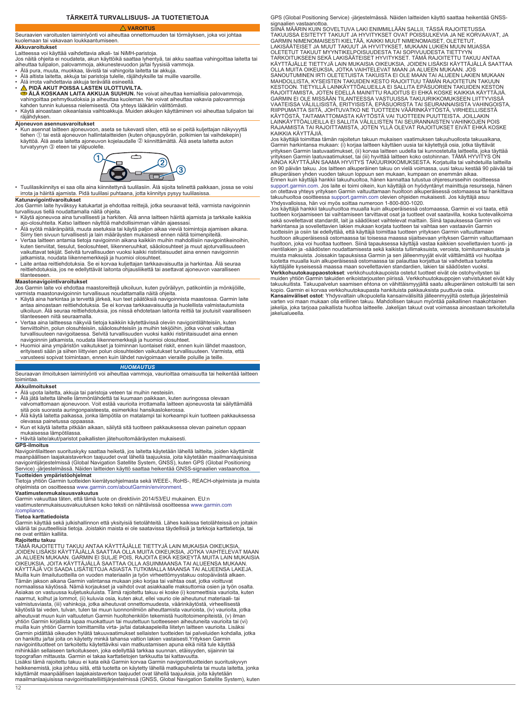### **TÄRKEITÄ TURVALLISUUS- JA TUOTETIETOJA**

#### **VAROITUS**

### <span id="page-11-0"></span>Seuraavien varoitusten laiminlyönti voi aiheuttaa onnettomuuden tai törmäyksen, joka voi johtaa kuolemaan tai vakavaan loukkaantumiseen.

### **Akkuvaroitukset**

Laitteessa voi käyttää vaihdettavia alkali- tai NiMH-paristoja. Jos näitä ohjeita ei noudateta, akun käyttöikä saattaa lyhentyä, tai akku saattaa vahingoittaa laitetta tai aiheuttaa tulipalon, palovammoja, akkunestevuodon ja/tai fyysisiä vammoja. • Älä pura, muuta, muokkaa, lävistä tai vahingoita laitetta tai akkuja.

- Älä altista laitetta, akkuja tai paristoja tulelle, räjähdyksille tai muille vaaroille.
- 
- Älä irrota vaihdettavia akkuja terävällä esineellä. **PIDÄ AKUT POISSA LASTEN ULOTTUVILTA.**
- **ÄLÄ KOSKAAN LAITA AKKUJA SUUHUN.** Ne voivat aiheuttaa kemiallisia palovammoja, vahingoittaa pehmytkudoksia ja aiheuttaa kuoleman. Ne voivat aiheuttaa vakavia palovammoja<br>kahden tunnin kuluessa nielemisestä. Ota yhteys lääkäriin välittömästi.<br>• Käytä ainoastaan oikeanlaisia vaihtoakkuja. Muiden akkuj
- räjähdyksen.

**Ajoneuvon asennusvaroitukset** • Kun asennat laitteen ajoneuvoon, aseta se tukevasti siten, että se ei peitä kuljettajan näkyvyyttä tiehen ① tai estä ajoneuvon hallintalaitteiden (kuten ohjauspyörän, polkimien tai vaihdekepin)<br>käyttöä. Älä aseta laitetta ajoneuvon kojelaudalle ② kiinnittämättä. Älä aseta laitetta auton turvatyynyn 3 eteen tai yläpuolelle.



- Tuulilasikiinnitys ei saa olla aina kiinnitettynä tuulilasiin. Älä sijoita telinettä paikkaan, jossa se voisi irrota ja häiritä ajamista. Pidä tuulilasi puhtaana, jotta kiinnitys pysyy tuulilasissa.
- **Katunavigointivaroitukset** Jos Garmin laite hyväksyy katukartat ja ehdottaa reittejä, jotka seuraavat teitä, varmista navigoinnin turvallisuus tiellä noudattamalla näitä ohjeita.
- Käytä ajoneuvoa aina turvallisesti ja harkiten. Älä anna laitteen häiritä ajamista ja tarkkaile kaikkia
- ajo-olosuhteita. Katso laitteen näyttöä mahdollisimman vähän ajaessasi.<br>• Älä syötä määränpäitä, muuta asetuksia tai käytä paljon aikaa vieviä toimintoja ajamisen aikana.<br>- Siirry tien sivuun turvallisesti ja lain määrä
- Vertaa laitteen antamia tietoja navigoinnin aikana kaikkiin muihin mahdollisiin navigointikeinoihin,<br>kuten tienviitat, tiesulut, tieolosuhteet, liikenneruuhkat, sääolosuhteet ja muut ajoturvallisuuteen<br>vaikuttavat tekijä
- jatkamista, noudata liikennemerkkejä ja huomioi olosuhteet. Laite antaa reittiehdotuksia. Se ei korvaa kuljettajan tarkkaavaisuutta ja harkintaa. Älä seuraa reittiehdotuksia, jos ne edellyttävät laitonta ohjausliikettä tai asettavat ajoneuvon vaaralliseen tilanteeseen.

### **Maastonavigointivaroitukset**

- Jos Garmin laite voi ehdottaa maastoreittejä ulkoiluun, kuten pyöräilyyn, patikointiin ja mönkijöille, varmista maastonavigoinnin turvallisuus noudattamalla näitä ohjeita.
- Käytä aina harkintaa ja tervettä järkeä, kun teet päätöksiä navigoinnista maastossa. Garmin laite antaa ainoastaan reittiehdotuksia. Se ei korvaa tarkkaavaisuutta ja huolellista valmistautumista ulkoiluun. Älä seuraa reittiehdotuksia, jos niissä ehdotetaan laitonta reittiä tai joutuisit vaaralliseen
- tilanteeseen niitä seuraamalla. Vertaa aina laitteessa näkyviä tietoja kaikkiin käytettävissä oleviin navigointilähteisiin, kuten tienviittoihin, polun olosuhteisiin, sääolosuhteisiin ja muihin tekijöihin, jotka voivat vaikuttaa turvallisuuteen navigoitaessa. Selvitä turvallisuuden vuoksi kaikki ristiriitaisuudet aina ennen
- navigoinnin jatkamista, noudata liikennemerkkejä ja huomioi olosuhteet. Huomioi aina ympäristön vaikutukset ja toiminnan luontaiset riskit, ennen kuin lähdet maastoon, erityisesti sään ja siihen liittyvien polun olosuhteiden vaikutukset turvallisuuteen. Varmista, että varusteesi sopivat toimintaan, ennen kuin lähdet navigoimaan vieraille poluille ja teille.

#### *HUOMAUTUS*

Seuraavan ilmoituksen laiminlyönti voi aiheuttaa vammoja, vaurioittaa omaisuutta tai heikentää laitteen toimintaa.

#### **Akkuilmoitukset**

- Älä upota laitetta, akkuja tai paristoja veteen tai muihin nesteisiin.
- Älä jätä laitetta lähelle lämmönlähdettä tai kuumaan paikkaan, kuten auringossa olevaan valvomattomaan ajoneuvoon. Voit estää vaurioita irrottamalla laitteen ajoneuvosta tai säilyttämällä sitä pois suorasta auringonpaisteesta, esimerkiksi hansikaslokerossa.
- Älä käytä laitetta paikassa, jonka lämpötila on matalampi tai korkeampi kuin tuotteen pakkauksessa
- olevassa painetussa oppaassa. Kun et käytä laitetta pitkään aikaan, säilytä sitä tuotteen pakkauksessa olevan painetun oppaan mukaisessa lämpötilassa.

• Hävitä laite/akut/paristot paikallisten jätehuoltomääräysten mukaisesti.

**GPS-ilmoitus** Navigointilaitteen suorituskyky saattaa heiketä, jos laitetta käytetään lähellä laitteita, joiden käyttämät maanpäällisen laajakaistaverkon taajuudet ovat lähellä taajuuksia, joita käytetään maailmanlaajuisissa<br>navigointijärjestelmissä (Global Navigation Satellite System, GNSS), kuten GPS (Global Positioning<br>Service) -järjestelm **Tuotteiden ympäristöohjelmat**

Tietoja yhtiön Garmin tuotteiden kierrätysohjelmasta sekä WEEE-, RoHS-, REACH-ohjelmista ja muista ohjelmista on osoitteessa [www.garmin.com/aboutGarmin/environment](http://www.garmin.com/aboutGarmin/environment).

### **Vaatimustenmukaisuusvakuutus**

Garmin vakuuttaa täten, että tämä tuote on direktiivin 2014/53/EU mukainen. EU:n vaatimustenmukaisuusvakuutuksen koko teksti on nähtävissä osoitteessa [www.garmin.com](http://www.garmin.com/compliance) [/compliance](http://www.garmin.com/compliance).

### **Tietoa karttatiedoista**

Garmin käyttää sekä julkishallinnon että yksityisiä tietolähteitä. Lähes kaikissa tietolähteissä on joitakin vääriä tai puutteellisia tietoja. Joistakin maista ei ole saatavissa täydellisiä ja tarkkoja karttatietoja, tai ne ovat erittäin kalliita.

**Rajoitettu takuu**<br>TÄMÄ RAJOITETTU TAKUU ANTAA KÄYTTÄJÄLLE TIETTYJÄ LAIN MUKAISIA OIKEUKSIA, JOIDEN LISÄKSI KÄYTTÄJÄLLÄ SAATTAA OLLA MUITA OIKEUKSIA, JOTKA VAIHTELEVAT MAAN<br>JA ALUEEN MUKAAN. GARMIN EI SULJE POIS, RAJOITA EIKÄ KESKEYTÄ MUITA LAIN MUKAISIA<br>OIKEUKSIA, JOITA KÄYTTÄJÄLLÄ SAATTAA OLLA ASUINMAANSA TAI AL Muilla kuin ilmailutuotteilla on vuoden materiaalin ja työn virheettömyystakuu ostopäivästä alkaen. Tämän jakson aikana Garmin valintansa mukaan joko korjaa tai vaihtaa osat, jotka vioittuvat normaalissa käytössä. Nämä korjaukset ja vaihdot ovat asiakkaalle maksuttomia osien ja työn osalta. Asiakas on vastuussa kuljetuskuluista. Tämä rajoitettu takuu ei koske (i) kosmeettisia vaurioita, kuten naarmut, kolhut ja lommot, (ii) kuluvia osia, kuten akut, ellei vaurio ole aiheutunut materiaali- tai valmistusviasta, (iii) vahinkoja, jotka aiheutuvat onnettomuudesta, väärinkäytöstä, virheellisestä käytöstä tai veden, tulvan, tulen tai muun luonnonilmiön aiheuttamista vaurioista, (iv) vaurioita, jotka<br>aiheutuvat muun kuin valtuutetun Garmin huoltohenkilön tekemistä huoltotoimenpiteistä, (v) ilman yhtiön Garmin kirjallista lupaa muokattuun tai muutettuun tuotteeseen aiheutuneita vaurioita tai (vi) muilla kuin yhtiön Garmin toimittamilla virta- ja/tai datakaapeleilla liitetyn laitteen vaurioita. Lisäksi Garmin pidättää oikeuden hylätä takuuvaatimukset sellaisten tuotteiden tai palveluiden kohdalla, jotka on hankittu ja/tai joita on käytetty minkä tahansa valtion lakien vastaisesti.Yrityksen Garmin navigointituotteet on tarkoitettu käytettäviksi vain matkustamisen apuna eikä niitä tule käyttää<br>mihinkään sellaiseen tarkoitukseen, joka edellyttää tarkkaa suunnan, etäisyyden, sijainnin tai<br>topografian mittausta. Garmin Lisäksi tämä rajoitettu takuu ei kata eikä Garmin korvaa Garmin navigointituotteiden suorituskyvyn heikkenemistä, joka johtuu siitä, että tuotetta on käytetty lähellä matkapuhelinta tai muuta laitetta, jonka käyttämät maanpäällisen laajakaistaverkon taajuudet ovat lähellä taajuuksia, joita käytetään maailmanlaajuisissa navigointisatelliittijärjestelmissä (GNSS, Global Navigation Satellite System), kuten GPS (Global Positioning Service) -järjestelmässä. Näiden laitteiden käyttö saattaa heikentää GNSSsignaalien vastaanottoa

SIINÄ MÄÄRIN KUIN SOVELTUVA LAKI ENIMMILLÄÄN SALLII, TÄSSÄ RAJOITETUSSA<br>TAKUUSSA ESITETYT TAKUUT JA HYVITYKSET OVAT POISSULKEVIA JA NE KORVAAVAT, JA<br>GARMIN NIMENOMAISESTI KIELTÄÄ, KAIKKI MUUT NIMENOMAISET, OLETETUT, LAKISÄÄTEISET JA MUUT TAKUUT JA HYVITYKSET, MUKAAN LUKIEN MUUN MUASSA OLETETUT TAKUUT MYYNTIKELPOISUUDESTA TAI SOPIVUUDESTA TIETTYYN TARKOITUKSEEN SEKÄ LAKISÄÄTEISET HYVITYKSET. TÄMÄ RAJOITETTU TAKUU ANTAA<br>KÄYTTÄJÄLLE TIETTYJÄ LAIN MUKAISIA OIKEUKSIA, JOIDEN LISÄKSI KÄYTTÄJÄLLÄ SAATTAA<br>OLLA MUITA OIKEUKSIA, JOTKA VAIHTELEVAT MAAN JA ALUEEN MUKAAN. JOS<br>S MAHDOLLISTA, KYSEISTEN TAKUIDEN KESTO RAJOITTUU TÄMÄN RAJOITETUN TAKUUN<br>KESTOON. TIETYILLÄ LAINKÄYTTÖALUEILLA EI SALLITA EPÄSUORIEN TAKUIDEN KESTOON.<br>RAJOITTAMISTA, JOTEN EDELLÄ MAINITTU RAJOITUS EI EHKÄ KOSKE KAIKKIA KÄYT

KAIKKIA KÄYTTÄJIÄ. Jos käyttäjä toimittaa tämän rajoitetun takuun mukaisen vaatimuksen takuuhuollosta takuuaikana, Garmin harkintansa mukaan: (i) korjaa laitteen käyttäen uusia tai käytettyjä osia, jotka täyttävät<br>yrityksen Garmin laatuvaatimukset, (ii) korvaa laitteen uudella tai kunnostetulla laitteella, joka täyttää<br>yrityksen Garmi on 90 päivän takuu. Jos laitteen alkuperäinen takuu on vielä voimassa, uusi takuu kestää 90 päivää tai alkuperäisen yhden vuoden takuun loppuun sen mukaan, kumpaan on enemmän aikaa. Ennen kuin käyttäjä hankkii takuuhuoltoa, hänen kannattaa tutustua ohjeresursseihin osoitteessa

[support.garmin.com.](http://www.support.garmin.com) Jos laite ei toimi oikein, kun käyttäjä on hyödyntänyt mainittuja resursseja, hänen<br>on otettava yhteys yrityksen Garmin valtuuttamaan huoltoon alkuperäisessä ostomaassa tai hankittava<br>takuuhuoltoa osoit

Yhdysvalloissa, hän voi myös soittaa numeroon 1-800-800-1020. Jos käyttäjä hankkii takuuhuoltoa muualla kuin alkuperäisessä ostomaassa, Garmin ei voi taata, että tuotteen korjaamiseen tai vaihtamiseen tarvittavat osat ja tuotteet ovat saatavilla, koska tuotevalikoima sekä sovellettavat standardit, lait ja säädökset vaihtelevat maittain. Siinä tapauksessa Garmin voi<br>harkintansa ja sovellettavien lakien mukaan korjata tuotteen tai vaihtaa sen vastaaviin Garmin tuotteisiin ja osiin tai edellyttää, että käyttäjä toimittaa tuotteen yrityksen Garmin valtuuttamaan huoltoon alkuperäisessä ostomaassa tai toisessa maassa sijaitsevaan yrityksen Garmin valtuuttamaan<br>huoltoon, joka voi huoltaa tuotteen. Siinä tapauksessa käyttäjä vastaa kaikkien sovellettavien tuonti- ja<br>vientilakien ja muista maksuista. Joissakin tapauksissa Garmin ja sen jälleenmyyjät eivät välttämättä voi huoltaa<br>tuotetta muualla kuin alkuperäisessä ostomaassa tai palauttaa korjattua tai vaihdettua tuotetta<br>käyttäjälle kyseisessä maass **Verkkohuutokauppaostokset**: verkkohuutokaupoista ostetut tuotteet eivät ole ostohyvitysten tai muiden yhtiön Garmin takuiden erikoistarjousten piirissä. Verkkohuutokauppojen vahvistukset eivät käy takuukuitista. Takuupalvelun saamisen ehtona on vähittäismyyjältä saatu alkuperäinen ostokuitti tai sen kopio. Garmin ei korvaa verkkohuutokaupasta hankituista pakkauksista puuttuvia osia.

**Kansainväliset ostot**: Yhdysvaltain ulkopuolella kansainvälisiltä jälleenmyyjiltä ostettuja järjestelmiä varten voi maan mukaan olla erillinen takuu. Mahdollisen takuun myöntää paikallinen maakohtainen jakelija, joka tarjoaa paikallista huoltoa laitteelle. Jakelijan takuut ovat voimassa ainoastaan tarkoitetulla jakelualueella.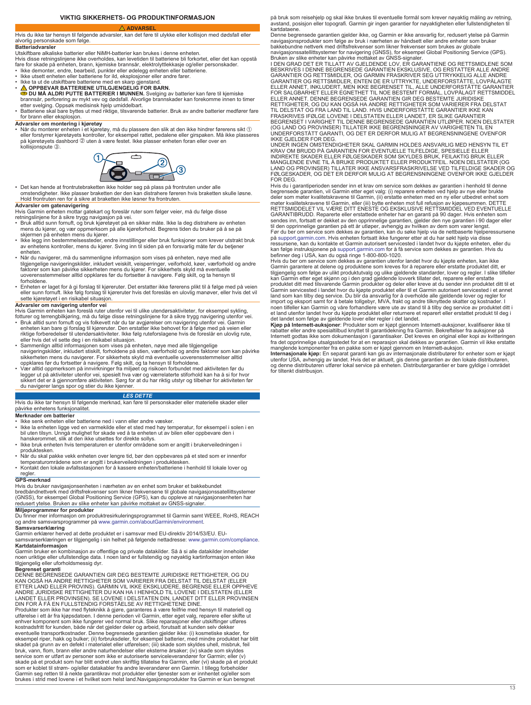### **VIKTIG SIKKERHETS- OG PRODUKTINFORMASJON**

### **ADVARSEL**

<span id="page-12-0"></span>Hvis du ikke tar hensyn til følgende advarsler, kan det føre til ulykke eller kollisjon med dødsfall eller alvorlig personskade som følge.

### **Batteriadvarsler**

Utskiftbare alkaliske batterier eller NiMH-batterier kan brukes i denne enheten.

Hvis disse retningslinjene ikke overholdes, kan levetiden til batteriene bli forkortet, eller det kan oppstå fare for skade på enheten, brann, kjemiske brannsår, elektrolyttlekkasje og/eller personskader. • Ikke demonter, endre, bearbeid, punkter eller ødelegg enheten eller batteriene.

- Ikke utsett enheten eller batteriene for ild, eksplosjoner eller andre farer.
- Ikke ta ut de utskiftbare batteriene med en skarp gjenstand. **OPPBEVAR BATTERIENE UTILGJENGELIG FOR BARN.**
- **DU MÅ ALDRI PUTTE BATTERIER I MUNNEN.** Svelging av batterier kan føre til kjemiske brannsår, perforering av mykt vev og dødsfall. Alvorlige brannskader kan forekomme innen to timer<br>etter svelging. Oppsøk medisinsk hjelp umiddelbart.<br>• Batteriene skal bare byttes ut med riktige, tilsvarende batterier. Br
- for brann eller eksplosjon.

**Advarsler om montering i kjøretøy**<br>• Når du monterer enheten i et kjøretøy, må du plassere den slik at den ikke hindrer førerens sikt ① eller forstyrrer kjøretøyets kontroller, for eksempel rattet, pedalene eller girspaken. Må ikke plasseres<br>på kjøretøyets dashbord ② uten å være festet. Ikke plasser enheten foran eller over en kollisjonspute Â.



• Det kan hende at frontrutebraketten ikke holder seg på plass på frontruten under alle omstendigheter. Ikke plasser braketten der den kan distrahere føreren hvis braketten skulle løsne. Hold frontruten ren for å sikre at braketten ikke løsner fra frontruten.

- 
- Advarsler om gatenavigering<br>Hvis Garmin enheten mottar gatekart og foreslår ruter som følger veier, må du følge disse<br>retningslinjene for å sikre trygg navigasjon på vei.<br>• Bruk alltid sunn fornuft, og bruk kjøretøyet på e
- Ikke legg inn bestemmelsessteder, endre innstillinger eller bruk funksjoner som krever utstrakt bruk av enhetens kontroller, mens du kjører. Sving inn til siden på en forsvarlig måte før du betjener enheten.
- Når du navigerer, må du sammenligne informasjon som vises på enheten, nøye med alle tilgjengelige navigeringskilder, inkludert veiskilt, veisperringer, veiforhold, køer, værforhold og andre faktorer som kan påvirke sikkerheten mens du kjører. For sikkerhets skyld må eventuelle uoverensstemmelser alltid oppklares før du fortsetter å navigere. Følg skilt, og ta hensyn til forholdene.
- Enheten er laget for å gi forslag til kjøreruter. Det erstatter ikke førerens plikt til å følge med på veien eller sunn fornuft. Ikke følg forslag til kjøreruter hvis det foreslås en ulovlig manøver, eller hvis det vil sette kjøretøyet i en risikabel situasjon.

**Advarsler om navigering utenfor vei**<br>Hvis Garmin enheten kan foreslå ruter utenfor vei til ulike utendørsaktiviteter, for eksempel sykling, fotturer og terrengbilkjøring, må du følge disse retningslinjene for å sikre trygg navigering utenfor vei. • Bruk alltid sunn fornuft og vis folkevett når du tar avgjørelser om navigering utenfor vei. Garmin

- enheten kan bare gi forslag til kjøreruter. Den erstatter ikke behovet for å følge med på veien eller<br>riktige forberedelser til utendørsaktiviteter. Ikke følg ruteforslagene hvis de foreslår en ulovlig rute, eller hvis det vil sette deg i en risikabel situasjon. • Sammenlign alltid informasjonen som vises på enheten, nøye med alle tilgjengelige
- navigeringskilder, inkludert stiskilt, forholdene på stien, værforhold og andre faktorer som kan påvirke sikkerheten mens du navigerer. For sikkerhetes skyld må eventuelle uoverensstemmelser alltid opprklares før du forste
- du navigerer langs spor og stier du ikke kjenner.

#### *LES DETTE*

Hvis du ikke tar hensyn til følgende merknad, kan føre til personskader eller materielle skader eller påvirke enhetens funksjonalitet.

### **Merknader om batterier**

- Ikke senk enheten eller batteriene ned i vann eller andre væsker.
- Ikke la enheten ligge ved en varmekilde eller et sted med høy temperatur, for eksempel i solen i en bil uten tilsyn. Unngå mulighet for skade ved å ta enheten ut av bilen eller oppbevare den i
- hanskerommet, slik at den ikke utsettes for direkte sollys. Ikke bruk enheten hvis temperaturen er utenfor områdene som er angitt i brukerveiledningen i produktesken.
- Når du skal pakke vekk enheten over lengre tid, bør den oppbevares på et sted som er innenfor<br>· temperaturområdene som er angitt i brukerveiledningen i produktesken.<br>• Kontakt den lokale avfallsstasjonen for å kassere en
- regler.

### **GPS-merknad**

Hvis du bruker navigasjonsenheten i nærheten av en enhet som bruker et bakkebundet<br>bredbåndnettverk med driftsfrekvenser som likner frekvensene til globale navigasjonssatellittsystemer<br>(GNSS), for eksempel Global Positioni

### **Miljøprogrammer for produkter**

Du finner mer informasjon om produktresirkuleringsprogrammet til Garmin samt WEEE, RoHS, REACH og andre samsvarsprogrammer på [www.garmin.com/aboutGarmin/environment.](http://www.garmin.com/aboutGarmin/environment)

**Samsvarserklæring**<br>Garmin erklærer herved at dette produktet er i samsvar med EU-direktiv 2014/53/EU. EU-<br>samsvarserklæringen er tilgjengelig i sin helhet på følgende nettadresse: [www.garmin.com/compliance](http://www.garmin.com/compliance). **Kartdatainformasjon**

Garmin bruker en kombinasjon av offentlige og private datakilder. Så å si alle datakilder inneholder noen uriktige eller ufullstendige data. I noen land er fullstendig og nøyaktig kartinformasjon enten ikke tilgjengelig eller uforholdsmessig dyr.

**Begrenset garanti**<br>DENNE BEGRENSEDE GARANTIEN GIR DEG BESTEMTE JURIDISKE RETTIGHETER, OG DU<br>KAN OGSÅ HA ANDRE RETTIGHETER SOM VARIERER FRA DELSTAT TIL DELSTAT (ELLER ETTER LAND ELLER PROVINS). GARMIN VIL IKKE EKSKLUDERE, BEGRENSE ELLER OPPHEVE<br>ANDRE JURIDISKE RETTIGHETER DU KAN HA I HENHOLD TIL LOVENE I DELSTATEN (ELLER<br>LANDET ELLER PROVINSEN). SE LOVENE I DELSTATEN DIN, LANDET DITT EL

Produkter som ikke har med flyteknikk å gjøre, garanteres å være feilfrie med hensyn til materiell og<br>utførelse i ett år fra kjøpsdatoen. I denne perioden vil Garmin, etter eget valg, reparere eller skifte ut<br>enhver kompon skadet på grunn av en defekt i materialet eller utførelsen; (iii) skade som skyldes uhell, misbruk, feil<br>bruk, vann, flom, brann eller andre naturhendelser eller eksterne årsaker; (iv) skade som skyldes<br>service som er utfø skade på et produkt som har blitt endret uten skriftlig tillatelse fra Garmin, eller (vi) skade på et produkt<br>som er koblet til strøm- og/eller datakabler fra andre leverandører enn Garmin. I tillegg forbeholder Garmin seg retten til å nekte garantikrav mot produkter eller tjenester som er innhentet og/eller som brukes i strid med lovene i et hvilket som helst land.Navigasjonsprodukter fra Garmin er kun beregnet

på bruk som reisehjelp og skal ikke brukes til eventuelle formål som krever nøyaktig måling av retning,<br>avstand, posisjon eller topografi. Garmin gir ingen garantier for nøyaktigheten eller fullstendigheten til kartdataene.

Denne begrensede garantien gjelder ikke, og Garmin er ikke ansvarlig for, redusert ytelse på Garmin navigasjonsprodukter som følge av bruk i nærheten av håndsett eller andre enheter som bruker bakkebundne nettverk med driftsfrekvenser som likner frekvenser som brukes av globale navigasjonssatellittsystemer for navigering (GNSS), for eksempel Global Positioning Service (GPS).

Bruken av slike enheter kan påvirke mottaket av GNSS-signaler.<br>I DEN GRAD DET ER TILLATT AV GJELDENDE LOV, ER GARANTIENE OG RETTSMIDLENE SOM<br>BESKRIVES I DENNE BEGRENSEDE GARANTIEN EKSKLUSIVE, OG ERSTATTER ALLE ANDRE<br>GARANT GARANTIER OG RETTSMIDLER, ENTEN DE ER UTTRYKTE, UNDERFORSTÄTTE, LOVPALAGTE<br>ELLER ANNET, INKLUDERT, MEN IKKE BEGRENSET TIL, ALLE UNDERFORSTÄTTE GARANTIER<br>FOR SALGBARHET ELLER EGNETHET TIL NOE BESTEMT FORMÅL, LOVPÅLAGT RETTS TIL DELSTAT OG FRA LAND TIL LAND. HVIS UNDERFORSTÅTTE GARANTIER IKKE KAN<br>FRASKRIVES IFØLGE LOVENE I DELSTATEN ELLER LANDET, ER SLIKE GARANTIER<br>BEGRENSET I VARIGHET TIL DENNE BEGRENSEDE GARANTIEN UTLØPER. NOEN DELSTATER<br>(OG UNDERFORSTÅTT GARANTI, OG DET ER DERFOR MULIG AT BEGRENSNINGENE OVENFOR IKKE GJELDER FOR DEG.

UNDER INGEN OMSTENDIGHETER SKAL GARMIN HOLDES ANSVARLIG MED HENSYN TIL ET<br>KRAV OM BRUDD PÅ GARANTIEN FOR EVENTUELLE TILFELDIGE, SPESIELLE ELLER<br>INDIREKTE SKADER ELLER FØLGESKADER SOM SKYLDES BRUK, FEILAKTIG BRUK ELLER<br>MANG LAND OG PROVINSER) TILLATER IKKE ANSVARSFRASKRIVELSE VED TILFELDIGE SKADER OG FØLGESKADER, OG DET ER DERFOR MULIG AT BEGRENSNINGENE OVENFOR IKKE GJELDER FOR DEG.

Hvis du i garantiperioden sender inn et krav om service som dekkes av garantien i henhold til denne begrensede garantien, vil Garmin etter eget valg: (i) reparere enheten ved hjelp av nye eller brukte deler som møter kvalitetskravene til Garmin, (ii) erstatte enheten med en ny eller utbedret enhet som møter kvalitetskravene til Garmin, eller (iii) bytte enheten mot full refusjon av kjøpesummen. DETTE<br>RETTSMIDDELET VIL VÆRE DITT ENESTE OG EKSKLUSIVE RETTSMIDDEL VED EVENTUELLE<br>GARANTIBRUDD. Reparerte eller erstattede enhe sendes inn, fortsatt er dekket av den opprinnelige garantien, gjelder den nye garantien i 90 dager eller<br>til den opprinnelige garantien på ett år utløper, avhengig av hvilken av dem som varer lengst. Før du ber om service som dekkes av garantien, kan du søke hjelp via de nettbaserte hjelperessursene<br>på [support.garmin.com](http://www.support.garmin.com). Hvis enheten fortsatt ikke fungerer etter at du har søkt hjelp via disse<br>ressursene, kan du kontak

befinner deg i USA, kan du også ringe 1-800-800-1020. Hvis du ber om service som dekkes av garantien utenfor landet hvor du kjøpte enheten, kan ikke Garmin garantere at delene og produktene som kreves for å reparere eller erstatte produktet ditt, er tilgjengelig som følge av ulikt produktutvalg og ulike gjeldende standarder, lover og regler. I slike tilfeller kan Garmin etter eget skjønn og i den grad gjeldende lovverk tillater det, reparere eller erstatte produktet ditt med tilsvarende Garmin produkter og deler eller kreve at du sender inn produktet ditt til et Garmin servicested i landet hvor du kjøpte produktet eller til et Garmin autorisert servicested i et annet<br>land som kan tilby deg service. Du blir da ansvarlig for å overholde alle gjeldende lover og regler for<br>import og e et land utenfor landet hvor du kjøpte produktet eller returnere et reparert eller erstattet produkt til deg i<br>det landet som følge av gjeldende lover eller regler i det landet.<br>**Kjøp på Internett-auksjoner**: Produkter som

rabatter eller andre spesialtilbud knyttet til garantidekning fra Garmin. Bekreftelser fra auksjoner på Internett godtas ikke som dokumentasjon i garantisaker. Det kreves en original eller kopi av kvitteringen

fra det opprinnelige utsalgsstedet for at en reparasjon skal dekkes av garantien. Garmin vil ikke erstatte<br>manglende komponenter fra en pakke som er kjøpt gjennom en Internett-auksjon.<br>**Internasjonale kjøp:** En separat gar og denne distributøren utfører lokal service på enheten. Distributørgarantier er bare gyldige i området for tiltenkt distribusjon.

# A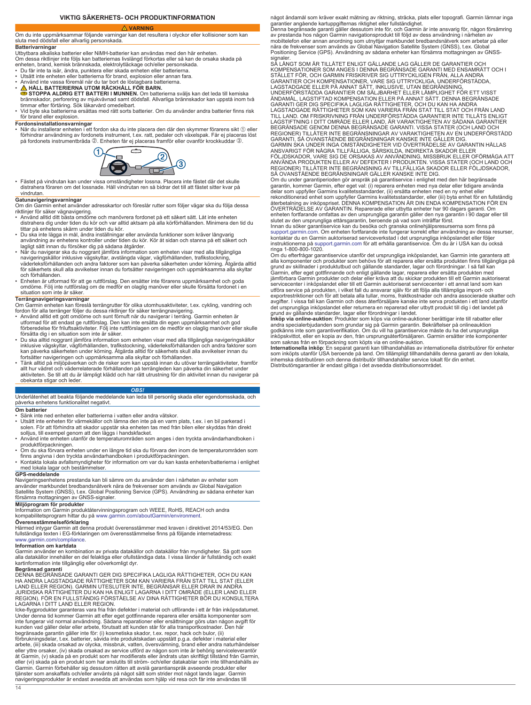### **VIKTIG SÄKERHETS- OCH PRODUKTINFORMATION**

#### **VARNING**

<span id="page-13-0"></span>Om du inte uppmärksammar följande varningar kan det resultera i olyckor eller kollisioner som kan sluta med dödsfall eller allvarlig personskada.

**Batterivarningar**<br>Utbytbara alkaliska batterier eller NiMH-batterier kan användas med den här enheten.

Om dessa riktlinjer inte följs kan batteriernas livslängd förkortas eller så kan de orsaka skada på

- enheten, brand, kemisk brännskada, elektrolytläckage och/eller personskada. Du får inte ta isär, ändra, punktera eller skada enheten eller batterierna.
- 
- Utsätt inte enheten eller batterierna för brand, explosion eller annan fara.<br>• Använd inte vassa föremål när du tar bort de löstagbara batterierna.<br>• <u>∧</u> HALL BATTERIERNA UTOM RÄCKHALL FÖR BARN.
- **GE STOPPA ALDRIG ETT BATTERI I MUNNEN**. Om batterierna sväljs kan det leda till kemiska<br>brännskador, perforering av mjukvävnad samt dödsfall. Allvarliga brännskador kan uppstå inom två<br>timmar efter förtäring. Sök läkarvå
- för brand eller explosion.

**Fordonsinstallationsvarningar**<br>• När du installerar enheten i ett fordon ska du inte placera den där den skymmer förarens sikt ① eller förhindrar användning av fordonets instrument, t.ex. ratt, pedaler och växelspak. Får ej placeras löst på fordonets instrumentbräda ②. Enheten får ej placeras framför eller ovanför krockkuddar ③.



• Fästet på vindrutan kan under vissa omständigheter lossna. Placera inte fästet där det skulle distrahera föraren om det lossnade. Håll vindrutan ren så bidrar det till att fästet sitter kvar på vindrutan.

### **Gatunavigeringsvarningar**

- Om din Garmin enhet använder adresskartor och föreslår rutter som följer vägar ska du följa dessa riktlinjer för säker vägnavigering.
- Använd alltid ditt bästa omdöme och manövrera fordonet på ett säkert sätt. Låt inte enheten distrahera dig under tiden du kör och var alltid aktsam på alla körförhållanden. Minimera den tid du tittar på enhetens skärm under tiden du kör.
- Du ska inte lägga in mål, ändra inställningar eller använda funktioner som kräver långvarig<br>- användning av enhetens kontroller under tiden du kör. Kör åt sidan och stanna på ett säkert och<br>- lagligt sätt innan du försök
- navigeringskällor inklusive vägskyltar, avstängda vägar, vägförhållanden, trafikstockning, väderleksförhållanden och andra faktorer som kan påverka säkerheten under körning. Åtgärda alltid för säkerhets skull alla avvikelser innan du fortsätter navigeringen och uppmärksamma alla skyltar
- och förhållanden.<br>• Enheten är utformad för att ge ruttförslag. Den ersätter inte förarens uppmärksamhet och goda<br>omdöme. Följ inte ruttförslag om de medför en olaglig manöver eller skulle försätta fordonet i en<br>situation

**Terrängnavigeringsvarningar**<br>Om Garmin enheten kan föreslå terrängrutter för olika utomhusaktiviteter, t.ex. cykling, vandring och<br>fordon för alla terränger följer du dessa riktlinjer för säker terrängnavigering.

- Använd alltid ett gott omdöme och sunt förnuft när du navigerar i terräng. Garmin enheten är utformad för att endast ge ruttförslag. Den kan inte ersätta din egen uppmärksamhet och god
- förberedelse för friluftsaktiviteter. Följ inte ruttförslagen om de medför en olaglig manöver eller skulle<br>försätta dig i en situation som inte är säker.<br>• Du ska alltid noggrant jämföra information som enheten visar med
- Tänk alltid på miljöpåverkan och de risker som kan uppstå innan du utövar terrängaktiviteter, framför<br>allt hur vädret och väderrelaterade förhållanden på terrängleden kan påverka din säkerhet under<br>aktiviteten. Se till a obekanta stigar och lede

### *OBS!*

Underlåtenhet att beakta följande meddelande kan leda till personlig skada eller egendomsskada, och påverka enhetens funktionalitet negativt.

**Om batterier**

- Sänk inte ned enheten eller batterierna i vatten eller andra vätskor.
- Utsätt inte enheten för värmekällor och lämna den inte på en varm plats, t.ex. i en bil parkerad i<br> solen. För att förhindra att skador uppstår ska enheten tas med från bilen eller skyddas från direkt<br> solljus, till ex
- Använd inte enheten utanför de temperaturområden som anges i den tryckta användarhandboken i produktförpackningen.
- ∙ Om du ska förvara enheten under en längre tid ska du förvara den inom de temperaturområden som<br>finns angivna i den tryckta användarhandboken i produktförpackningen.<br>◆ Kontakta lokala avfallsmyndigheter för information o
- 

#### **GPS-meddelande**

Navigeringsenhetens prestanda kan bli sämre om du använder den i närheten av enheter som<br>använder markbundet bredbandsnätverk nära de frekvenser som används av Global Navigation<br>Satellite System (GNSS), t.ex. Global Positi försämra mottagningen av GNSS-signaler.

**Miljöprogram för produkter** Information om Garmin produktåtervinningsprogram och WEEE, RoHS, REACH och andra kompabilitetsprogram hittar du på [www.garmin.com/aboutGarmin/environment.](http://www.garmin.com/aboutGarmin/environment) **Överensstämmelseförklaring**

Härmed intygar Garmin att denna produkt överensstämmer med kraven i direktivet 2014/53/EG. Den fullständiga texten i EG-förklaringen om överensstämmelse finns på följande internetadress: [www.garmin.com/compliance](http://www.garmin.com/compliance).

#### **Information om kartdata**

Garmin använder en kombination av privata datakällor och datakällor från myndigheter. Så gott som alla datakällor innehåller en del felaktiga eller ofullständiga data. I vissa länder är fullständig och exakt kartinformation inte tillgänglig eller oöverkomligt dyr.

**Begränsad garanti**<br>DENNA BEGRÄNSADE GARANTI GER DIG SPECIFIKA LAGLIGA RÄTTIGHETER, OCH DU KAN<br>HA ANDRA LAGSTADGADE RÄTTIGHETER SOM KAN VARIERA FRÅN STAT TILL STAT (ELLER<br>LAND ELLER REGION). GARMIN UTESLUTER INTE, BEGRÄNSA LAGARNA I DITT LAND ELLER REGION.

lcke-flygprodukter garanteras vara fria från defekter i material och utförande i ett år från inköpsdatumet.<br>Under denna tid kommer Garmin att efter eget gottfinnande reparera eller ersätta komponenter som<br>Inte fungerar vid

arbete, (iii) skada orsakad av olycka, missbruk, vatten, översvämning, brand eller andra naturhändelser<br>eller yttre orsaker, (iv) skada orsakad av service utförd av någon som inte är behörig serviceleverantör<br>åt Garmin, (v eller (vi) skada på en produkt som har anslutits till ström- och/eller datakablar som inte tillhandahålls av Garmin. Garmin förbehåller sig dessutom rätten att avslå garantianspråk avseende produkter eller tjänster som anskaffats och/eller använts på något sätt som strider mot något lands lagar. Garmin navigeringsprodukter är endast avsedda att användas som hjälp vid resa och får inte användas till

något ändamål som kräver exakt mätning av riktning, sträcka, plats eller topografi. Garmin lämnar inga<br>garantier angående kartuppgifternas riktighet eller fullständighet.<br>Denna begränsade garanti gäller dessutom inte för,

signaler.<br>SÅ LÅNGT SOM ÄR TILLÅTET ENLIGT GÄLLANDE LAG GÄLLER DE GARANTIER OCH<br>KOMPENSATIONER SOM ANGES I DENNA BEGRÄNSADE GARANTI MED ENSAMRÄTT OCH I<br>STÄLLET FÖR, OCH GARMIN FRISKRIVER SIG UTTRYCKLIGEN FRÅN, ALLA ANDRA<br>GA LAGSTADGADE ELLER PÅ ANNAT SÄTT, INKLUSIVE, UTAN BEGRÄNSNING,<br>UNDERFÖRSTÅDDA GARANTIER OM SÄLJBARHET ELLER LÄMPLIGHET FÖR ETT VISST<br>ÄNDAMÅL, LAGSTIFTAD KOMPENSATION ELLER PÅ ANNAT SÄTT. DENNA BEGRÄNSADE<br>GARANTI GER DIG SPE LAGSTADGADE RÄTTIGHETER SOM KAN VARIERA FRAN STAT TILL STAT OCH FRAN LAND<br>TILL LAND. OM FRISKRIVNING FRÅN UNDERFÖRSTÅDDA GARANTIER INTE TILLÅTS ENLIGT<br>LAGSTIFTNING I DITT OMRÅDE ELLER LAND, ÄR VARAKTIGHETEN AV SÅDANA GARAN REGIONER) TILLÅTER INTE BEGRÄNSNINGAR AV VARAKTIGHETEN AV EN UNDERFÖRSTÅDD GARANTI, SÅ OVANSTÅENDE BEGRÄNSNINGAR KANSKE INTE GÄLLER DIG. GARMIN SKA UNDER INGA OMSTÄNDIGHETER VID ÖVERTRÄDELSE AV GARANTIN HALLAS<br>ANSVARIGT FÖR NÅGRA TILLFÄLLIGA, SÄRSKILDA, INDIREKTA SKADOR ELLER<br>FÖLJDSKADOR, VARE SIG DE ORSAKAS AV ANVÄNDNING, MISSBRUK ELLER OFÖRMÅGA ATT<br>ANVÄND

REGIONER) TILLÅTER INTE BEGRÄNSNING AV TILLFÄLLIGA SKADOR ELLER FÖLJDSKADOR,

SÅ OVANSTÄENDE BEGRÄNSNINGAR GÄLLER KANSKE INTE DIG.<br>Om du under granningerioden gör anspråk på garantiservice i enlighet med den här begränsade<br>Ogrannin, kommer Garmin, efter eget val: (i) reparera enheten med nya delar e

ringa 1-800-800-1020.

Om du efterfrågar garantiservice utanför det ursprungliga inköpslandet, kan Garmin inte garantera att<br>alla komponenter och produkter som behövs för att reparera eller ersätta produkten finns tillgängliga på<br>grund av skilln jämförbara Garmin produkter och delar eller kräva att du skickar produkten till ett Garmin auktoriserat<br>servicecenter i inköpslandet eller till ett Garmin auktoriserat servicecenter i ett annat land som kan utföra service på produkten, i vilket fall du ansvarar själv för att följa alla tillämpliga import- och<br>exportrestriktioner och för att betala alla tullar, moms, fraktkostnader och andra associerade skatter och<br>avgifter. I det ursprungliga inköpslandet eller returnera en reparerad eller utbytt produkt till dig i det landet på

grund av gällande standarder, lagar eller förordningar i landet.<br>I**nköp via online-auktio**n: Produkter som köps via online-auktioner berättigar inte till rabatter eller<br>andra specialerbjudanden som grundar sig på Garmin ga

som saknas från en förpackning som köpts via en online-auktion.<br>**Internationella inköp**: En separat garanti kan tillhandahållas av internationella distributörer för enheter<br>som inköpts utanför USA beroende på land. Om till Distributörsgarantier är endast giltiga i det avsedda distributionsområdet.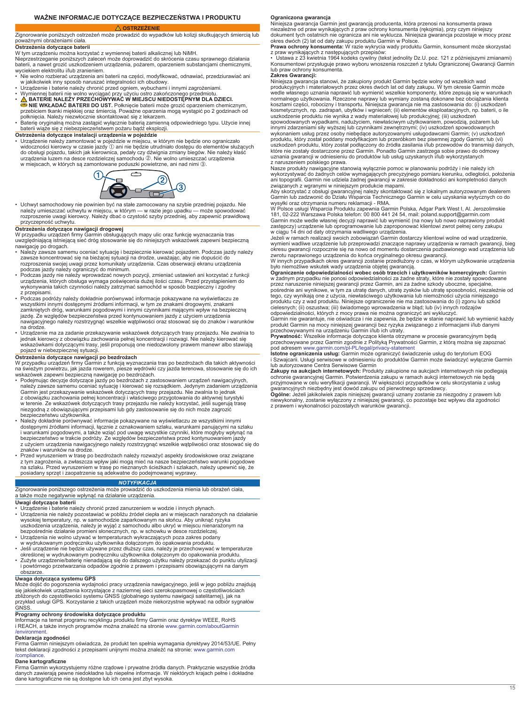### **WAŻNE INFORMACJE DOTYCZĄCE BEZPIECZEŃSTWA I PRODUKTU**

#### <span id="page-14-0"></span> **OSTRZEŻENIE** Zignorowanie poniższych ostrzeżeń może prowadzić do wypadków lub kolizji skutkujących śmiercią lub poważnymi obrażeniami ciała.

#### **Ostrzeżenia dotyczące baterii**

W tym urządzeniu można korzystać z wymiennej baterii alkalicznej lub NiMH. Nieprzestrzeganie poniższych zaleceń może doprowadzić do skrócenia czasu sprawnego działania baterii, a nawet grozić uszkodzeniem urządzenia, pożarem, oparzeniem substancjami chemicznymi, wyciekiem elektrolitu i/lub zranieniem.

- Nie wolno rozbierać urządzenia ani baterii na części, modyfikować, odnawiać, przedziurawiać ani
- 
- w jakikolwiek inny sposób naruszać integralności ich obudowy.<br>• Urządzenie i baterie należy chronić przed ogniem, wybuchami i innymi zagrożeniami.<br>• Wymiennej baterii nie wolno wyciągać przy użyciu ostro zakończonego prze
- połknięcia. Należy niezwłocznie skontaktować się z lekarzem. Baterię oryginalną można zastąpić wyłącznie baterią zamienną odpowiedniego typu. Użycie innej
- baterii wiąże się z niebezpieczeństwem pożaru bądź eksplozji.

**Ostrzeżenia dotyczące instalacji urządzenia w pojeździe** • Urządzenie należy zamontować w pojeździe w miejscu, w którym nie będzie ono ograniczało widoczności kierowcy w czasie jazdy ① ani nie będzie utrudniało dostępu do elementów służących<br>do obsługi pojazdu, takich jak kierownica, pedały czy dźwignia zmiany biegów. Nie należy kłaść urządzenia luzem na desce rozdzielczej samochodu Á. Nie wolno umieszczać urządzenia w miejscach, w których są zamontowane poduszki powietrzne, ani nad nimi 3.



• Uchwyt samochodowy nie powinien być na stałe zamocowany na szybie przedniej pojazdu. Nie należy umieszczać uchwytu w miejscu, w którym — w razie jego upadku — może spowodować rozproszenie uwagi kierowcy. Należy dbać o czystość szyby przedniej, aby zapewnić prawidłową przyczepność uchwytu.

**Ostrzeżenia dotyczące nawigacji drogowej** W przypadku urządzeń firmy Garmin obsługujących mapy ulic oraz funkcję wyznaczania tras uwzględniającą istniejącą sieć dróg stosowanie się do niniejszych wskazówek zapewni bezpieczną nawigację po drogach.

- Należy zawsze samemu oceniać sytuację i bezpiecznie kierować pojazdem. Podczas jazdy należy zawsze koncentrować się na bieżącej sytuacji na drodze, uważając, aby nie dopuścić do rozproszenia swojej uwagi przez komunikaty urządzenia. Czas obserwacji ekranu urządzenia
- podczas jazdy należy ograniczyć do minimum.<br>• Podczas jazdy nie należy wprowadzać nowych pozycji, zmieniać ustawień ani korzystać z funkcji<br>urządzenia, których obsługa wymaga poświęcenia dużej ilości czasu. Przed przystąpi
- z przepisami. Podczas podróży należy dokładnie porównywać informacje pokazywane na wyświetlaczu ze wszystkimi innymi dostępnymi źródłami informacji, w tym ze znakami drogowymi, znakami<br>zamkniętych dróg, warunkami pogodowymi i innymi czynnikami mającymi wpływ na bezpieczną<br>jazdę. Ze względów bezpieczeństwa przed kontynuo nawigacyjnego należy rozstrzygnąć wszelkie wątpliwości oraz stosować się do znaków i warunków na drodze.
- Urządzenie ma za zadanie przekazywanie wskazówek dotyczących trasy przejazdu. Nie zwalnia to jednak kierowcy z obowiązku zachowania pełnej koncentracji i rozwagi. Nie należy kierować się wskazówkami dotyczącymi trasy, jeśli proponują one niedozwolony prawem manewr albo stawiają pojazd w niebezpiecznej sytuacji.

### **Ostrzeżenia dotyczące nawigacji po bezdrożach**

W przypadku urządzeń firmy Garmin z funkcją wyznaczania tras po bezdrożach dla takich aktywności na świeżym powietrzu, jak jazda rowerem, piesze wędrówki czy jazda terenowa, stosowanie się do ich wskazówek zapewni bezpieczną nawigację po bezdrożach.

- Podejmując decyzje dotyczące jazdy po bezdrożach z zastosowaniem urządzeń nawigacyjnych, należy zawsze samemu oceniać sytuację i kierować się rozsądkiem. Jedynym zadaniem urządzenia<br>Garmin jest przekazywanie wskazówek dotyczących trasy przejazdu. Nie zwalnia to jednak<br>z obowiązku zachowania pełnej koncentracji w terenie. Ze wskazówek dotyczących trasy przejazdu nie należy korzystać, jeśli sugerują trasę niezgodną z obowiązującymi przepisami lub gdy zastosowanie się do nich może zagrozić bezpieczeństwu użytkownika. • Należy dokładnie porównywać informacje pokazywane na wyświetlaczu ze wszystkimi innymi
- dostępnymi źródłami informacji, łącznie z oznakowaniem szlaku, warunkami panującymi na szlaku i warunkami pogodowymi, a także wziąć pod uwagę wszystkie czynniki, które mogłyby wpłynąć na bezpieczeństwo w trakcie podróży. Ze względów bezpieczeństwa przed kontynuowaniem jazdy z użyciem urządzenia nawigacyjnego należy rozstrzygnąć wszelkie wątpliwości oraz stosować się do znaków i warunków na drodze.
- Przed wyruszeniem w trasę po bezdrożach należy rozważyć aspekty środowiskowe oraz związane z tym zagrożenia, a zwłaszcza wpływ jaki mogą mieć na nasze bezpieczeństwo warunki pogodowe na szlaku. Przed wyruszeniem w trasę po nieznanych ścieżkach i szlakach, należy upewnić się, że posiadany sprzęt i zaopatrzenie są adekwatne do podejmowanej wyprawy.

### *NOTYFIKACJA*

Zignorowanie poniższego ostrzeżenia może prowadzić do uszkodzenia mienia lub obrażeń ciała, a także może negatywnie wpłynąć na działanie urządzenia.

#### **Uwagi dotyczące baterii**

- ∙ Urządzenie i baterie należy chronić przed zanurzeniem w wodzie i innych płynach.<br>∙ Urządzenia nie należy pozostawiać w pobliżu źródeł ciepła ani w miejscach narażonych na działanie<br>− wysokiej temperatury, np. w samocho uszkodzenia urządzenia, należy je wyjąć z samochodu albo ukryć w miejscu nienarażonym na bezpośrednie działanie promieni słonecznych, np. w schowku w desce rozdzielczej.
- 
- Urządzenia nie wolno używać w temperaturach wykraczających poza zakres podany<br>• Jeśli urządzenie nie będczniku użytkownika dołączonym do opakowania produktu.<br>• Jeśli urządzenie nie będzie używane przez dłuższy czas, nale
- Zużyte urządzenie/baterię nienadającą się do dalszego użytku należy przekazać do punktu utylizacji i powtórnego przetwarzania odpadów zgodnie z prawem i przepisami obowiązującymi na danym obszarze.

#### **Uwaga dotycząca systemu GPS**

Może dojść do pogorszenia wydajności pracy urządzenia nawigacyjnego, jeśli w jego pobliżu znajdują się jakiekolwiek urządzenia korzystające z naziemnej sieci szerokopasmowej o częstotliwościach<br>zbliżonych do częstotliwości systemu GNSS (globalnego systemu nawigacji satelitarnej), jak na<br>przykład usługi GPS. Korzystanie

**Programy ochrony środowiska dotyczące produktu** Informacje na temat programu recyklingu produktu firmy Garmin oraz dyrektyw WEEE, RoHS i REACH, a także innych programów można znaleźć na stronie [www.garmin.com/aboutGarmin](http://www.garmin.com/aboutGarmin/environment) [/environment.](http://www.garmin.com/aboutGarmin/environment)

**Deklaracja zgodności** Firma Garmin niniejszym oświadcza, że produkt ten spełnia wymagania dyrektywy 2014/53/UE. Pełny tekst deklaracji zgodności z przepisami unijnymi można znaleźć na stronie: [www.garmin.com](http://www.garmin.com/compliance) [/compliance](http://www.garmin.com/compliance).

#### **Dane kartograficzne**

Firma Garmin wykorzystujemy różne rządowe i prywatne źródła danych. Praktycznie wszystkie źródła<br>danych zawierają pewne niedokładne lub niepełne informacje. W niektórych krajach pełne i dokładne<br>dane kartograficzne nie są

**Ograniczona gwarancja** Niniejsza gwarancja Garmin jest gwarancją producenta, która przenosi na konsumenta prawa niezależne od praw wynikających z praw ochrony konsumenta (rękojmia), przy czym niniejszy dokument tych ostatnich nie ogranicza ani nie wyklucza. Niniejsza gwarancja pozostaje w mocy przez okres dwóch (2) lat od daty zakupu produktu Garmin w Polsce.

**Prawa ochrony konsumenta:** W razie wykrycia wady produktu Garmin, konsument może skorzystać

z praw wynikających z następujących przepisów: • Ustawa z 23 kwietnia 1964 kodeks cywilny (tekst jednolity Dz.U. poz. 121 z późniejszymi zmianami) Konsumentowi przysługuje prawo wyboru wnoszenia roszczeń z tytułu Ograniczonej Gwarancji Garmin lub praw ochrony konsumenta.

#### **Zakres Gwarancji:**

Niniejsza gwarancja stanowi, że zakupiony produkt Garmin będzie wolny od wszelkich wad produkcyjnych i materiałowych przez okres dwóch lat od daty zakupu. W tym okresie Garmin może wedle własnego uznania naprawić lub wymienić wszelkie komponenty, które zepsują się w warunkach<br>normalnego użytkowania. Rzeczone naprawy lub wymiany zostaną dokonane bez obciążania klienta<br>kosztami części, robocizny i tran

uszkodzenie produktu nie wynika z wady materiałowej lub produkcyjnej; (iii) uszkodzeń<br>spowodowanych wypadkami, nadużyciem, niewłaściwym użytkowaniem, powodzią, pożarem lub<br>innymi zdarzeniami siły wyższej lub czynnikami zew uszkodzeń produktu, który został podłączony do źródła zasilania i/lub przewodów do transmisji danych,<br>które nie zostały dostarczone przez Garmin. Ponadto Garmin zastrzega sobie prawo do odmowy<br>uznania gwarancji w odniesien

Nasze produkty nawigacyjne stanowią wyłącznie pomoc w planowaniu podróży i nie należy ich<br>wykorzystywać do żadnych celów wymagających precyzyjnego pomiaru kierunku, odległości, położenia<br>ani topografii. Garmin nie udziela

wysyłki oraz otrzymania numeru reklamacji - RMA.<br>W Polsce usługi Wsparcia Produktu zapewnia Garmin Polska, Adgar Park West I, Al. Jerozolimskie<br>181, 02-222 Warszawa Polska telefon: 00 800 441 24 54, mail: poland.support@ga

w ciągu 14 dni od daty otrzymania wadliwego urządzenia.<br>Jeżeli w ramach realizacji swoich zobowiązań Garmin dostarczy klientowi wolne od wad urządzenie,<br>wymieni wadliwe urządzenie lub przeprowadzi znaczące naprawy urządzen

zwrotu naprawionego urządzenia do końca oryginalnego okresu gwarancji.<br>W innych przypadkach okres gwarancji zostanie przedłużony o czas, w którym użytkowanie urządzenia<br>było niemożliwe wskutek wady urządzenia objętej gwara

w żadnym przypadku nie ponosi odpowiedzialności za żadne straty, które nie zostały spowodowane przez naruszenie niniejszej gwarancji przez Garmin, ani za żadne szkody uboczne, specjalne, pośrednie ani wynikowe, w tym za utratę danych, utratę zysków lub utratę sposobności, niezależnie od<br>tego, czy wynikają one z użycia, niewłaściwego użytkowania lub niemożności użycia niniejszego<br>produktu czy z wad produktu cielesnych; (ii) oszustwa; (iii) świadomego wprowadzenia w błąd; lub (iv) innych rodzajów

odpowiedzialności, których z mocy prawa nie można ograniczyć ani wykluczyć.<br>Garmin nie gwarantuje, nie oświadcza i nie zapewnia, że będzie w stanie naprawić lub wymienić każdy<br>produkt Garmin na mocy niniejszej gwarancji be

przechowywanymi na urządzeniu Garmin i/lub ich utraty. **Prywatność:** Wszelkie informacje dotyczące klienta otrzymane w procesie gwarancyjnym będą przechowywane przez Garmin zgodnie z Polityką Prywatności Garmin, z którą można się zapoznać<br>pod adresem [www.garmin.com/pl-PL/legal/privacy-statement](http://www.garmin.com/pl-PL/legal/privacy-statement)<br>**Istotne ograniczenia usług:** Garmin może ograniczyć świadczenie usług d

lub autoryzowane Centra Serwisowe Garmin<br>Zakupy na aukcjach internetowych: Produkty zakupione na aukcjach internetowych nie podlegają<br>ochronie gwarancyjnej Garmin. Potwierdzenia zakupu w ramach aukcji internetowych nie będ

niewykonalny, zostanie wyłączony z niniejszej gwarancji, co pozostaje bez wpływu dla zgodności z prawem i wykonalności pozostałych warunków gwarancji.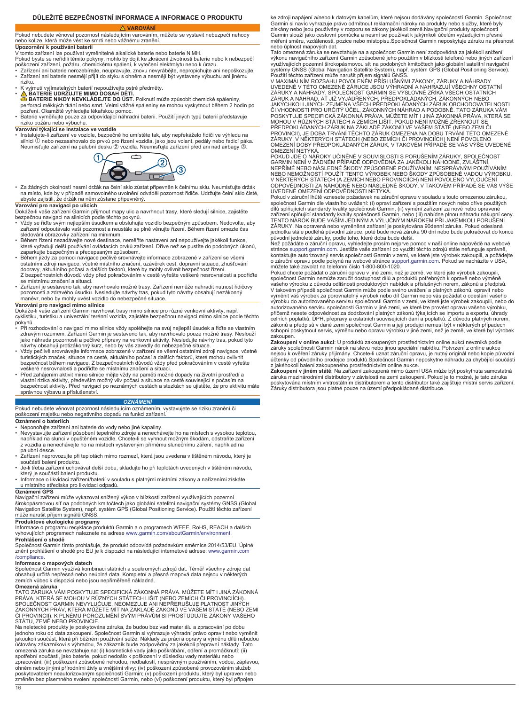### **DŮLEŽITÉ BEZPEČNOSTNÍ INFORMACE A INFORMACE O PRODUKTU**

 **VAROVÁNÍ**

<span id="page-15-0"></span>Pokud nebudete věnovat pozornost následujícím varováním, můžete se vystavit nebezpečí nehody nebo kolize, která může vést ke smrti nebo vážnému zranění. **Upozornění k používání baterií**

V tomto zařízení lze používat vyměnitelné alkalické baterie nebo baterie NiMH. Pokud byste se neřídili těmito pokyny, mohlo by dojít ke zkrácení životnosti baterie nebo k nebezpečí poškození zařízení, požáru, chemickému spálení, k vytečení elektrolytu nebo k úrazu. • Zařízení ani baterie nerozebírejte, neupravujte, znovu nevyrábějte, nepropichujte ani nepoškozujte.

- Zařízení ani baterie nesmějí přijít do styku s ohněm a nesmějí být vystaveny výbuchu ani jinému riziku.
- K vyjmutí vyjímatelných baterií nepoužívejte ostré předměty.
- 
- **A BATERIE UDRŽUJTE MIMO DOSAH DETI.**<br> **BATERIE NIKDY NEVKLÁDEJTE DO ÚST.** Polknutí může způsobit chemické spáleniny,<br>
perforaci měkkých tkání nebo smrt. Velmi vážné spáleniny se mohou vyskytnout během 2 hodin po<br>
pozřen
- pozivnili cinamako v jiho osloval pohodnosti.<br>Baterie vyměňujte pouze za odpovídající náhradní baterii. Použití jiných typů baterií představuje<br>riziko požáru nebo výbuchu.

#### **Varování týkající se instalace ve vozidle**

• Instalujete-li zařízení ve vozidle, bezpečně ho umístěte tak, aby nepřekáželo řidiči ve výhledu na silnici À nebo nezasahovalo do prvků pro řízení vozidla, jako jsou volant, pedály nebo řadicí páka. Neumisťujte zařízení na palubní desku ② vozidla. Neumisťujte zařízení před ani nad airbagy ③.



• Za žádných okolností nesmí držák na čelní sklo zůstat připevněn k čelnímu sklu. Neumisťujte držák na místo, kde by v případě samovolného uvolnění odváděl pozornost řidiče. Udržujte čelní sklo čisté, abyste zajistili, že držák na něm zůstane připevněný.

- **Varování pro navigaci po ulicích**<br>Dokáže-li vaše zařízení Garmin přijmout mapy ulic a navrhnout trasy, které sledují silnice, zajistěte<br>bezpečnou navigaci na silnicích podle těchto pokynů.<br>• Vždy se řídte svým nejlepším ú
- sledování obrazovky zařízení na minimum.
- Během řízení nezadávejte nové destinace, neměňte nastavení ani nepoužívejte jakékoli funkce,<br> které vyžadují delší používání ovládacích prvků zařízení. Dříve než se pustíte do podobných úkonů,<br> zaparkujte bezpečným a př
- Během jízdy za pomoci navigace pečlivě srovnávejte informace zobrazené v zařízení se všemi ostatními zdroji navigace, včetně místního značení, uzávěrek cest, dopravní situace, zhušťování dopravy, aktuálního počasí a dalších faktorů, které by mohly ovlivnit bezpečnost řízení. Z bezpečnostních důvodů vždy před pokračováním v cestě vyřešte veškeré nesrovnalosti a podřiďte se místnímu značení a situaci.
- Zařízení je sestaveno tak, aby navrhovalo možné trasy. Zařízení nemůže nahradit nutnost řidičovy pozornosti a zdravého úsudku. Nesledujte návrhy tras, pokud tyto návrhy obsahují nezákonný manévr, nebo by mohly uvést vozidlo do nebezpečné situace.

#### **Varování pro navigaci mimo silnice**

Dokáže-li vaše zařízení Garmin navrhovat trasy mimo silnice pro různé venkovní aktivity, např. cyklistiku, turistiku a univerzální terénní vozidla, zajistěte bezpečnou navigaci mimo silnice podle těchto pokynů.

- Při rozhodování o navigaci mimo silnice vždy spoléhejte na svůj nejlepší úsudek a řidte se vlastním<br>zdravým rozumem. Zařízení Gamini je sestaveno tak, aby navrhovalo pouze možné trasy. Neslouží<br>jako náhrada pozornosti a
- Vždy pečlivě srovnávejte informace zobrazené v zařízení se všemi ostatními zdroji navigace, včetně turistických značek, situace na cestě, aktuálního počasí a dalších faktorů, které mohou ovlivnit bezpečnost během navigace. Z bezpečnostních důvodů vždy před pokračováním v cestě vyřešte
- veškeré nesrovnalosti a podřiďte se místnímu značení a situaci. Před zahájením aktivit mimo silnice mějte vždy na paměti možné dopady na životní prostředí a vlastní rizika aktivity, především možný vliv počasí a situace na cestě související s počasím na bezpečnost aktivity. Před navigací po neznámých cestách a stezkách se ujistěte, že pro aktivitu máte správnou výbavu a příslušenství.

#### *OZNÁMENÍ*

Pokud nebudete věnovat pozornost následujícím oznámením, vystavujete se riziku zranění či poškození majetku nebo negativního dopadu na funkci zařízení **Oznámení o bateriích**

- Neponořujte zařízení ani baterie do vody nebo jiné kapaliny.
- Nevystavujte zařízení působení tepelného zdroje a nenechávejte ho na místech s vysokou teplotou, například na slunci v opuštěném vozidle. Chcete-li se vyhnout možným škodám, odstraňte zařízení z vozidla a nenechávejte ho na místech vystaveným přímému slunečnímu záření, například na
- palubní desce. • Zařízení neprovozujte při teplotách mimo rozmezí, která jsou uvedena v tištěném návodu, který je
- součástí balení produktu. Je-li třeba zařízení uchovávat delší dobu, skladujte ho při teplotách uvedených v tištěném návodu,
- který je součástí balení produktu. Informace o likvidaci zařízení/baterií v souladu s platnými místními zákony a nařízeními získáte u místního střediska pro likvidaci odpadů.

### **Oznámení GPS**

Navigační zařízení může vykazovat snížený výkon v blízkosti zařízení využívajících pozemní širokopásmovou síť na podobných kmitočtech jako globální satelitní navigační systémy GNSS (Global Navigation Satellite System), např. systém GPS (Global Positioning Service). Použití těchto zařízení může narušit příjem signálů GNSS.

### **Produktové ekologické programy**

Informace o programu recyklace produktů Garmin a o programech WEEE, RoHS, REACH a dalších vyhovujících programech naleznete na adrese [www.garmin.com/aboutGarmin/environment](http://www.garmin.com/aboutGarmin/environment). **Prohlášení o shodě**

16

Společnost Garmin tímto prohlašuje, že produkt odpovídá požadavkům směrnice 2014/53/EU. Úplné znění prohlášení o shodě pro EU je k dispozici na následující internetové adrese: [www.garmin.com](http://www.garmin.com/compliance) [/compliance](http://www.garmin.com/compliance).

**Informace o mapových datech**<br>Společnost Garmin využívá kombinaci státních a soukromých zdrojů dat. Téměř všechny zdroje dat obsahují určitá nepřesná nebo neúplná data. Kompletní a přesná mapová data nejsou v některých zemích vůbec k dispozici nebo jsou nepřiměřeně nákladná. **Omezená záruka**

## TATO ZARUKA VAM POSKYTUJE SPECIFICKA ZAKONNA PRAVA. MUŽETE MIT I JINA ZAKONNA<br>PRÁVA, KTERÁ SE MOHOU V RŮZNÝCH STÁTECH LIŠIT (NEBO ZEMÍCH ČI PROVINCIÍCH).<br>SPOLEČNOST GARMIN NEVYLUČUJE, NEOMEZUJE ANI NEPŘERUŠUJE PLATNOST JIN ZÁKONNÝCH PRÁV, KTERÁ MŮŽETE MÍT NA ZÁKLADĚ ZÁKONŮ VE VAŠEM STÁTĚ (NEBO ZEMI<br>ČI PROVINCII). K PLNÉMU POROZUMĚNÍ SVÝM PRÁVŮM SI PROSTUDUJTE ZÁKONY VAŠEHO STÁTU, ZEMĚ NEBO PROVINCIE

Na neletecké produkty je poskytována záruka, že budou bez vad materiálu a zpracování po dobu<br>jednoho roku od data zakoupení. Společnost Garmin si vyhrazuje výhradní právo opravit nebo vyměnit<br>jakoukoli součást, která při b účtovány zákazníkovi s výhradou, že zákazník bude zodpovědný za jakékoli přepravní náklady. Tato<br>omezená záruka se nevztahuje na: (i) kosmetické vady jako poškrábání, odření a promáčknutí; (ii)<br>spotřební součásti, jako bat zpracování; (iii) poškození způsobené nehodou, nedbalostí, nesprávným používáním, vodou, záplavou,<br>ohněm nebo jinými přírodními živly a vnějšími vlivy; (iv) poškození způsobené provozováním služeb poskytovatelem neautorizovaným společností Garmin; (v) poškození produktu, který byl upraven nebo<br>změněn bez písemného svolení společnosti Garmin, nebo (vi) poškození produktu, který byl připojen

ke zdroji napájení a/nebo k datovým kabelům, které nejsou dodávány společností Garmin. Společnost Garmin si navíc vyhrazuje právo odmítnout reklamační nároky na produkty nebo služby, které byly získány nebo jsou používány v rozporu se zákony jakékoli země.Navigační produkty společnosti Garmin slouží jako cestovní pomůcka a nesmí se používat k jakýmkoli účelům vyžadujícím přesné měření směru, vzdálenosti, pozice nebo místopisu.Společnost Garmin neposkytuje záruku na přesnost nebo úplnost mapových dat.

Tato omezená záruka se nevztahuje na a společnost Garmin není zodpovědná za jakékoli snížení výkonu navigačního zařízení Garmin způsobené jeho použitím v blízkosti telefonů nebo jiných zařízení

využívajících pozemní širokopásmovou síť na podobných kmitočtech jako globální satelitní navigační<br>systémy GNSS (Global Navigation Satellite System), např. systém GPS (Global Positioning Service).<br>Použití těchto zařízení m ČI VHODNOSTI PRO URČITÝ ÚČEL, ZÁKONNÝCH NÁHRAD A PODOBNÉ. TATO ZÁRUKA VÁM<br>POSKYTUJE SPECIFICKÁ ZÁKONNÁ PRÁVA. MŮŽETE MÍT I JINÁ ZÁKONNÁ PRÁVA, KTERÁ SE<br>MOHOU V RŮZNÝCH STÁTECH A ZEMÍCH LIŠIT. POKUD NENÍ MOŽNÉ ZŘEKNOUT SE<br>P PROVINCII), JE DOBA TRVÁNÍ TÉCHTO ZÁRUK OMEZENA NA DOBU TRVÁNÍ TÉTO OMEZENÉ<br>ZÁRUKY. V NĚKTERÝCH STÁTECH (NEBO ZEMÍCH ČI PROVINCIÍCH) NENÍ POVOLENO OMEZENÍ DOBY PŘEDPOKLÁDANÝCH ZÁRUK, V TAKOVÉM PŘÍPADĚ SE VÁS VÝŠE UVEDENÉ

OMEZENI NETYKA.<br>POKUD JDE O NÁROKY UČINĚNÉ V SOUVISLOSTI S PORUŠENÍM ZÁRUKY, SPOLEČNOST<br>GARMIN NENÍ V ŽÁDNÉM PŘÍPADĚ ODPOVĚDNÁ ZA JAKÉKOLI NÁHODNÉ, ZVLÁŠTNÍ,<br>NEPŘÍMĚ NEBO NÁSLEDNÉ ŠKODY ZPŮSOBENÉ POUŽÍVÁNÍM, NESPRÁVNÝM POU

Pokud v záruční lhůtě vznesete požadavek na záruční opravu v souladu s touto omezenou zárukou, společnost Garmin dle vlastního uvážení: (i) opraví zařízení s použitím nových nebo dříve použitých<br>dílů splňujících standardy kvality společnosti Garmin, (ii) vymění zařízení za nové nebo opravené<br>zařízení splňující stand TENTO NÁROK BUDE VAŠÍM JEDINÝM A VÝLUČNÝM NÁROKEM PŘI JAKÉMKOLI PORUŠENÍ<br>ZÁRUKY. Na opravená nebo vyměněná zařízení je poskytována 90denní záruka. Pokud odeslaná jednotka stále podléhá původní záruce, poté bude nová záruka 90 dní nebo bude pokračovat do konce

původní jednoleté záruky, podle toho, které doba bude delší.<br>Než požádáte o záruční opravu, vyhledejte prosím nejprve pomoc v naší online nápovědě na webové<br>stránce [support.garmin.com](http://www.support.garmin.com). Jestliže vaše zařízení po využití těc kontaktujte autorizovaný servis společnosti Garmin v zemi, ve které jste výrobek zakoupili, a požádejte<br>o záruční opravu podle pokynů na webové stránce [support.garmin.com](http://www.support.garmin.com). Pokud se nacházíte v USA,<br>můžete také zavolat na t

Pokud chcete požádat o záruční opravu v jiné zemi, než je země, ve které jste výrobek zakoupili, společnost Garmin nemůže zaručit dostupnost dílů a produktů potřebných k opravě nebo výměně vašeho výrobku z důvodu odlišnosti produktových nabídek a příslušných norem, zákonů a předpisů. V takovém případě společnost Garmin může podle svého uvážení a platných zákonů, opravit nebo vyměnit váš výrobek za porovnatelný výrobek nebo díl Garmin nebo vás požádat o odeslání vašeho výrobku do autorizovaného servisu společnosti Garmin v zemi, ve které jste výrobek zakoupili, nebo do autorizovaného servisu společnosti Garmin v jiné zemi, ve které lze provést opravu vašeho výrobku, přičemž nesete odpovědnost za dodržování platných zákonů týkajících se importu a exportu, úhrady<br>celních poplatků, DPH, přepravy a ostatních souvisejících daní a poplatků. Z důvodu platných norem,<br>zákonů a předpisů v dané zakoupen.

**Zakoupení v online aukci**: U produktů zakoupených prostřednictvím online aukcí nevzniká podle<br>záruky společnosti Garmin nárok na slevu nebo jinou speciální nabídku. Potvrzení z online aukce<br>nejsou k ověření záruky přijímá

z jakéhokoli balení zakoupeného prostřednictvím online aukce. **Zakoupení v jiném státě**: Na zařízení zakoupená mimo území USA může být poskytnuta samostatná záruka mezinárodními distributory v závislosti na zemi zakoupení. Pokud je to možné, je tato záruka<br>poskytována místním vnitrostátním distributorem a tento distributor také zajišťuje místní servis zařízení.<br>Záruky distribu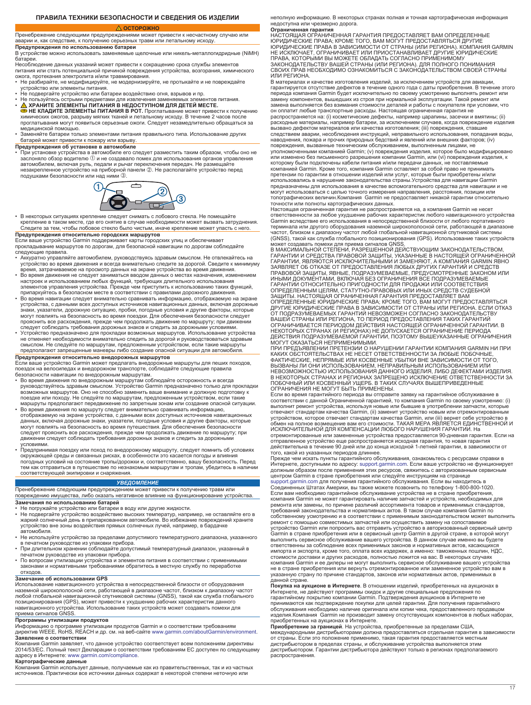#### **ПРАВИЛА ТЕХНИКИ БЕЗОПАСНОСТИ И СВЕДЕНИЯ ОБ ИЗДЕЛИИ**

### **ОСТОРОЖНО**

<span id="page-16-0"></span>Пренебрежение следующими предупреждениями может привести к несчастному случаю или аварии и, как следствие, к получению серьезных травм или летальному исходу.

**Предупреждения по использованию батареи**

В устройстве можно использовать заменяемые щелочные или никель-металлогидридные (NiMH) батареи.

Несоблюдение данных указаний может привести к сокращению срока службы элементов питания или стать потенциальной причиной повреждения устройства, возгорания, химического

ожога, протекания электролита и/или травмирования. • Не разбирайте, не модифицируйте, не модернизируйте, не протыкайте и не повреждайте устройство или элементы питания.

- Не подвергайте устройство или батареи воздействию огня, взрывов и пр.
- Не пользуйтесь острыми предметами для извлечения заменяемых элементов питания.<br>• **Д ХРАНИТЕ ЭЛЕМЕНТЫ ПИТАНИЯ В НЕДОСТУПНОМ ДЛЯ ДЕТЕЙ МЕСТЕ.**<br>• НЕ КЛАДИТЕ ЭЛЕМЕНТЫ ПИТАНИЯ В РОТ. Проглатывание может привести к получению<br>
- медицинской помощью. Заменяйте батареи только элементами питания правильного типа. Использование других
- батарей может привести к пожару или взрыву.

**Предупреждения об установке в автомобиле** • При установке устройства в автомобиле его следует разместить таким образом, чтобы оно не засло́няло обзо́р водителю ① и не создавало пом́ех для использования органов управления<br>автомобилем, включая руль, педали и рычаг переключения передач. Не размещайте<br>незакрепленное устройство на приборной панели ②. Не ра подушками безопасности или над ними 3.



• В некоторых ситуациях крепление следует снимать с лобового стекла. Не помещайте крепление в таком месте, где его снятие в случае необходимости может вызвать затруднения. Следите за тем, чтобы лобовое стекло было чистым, иначе крепление может упасть с него.

**Предупреждения относительно городских маршрутов**

Если ваше устройство Garmin поддерживает карты городских улиц и обеспечивает прокладывание маршрутов по дорогам, для безопасной навигации по дорогам соблюдайте следующие правила.

- Аккуратно управляйте автомобилем, руководствуясь здравым смыслом. Не отвлекайтесь на устройство во время движения и всегда внимательно следите за дорогой. Сведите к минимуму
- время, затрачиваемое на просмотр данных на экране устройства во время движения.<br>• Во время движения не следует заниматься вводом данных о местах назначения, изменением<br>настроек и использованием любых функций, требующих дл
- припаркуйтесь в безопасном месте в соответствии с правилами дорожного движения. Во время навигации следует внимательно сравнивать информацию, отображаемую на экране устройства, с данными всех доступных источников навигационных данных, включая дорожные знаки, указатели, дорожную ситуацию, пробки, погодные условия и другие факторы, которые могут повлиять на безопасность во время поездки. Для обеспечения безопасности следует прояснить все расхождения, прежде чем продолжать движение по маршруту; при движении следует соблюдать требования дорожных знаков и следить за дорожными условиями.
- Устройство предназначено для прокладки возможных маршрутов. Использование устройства не отменяет необходимости внимательно следить за дорогой и руководствоваться здравым смыслом. Не следуйте по маршрутам, предложенным устройством, если такие маршруты предполагают запрещенные маневры либо создание опасной ситуации для автомобиля. **Предупреждения относительно внедорожных маршрутов**

Если ваше устройство Garmin может предлагать внедорожные маршруты для пеших походов, поездок на велосипедах и внедорожном транспорте, соблюдайте следующие правила

- безопасности навигации по внедорожным маршрутам. Во время движения по внедорожным маршрутам соблюдайте осторожность и всегда руководствуйтесь здравым смыслом. Устройство Garmin предназначено только для прокладки возможных маршрутов. Оно не способно заменить ваше внимание и должную подготовку к поездке или походу. Не следуйте по маршрутам, предложенным устройством, если такие маршруты предполагают передвижение по запретным зонам или создание опасной ситуации.
- Во время движения по маршруту следует внимательно сравнивать информацию,<br>отображаемую на экране устройства, с данными всех доступных источников навигационных<br>данных, включая дорожные знаки, указатели, погодные условия и движении следует соблюдать требования дорожных знаков и следить за дорожными
- условиями.<br>• Предпринимая поездку или поход по внедорожному маршруту, следует помнить об условиях<br>- окружающей среды и связанных рисках, в особенности это касается погоды и влияния погодных условий на состояние тропы/дорожки и, соответственно, вашу безопасность. Перед тем как отправиться в путешествие по незнакомым маршрутам и тропам, убедитесь в наличии соответствующей экипировки и снаряжения.

### *УВЕДОМЛЕНИЕ*

# Пренебрежение следующим предупреждением может привести к получению травм или<br>повреждению имущества, либо оказать негативное влияние на функционирование устройства.

**Замечания по использованию батарей**

- Не погружайте устройство или батареи в воду или другие жидкости.<br>• Не подвергайте устройство воздействию высоких температур, например, не оставляйте его в<br>• жаркий солнечный день в припаркованном автомобиле. Во избе устройство вне зоны воздействия прямых солнечных лучей, например, в бардачке автомобиля.
- Не используйте устройство за пределами допустимого температурного диапазона, указанного<br>• в печатном руководстве из упаковки прибора.<br>• При длительном хранении соблюдайте допустимый температурный диапазон, указанный в
- печатном руководстве из упаковки прибора.
- По вопросам утилизации устройства и элементов питания в соответствии с применимыми законами и нормативными требованиями обратитесь в местную службу по переработке отходов.

### **Замечание об использовании GPS**

Использование навигационного устройства в непосредственной близости от оборудования наземной широкополосной сети, работающей в диапазоне частот, близком к диапазону частот любой глобальной навигационной спутниковой системы (GNSS), такой как служба глобального позиционирования (GPS), может привести к ухудшению рабочих характеристик данного навигационного устройства. Использование таких устройств может создавать помехи для приема сигналов GNSS.

### **Программы утилизации продуктов**

Информацию о программе утилизации продуктов Garmin и о соответствии требованиям директив WEEE, RoHS, REACH и др. см. на веб-сайте [www.garmin.com/aboutGarmin/environment.](http://www.garmin.com/aboutGarmin/environment)

**Заявление о соответствии**<br>Компания Garmin заявляет, что данное устройство соответствует всем положениям директивы<br>2014/53/EC. Полный текст Декларации о соответствии требованиям ЕС доступен по следующему адресу в Интернете: [www.garmin.com/compliance](http://www.garmin.com/compliance).

**Картографические данные** Компания Garmin использует данные, получаемые как из правительственных, так и из частных источников. Практически все источники данных содержат в некоторой степени неточную или

неполную информацию. В некоторых странах полная и точная картографическая информация недоступна или чрезмерно дорога.

**Ограниченная гарантия** НАСТОЯЩАЯ ОГРАНИЧЕННАЯ ГАРАНТИЯ ПРЕДОСТАВЛЯЕТ ВАМ ОПРЕДЕЛЕННЫЕ ЮРИДИЧЕСКИЕ ПРАВА; КРОМЕ ТОГО, ВАМ МОГУТ ПРЕДОСТАВЛЯТЬСЯ ДРУГИЕ<br>ЮРИДИЧЕСКИЕ ПРАВА В ЗАВИСИМОСТИ ОТ СТРАНЫ (ИЛИ РЕГИОНА). КОМПАНИЯ<br>НЕ ИСКЛЮЧАЕТ, ОГРАНИЧИВАЕТ ИЛИ ПРИОСТАНАВЛИВАЕТ ДРУГИЕ ЮРИДИЧЕСКИЕ ПРАВА, КОТОРЫМИ ВЫ МОЖЕТЕ ОБЛАДАТЬ СОГЛАСНО ПРИМЕНИМОМУ ЗАКОНОДАТЕЛЬСТВУ ВАШЕЙ СТРАНЫ (ИЛИ РЕГИОНА). ДЛЯ ПОЛНОГО ПОНИМАНИЯ СВОИХ ПРАВ НЕОБХОДИМО ОЗНАКОМИТЬСЯ С ЗАКОНОДАТЕЛЬСТВОМ СВОЕЙ СТРАНЫ ИЛИ РЕГИОНА.

В материалах и качестве изготовления изделий, за исключением устройств для авиации, гарантируется отсутствие дефектов в течение одного года с даты приобретения. В течение этого<br>периода компания Garmin будет исключительно по своему усмотрению выполнять ремонт или<br>замену компонентов, вышедших из строя при замена выполняется без взимания стоимости деталей и работы с покупателя при условии, что<br>он оплатит любые транспортные расходы. Настоящая ограниченная гарантия не<br>распространяется на: (i) косметические дефекты, например ц вызвано дефектом материалов или качества изготовления; (iii) повреждения, ставшие следствием аварии, несоблюдения инструкций, неправильного использования, попадания воды, наводнения, пожара и прочих природных бедствий и явлений или внешних факторов; (iv)<br>повреждения, вызванные техническим обслуживанием, выполненным лицами, не<br>уполномоченными компанией Garmin; (v) повреждения изделия, котор которому были подключены кабели питания и/или передачи данных, не поставляемые<br>компанией Garmin. Кроме того, компания Garmin оставляет за собой право не принимать<br>претензии по гарантии в отношении изделий или услуг, котор использовались в нарушение законодательства страны.Устройства для навигации Garmin предназначены для использования в качестве вспомогательного средства для навигации и не могут использоваться с целью точного измерения направления, расстояния, позиции или топографических величин.Компания Garmin не предоставляет никакой гарантии относительно точности или полноты картографических данных. Настоящая ограниченная гарантия не распространяется на, а компания Garmin не несет

ответственности за любое ухудшение рабочих характеристик любого навигационного устройства Garmin вследствие его использования в непосредственной близости от любого портативного терминала или другого оборудования наземной широкополосной сети, работающей в диапазоне<br>частот, близком к диапазону частот любой глобальной навигационной спутниковой системы<br>(GNSS), такой как служба глобального позиционир

может создавать помехи для приема сигналов GNSS.<br>В МАКСИМАЛЬНОЙ СТЕПЕНИ, РАЗРЕШЕННОЙ ДЕЙСТВУЮЩИМ ЗАКОНОДАТЕЛЬСТВОМ,<br>ГАРАНТИИ И СРЕДСТВА ПРАВОВОЙ ЗАЩИТЫ, УКАЗАННЫЕ В НАСТОЯЩЕЙ ОГРАНИЧЕННОЙ<br>ГАРАНТИИ, ЯВЛЯЮТСЯ ИСКЛЮЧИТЕЛЬНЫМ ЗАЯВЛЯЕТ ОБ ОТКАЗЕ ОТ ПРЕДОСТАВЛЕНИЯ ЛЮБЫХ ДРУГИХ ГАРАНТИЙ И СРЕДСТВ<br>ПРАВОВОЙ ЗАЩИТЫ, ЯВНЫЕ, ПОДРАЗУМЕВАЕМЫЕ, ПРЕДУСМОТРЕННЫЕ ЗАКОНОМ ИЛИ<br>ИНЫМИ ДОКУМЕНТАМИ, ВКЛЮЧАЯ БЕЗ ОГРАНИЧЕНИЯ ВСЕ ПОДРАЗУМЕВАЕМЫЕ<br>ГАРАНТИИ ОТНОСИТЕЛЬН ВАШЕЙ СТРАНЫ ИЛИ РЕГИОНА, ТО ПЕРИОД ПРЕДОСТАВЛЕНИЯ ТАКИХ ГАРАНТИЙ<br>ОГРАНИЧИВАЕТСЯ ПЕРИОДОМ ДЕЙСТВИЯ НАСТОЯЩЕЙ ОГРАНИЧЕННОЙ ГАРАНТИИ. В<br>НЕКОТОРЫХ СТРАНАХ (И РЕГИОНАХ) НЕ ДОПУСКАЕТСЯ ОГРАНИЧЕНИЕЙ ГЕРИОДА<br>ДЕЙСТВИЯ ПОДРАЗУМЕВА

МОГУТ ОКАЗАТЬСЯ НЕПРИМЕНИМЫМИ. ПРИ ПРЕДЪЯВЛЕНИИ ПРЕТЕНЗИИ О НАРУШЕНИИ ГАРАНТИИ КОМПАНИЯ GARMIN НИ ПРИ КАКИХ ОБСТОЯТЕЛЬСТВАХ НЕ НЕСЕТ ОТВЕТСТВЕННОСТИ ЗА ЛЮБЫЕ ПОБОЧНЫЕ,<br>ФАКТИЧЕСКИЕ, НЕПРЯМЫЕ ИЛИ КОСВЕННЫЕ УБЫТКИ ВНЕ ЗАВИСИМОСТИ ОТ ТОГО,<br>ВЫЗВАНЫ ЛИ ОНИ ИСПОЛЬЗОВАНИЕМ, НЕПРАВИЛЬНЫМ ИСПОЛЬЗОВАНИЕМ ИЛИ НЕВОЗМОЖНОСТЬЮ ИСПОЛЬЗОВАНИЯ ДАННОГО ИЗДЕЛИЯ, ЛИБО ДЕФЕКТАМИ ИЗДЕЛИЯ. В НЕКОТОРЫХ СТРАНАХ И РЕГИОНАХ ЗАПРЕЩЕНО ИСКЛЮЧЕНИЕ ОТВЕТСТВЕННОСТИ ЗА<br>ПОБОЧНЫЙ ИЛИ КОСВЕННЫЙ УЩЕРБ. В ТАКИХ СЛУЧАЯХ ВЫШЕПРИВЕДЕННЫЕ<br>ОГРАНИЧЕНИЯ НЕ МОГУТ БЫТЬ ПРИМЕНЕНЫ.

Если во время гарантийного периода вы отправите заявку на гарантийное обслуживание в<br>соответствии с данной Ограниченной гарантией, то компания Garmin по своему усмотрению: (i)<br>выполнит ремонт устройства, используя новые и отвечают стандартам качества Garmin, (ii) заменит устройство новым или отремонтированным<br>устройством, которое отвечает стандартам качества Garmin, или (iii) вернет себе устройство в<br>обмен на полное возмещение вам его стои ИСКЛЮЧИТЕЛЬНОЙ ДЛЯ КОМПЕНСАЦИИ ЛЮБОГО НАРУШЕНИЯ ГАРАНТИИ. На отремонтированные или замененные устройства предоставляется 90-дневная гарантия. Если на отправленное устройство еще распространяется исходная гарантия, то новая гарантия действительна в течение 90 дней или до конца исходной 1-летней гарантии, в зависимости от

того, какой из указанных периодов длиннее. Прежде чем искать пункты гарантийного обслуживания, ознакомьтесь с ресурсами справки в Интернете, доступными по адресу: [support.garmin.com.](http://www.support.garmin.com) Если ваше устройство не функционирует должным образом после применения этих ресурсов, свяжитесь с авторизованным сервисным центром Garmin в стране приобретения или следуйте инструкциям на странице<br>[support.garmin.com](http://www.support.garmin.com) для получения гарантийного обслуживания. Если вы находитесь в<br>Соединенных Штатах Америки, вы также можете позвонить по телефону компания Garmin не может гарантировать наличие запчастей и устройств, необходимых для<br>ремонта или замены, по причине различий ассортимента товаров и применимых стандартов,<br>требований законодательства и нормативных актов. устройство Garmin или попросить вас отправить устройство в авторизованный сервисный центр<br>Garmin в стране приобретения или в сервисный центр Garmin в другой стране, в которой могут<br>выполнить сервисное обслуживание вашего импорта и экспорта, кроме того, оплата всех издержек, а именно: таможенных пошлин, НДС,<br>стоимости доставки и других расходов, полностью ложится на вас. В некоторых случаях

компания Garmin и ее дилеры не могут выполнить сервисное обслуживание вашего устройства не в стране приобретения или вернуть отремонтированное или замененное устройство вам в указанную страну по причине стандартов, законов или нормативных актов, применимых в данной стране. **Покупка на аукционе в Интернете**. В отношении изделий, приобретенных на аукционах в<br>Интернете, не действуют программы скидок и другие специальные предложения по<br>гарантийному покрытию компании Garmin. Подтверждения аукцио

принимаются как подтверждение покупки для целей гарантии. Для получения гарантийного обслуживания необходимо наличие оригинала или копии чека, предоставленного продавцом изделия.Компания Garmin не производит замену отсутствующих компонентов в любых наборах,<br>приобретенных на аукционах в Интернете.<br>**Приобретенные за границей**. На устройства, приобретенные за пределами США,<br>международными д

от страны. Если это положение применимо, такая гарантия предоставляется местным<br>дистрибьютором в пределах страны, и обслуживание устройства выполняется этим<br>дистрибьютором. Гарантии дистрибьютора действуют только в регион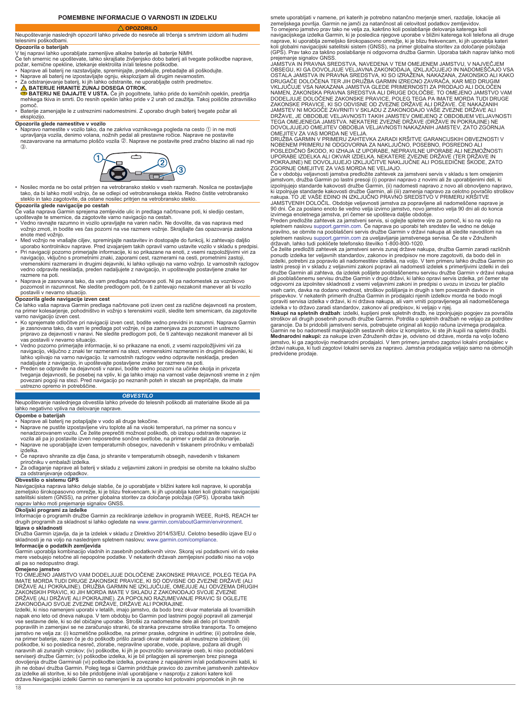### **POMEMBNE INFORMACIJE O VARNOSTI IN IZDELKU OPOZORILO**

<span id="page-17-0"></span>Neupoštevanje naslednjih opozoril lahko privede do nesreče ali trčenja s smrtnim izidom ali hudimi telesnimi poškodbami.

### **Opozorila o baterijah**

V tej napravi lahko uporabljate zamenljive alkalne baterije ali baterije NiMH. Če teh smernic ne upoštevate, lahko skrajšate življenjsko dobo baterij ali tvegate poškodbe naprave,

- 
- 
- požar, kemične opekline, iztekanje elektrolita in/ali telesne poškodbe.<br>• Naprave ali baterij ne razstavljajte, spreminjajte, predelujte, prebadajte ali poškodujte.<br>• Naprave ali baterij ne izpostavljajte ognju, eksplozij
- mehkega tkiva in smrti. Do resnih opeklin lahko pride v 2 urah od zaužitja. Takoj poiščite zdravniško<br>• pomoč.<br>• Baterije zamenjajte le z ustreznimi nadomestnimi. Z uporabo drugih baterij tvegate požar ali
- eksplozijo.

**Opozorila glede namestitve v vozilo**<br>• Napravo namestite v vozilo tako, da ne zakriva voznikovega pogleda na cesto ① in ne moti upravljanja vozila, denimo volana, nožnih pedal ali prestavne ročice. Naprave ne postavite nezavarovane na armaturno ploščo vozila ②. Naprave ne postavite pred zračno blazino ali nad njo  $\mathcal{L}$ 



• Nosilec morda ne bo ostal pritrjen na vetrobransko steklo v vseh razmerah. Nosilca ne postavljajte tako, da bi lahko motil vožnjo, če se odlepi od vetrobranskega stekla. Redno čistite vetrobransko steklo in tako zagotovite, da ostane nosilec pritrjen na vetrobransko steklo.

- **Opozorila glede navigacije po cestah**<br>Če vaša naprava Garmin sprejema zemljevide ulic in predlaga načrtovane poti, ki sledijo cestam,
- upoštevajte te smernice, da zagotovite varno navigacijo na cestah. Vedno ravnajte razumno in vozilo upravljajte na varen način. Ne dovolite, da vas naprava med vožnjo zmoti, in bodite ves čas pozorni na vse razmere vožnje. Skrajšajte čas opazovanja zaslona enote med vožnjo.
- Med vožnjo ne vnašajte ciljev, spreminjajte nastavitev in dostopajte do funkcij, ki zahtevajo daljšo<br>– uporabo kontrolnikov naprave. Pred izvajanjem takih opravil varno ustavite vozilo v skladu s predpisi.<br>• Pri naviga
- navigacijo, vključno s prometnimi znaki, zaporami cest, razmerami na cesti, prometnimi zastoji, vremenskimi razmerami in drugimi dejavniki, ki lahko vplivajo na varno vožnjo. Iz varnostnih razlogov vedno odpravite neskladja, preden nadaljujete z navigacijo, in upoštevajte postavljene znake ter razmere na poti.
- Naprava je zasnovana tako, da vam predlaga načrtovane poti. Ni pa nadomestek za voznikovo pozornost in razumnost. Ne sledite predlogom poti, če ti zahtevajo nezakonit manever ali bi vozilo postavili v nevarno situacijo.

**Opozorila glede navigacije izven cest**<br>Če lahko vaša naprava Garmin predlaga načrtovane poti izven cest za različne dejavnosti na prostem,<br>na primer kolesarjenje, pohodništvo in vožnjo s terenskimi vozili, sledite tem sme

- varno navigacijo izven cest. Ko sprejemate odločitve pri navigaciji izven cest, bodite vedno previdni in razumni. Naprava Garmin je zasnovana tako, da vam le predlaga pot vožnje, ni pa zamenjava za pozornost in ustrezno pripravo za dejavnosti v naravi. Ne sledite predlogom poti, če ti zahtevajo nezakonit manever ali bi vas postavili v nevarno situacijo.
- Vedno pozorno primerjajte informacije, ki so prikazane na enoti, z vsemi razpoložljivimi viri za navigacijo, vključno z znaki ter razmerami na stezi, vremenskimi razmerami in drugimi dejavniki, ki lahko vplivajo na varno navigacijo. Iz varnostnih razlogov vedno odpravite neskladja, preden
- nadaljujete z navigacijo, in upoštevajte postavljene znake ter razmere na poti.<br>• Preden se odpravite na dejavnosti v naravi, bodite vedno pozorni na učinke okolja in privzeta<br>• tveganja dejavnosti, še posebej na vpliv, povezani pogoji na stezi. Pred navigacijo po neznanih poteh in stezah se prepričajte, da imate ustrezno opremo in potrebščine.

#### *OBVESTILO*

Neupoštevanje naslednjega obvestila lahko privede do telesnih poškodb ali materialne škode ali pa lahko negativno vpliva na delovanje naprave.

### **Opombe o baterijah**

- 
- ∙ Naprave ali baterij ne potapljajte v vodo ali druge tekočine.<br>∙ Naprave ne pustite izpostavljene viru toplote ali na visoki temperaturi, na primer na soncu v<br>∙ nenadzorovanem vozilu. Če želite preprečiti možnost po vozila ali pa jo postavite izven neposredne sončne svetlobe, na primer v predal za drobnarije. • Naprave ne uporabljajte izven temperaturnih obsegov, navedenih v tiskanem priročniku v embalaži
- izdelka.
- 
- Če napravo shranite za dije časa, jo shranite v temperaturnih obsegih, navedenih v tiskanem<br> priročniku v embalaži izdelka.<br>• Za odlaganje naprave ali baterij v skladu z veljavnimi zakoni in predpisi se obrnite na l za odstranjevanje odpadkov.

**Obvestilo o sistemu GPS**<br>Navigacijska naprava lahko deluje slabše, če jo uporabljate v bližini katere koli naprave, ki uporablja<br>zemeljsko širokopasovno omrežje, ki je blizu frekvencam, ki jih uporablja kateri koli global

### **Okoljski programi za izdelke**

Informacije o programih družbe Garmin za recikliranje izdelkov in programih WEEE, RoHS, REACH ter drugih programih za skladnost si lahko ogledate na [www.garmin.com/aboutGarmin/environment](http://www.garmin.com/aboutGarmin/environment). **Izjava o skladnosti**

Družba Garmin izjavlja, da je ta izdelek v skladu z Direktivo 2014/53/EU. Celotno besedilo izjave EU o

skladnosti je na voljo na naslednjem spletnem naslovu: [www.garmin.com/compliance.](http://www.garmin.com/compliance)<br>**Informacije o podatkih zemljevida**<br>Garmin uporablja kombinacijo vladnih in zasebnih podatkovnih virov. Skoraj vsi podatkovni viri do neke<br>m ali pa so nedopustno dragi.

### **Omejeno jamstvo**

TO OMEJENO JAMSTVO VAM DODELJUJE DOLOČENE ZAKONSKE PRAVICE, POLEG TEGA PA IMATE MORDA TUDI DRUGE ZAKONSKE PRAVICE, KI SO ODVISNE OD ZVEZNE DRŽAVE (ALI DRŽAVE ALI POKRAJINE). DRUŽBA GARMIN NE IZKLJUČUJE, OMEJUJE ALI ODVZEMA DRUGIH<br>ZAKONSKIH PRAVIC, KI JIH MORDA IMATE V SKLADU Z ZAKONODAJO SVOJE ZVEZNE<br>DRŽAVE (ALI DRŽAVE ALI POKRAJINE). ZA POPOLNO RAZUMEVANJE PRAVIC SI OGL

Izdelki, ki niso namenjeni uporabi v letalih, imajo jamstvo, da bodo brez okvar materiala ali tovarniških napak eno leto od dneva nakupa. V tem obdobju bo Garmin pod lastnimi pogoji popravil ali zamenjal vse sestavne dele, ki so del običajne uporabe. Stroški za nadomestne dele ali delo pri tovrstnih<br>popravilih in zamenjavi se ne zaračunajo stranki, če stranka prevzame stroške transporta. To omejeno<br>jamstvo ne velja za: (i) poškodbe, ki so posledica nesreč, zlorabe, nepravilne uporabe, vode, poplave, požara ali drugih<br>naravnih ali zunanjih vzrokov; (iv) poškodbe, ki jih je povzročilo servisiranje oseb, ki niso pooblaščeni<br>serviserji družbe Ga za izdelke ali storitve, ki so bile pridobljene in/ali uporabljane v nasprotju z zakoni katere koli države.Navigacijski izdelki Garmin so namenjeni le za uporabo kot potovalni pripomoček in jih ne

smete uporabljati v namene, pri katerih je potrebno natančno merjenje smeri, razdalje, lokacije ali zemeljskega površja. Garmin ne jamči za natančnost ali celovitost podatkov zemljevidov. To omejeno jamstvo prav tako ne velja za, kakršno koli poslabšanje delovanja katerega koli navigacijskega izdelka Garmin, ki je posledica njegove uporabe v bližini katerega koli telefona ali druge

naprave, ki uporablja zemeljsko širokopasovno omrežje, ki je blizu frekvencam, ki jih uporablja kateri<br>koli globalni navigacijski satelitski sistem (GNSS), na primer globalna storitev za določanje položaja<br>(GPS). Prav tako

prejemanje signalov GNSS.<br>JAMSTVÁ IN PRAVNA SREDSTVA, NAVEDENA V TEM OMEJENEM JAMSTVU, V NAJVEČJEM<br>OBSEGU, KI GA DOVOLJUJE VELJAVNA ZAKONODAJA, IZKLJUČUJEJO IN NADOMEŠČAJO VSA<br>OSTALA JAMSTVA IN PRAVNA SREDSTVA, KI SO IZRAŽ DRUGAČE DOLOČENA TER JIH DRUŽBA GARMIN IZRECNO ZAVRAČA, KAR MED DRUGIM VKLJUČUJE VSA NAKAZANA JAMSTVA GLEDE PRIMERNOSTI ZA PRODAJO ALI DOLOČEN NAMEN, ZAKONSKA PRAVNA SREDSTVA ALI DRUGE DOLOČBE. TO OMEJENO JAMSTVO VAM<br>DODELJUJE DOLOČENE ZAKONSKE PRAVICE, POLEG TEGA PA IMATE MORDA TUDI DRUGE<br>ZAKONSKE PRAVICE, KI SO ODVISNE OD ZVEZNE DRŽAVE ALI DRŽAVE. ČE NAKAZANIH JAMSTEV NI MOGOČE ZAVRNITI V SKLADU Z ZAKONODAJO VAŠE ZVEZNE DRŽAVE ALI<br>DRŽAVE, JE OBDOBJE VELJAVNOSTI TAKIH JAMSTEV OMEJENO Z OBDOBJEM VELJAVNOSTI<br>TEGA OMEJENEGA JAMSTVA. NEKATERE ZVEZNE DRŽAVE (DRŽAVE IN POKRAJINE) NE<br>DO

OMEJITEV ZA VAS MORDA NE VELJA. DRUŽBA GARMIN V PRIMERU ZAHTEVKA ZARADI KRŠITVE GARANCIJSKIH OBVEZNOSTI V NOBENEM PRIMERU NI ODGOVORNA ZA NAKLJUČNO, POSEBNO, POSREDNO ALI<br>POSLEDIČNO ŠKODO, KI IZHAJA IZ UPORABE, NEPRAVILNE UPORABE ALI NEZMOŽNOSTI<br>UPORABE IZDELKA ALI OKVAR IZDELKA. NEKATERE ZVEZNE DRŽAVE (TER DRŽAVE IN<br>POKRAJINE

ZGORNJE OMEJITVE ZA VAS MORDA NE VELJAJO. Če v obdobju veljavnosti jamstva predložite zahtevek za jamstveni servis v skladu s tem omejenim jamstvom, družba Garmin po lastni presoji (i) popravi napravo z novimi ali že uporabljenimi deli, ki<br>izpolnjujejo standarde kakovosti družbe Garmin, (ii) nadomesti napravo z novo ali obnovljeno napravo,<br>ki izpolnjuje stan JAMSTVENIH DOLOČIL. Obdobje veljavnosti jamstva za popravljene ali nadomeščene naprave je<br>90 dni. Če za poslano enoto še vedno velja izvirno jamstvo, novo jamstvo velja 90 dni ali do konca<br>izvirnega enoletnega jamstva, pri

Preden predložite zahtevek za jamstveni servis, si oglejte spletne vire za pomoč, ki so na voljo na spletnem naslovu [support.garmin.com](http://www.support.garmin.com). Če naprava po uporabi teh sredstev še vedno ne deluje pravilno, se obrnite na pooblaščeni servis družbe Garmin v državi nakupa ali sledite navodilom na spletnem naslovu [support.garmin.com](http://www.support.garmin.com) za uveljavljanje jamstvenega servisa. Če ste v Združenih državah, lahko tudi pokličete telefonsko številko 1-800-800-1020.

Če želite predložiti zahtevek za jamstveni servis zunaj države nakupa, družba Garmin zaradi različnih ponudb izdelka ter veljavnih standardov, zakonov in predpisov ne more zagotoviti, da bodo deli in<br>izdelki, potrebni za popravilo ali nadomestitev izdelka, na voljo. V tem primeru lahko družba Garmin po<br>lastni presoji in v ali pooblaščenemu servisu družbe Garmin v drugi državi, ki lahko opravi servis izdelka, pri čemer ste odgovorni za izpolnitev skladnosti z vsemi veljavnimi zakoni in predpisi o uvozu in izvozu ter plačilo vseh carin, davka na dodano vrednost, stroškov pošiljanja in drugih s tem povezanih davkov in prispevkov. V nekaterih primerih družba Garmin in prodajalci njenih izdelkov morda ne bodo mogli opraviti servisa izdelka v državi, ki ni država nakupa, ali vam vrniti popravljenega ali nadomeščenega izdelka v to državo zaradi standardov, zakonov ali predpisov, ki veljajo v njej.

**Nakupi na spletnih dražbah**: izdelki, kupljeni prek spletnih dražb, ne izpolnjujejo pogojev za povračila<br>stroškov ali drugih posebnih ponudb družbe Garmin. Potrdila o spletnih dražbah ne veljajo za potrditev<br>garancije. Da Garmin ne bo nadomestil manjkajočih sestavnih delov iz kompletov, ki ste jih kupili na spletni dražbi. **Mednarodni nakupi:** za nakupe izven Združenih držav je, odvisno od države, morda na voljo ločeno jamstvo, ki ga zagotovijo mednarodni prodajalci. V tem primeru jamstvo zagotovi lokalni prodajalec v državi nakupa, ki tudi zagotovi lokalni servis za napravo. Jamstva prodajalca veljajo samo na območjih predvidene prodaje.